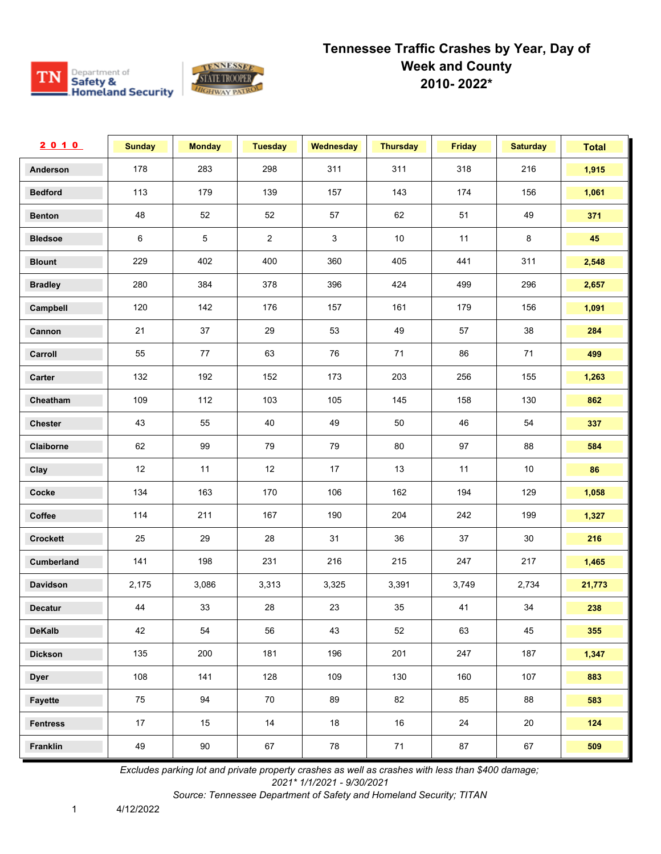

| 2010              | <b>Sunday</b> | <b>Monday</b> | <b>Tuesday</b> | Wednesday | <b>Thursday</b> | <b>Friday</b> | <b>Saturday</b> | <b>Total</b> |
|-------------------|---------------|---------------|----------------|-----------|-----------------|---------------|-----------------|--------------|
| Anderson          | 178           | 283           | 298            | 311       | 311             | 318           | 216             | 1,915        |
| <b>Bedford</b>    | 113           | 179           | 139            | 157       | 143             | 174           | 156             | 1,061        |
| <b>Benton</b>     | 48            | 52            | 52             | 57        | 62              | 51            | 49              | 371          |
| <b>Bledsoe</b>    | 6             | 5             | $\overline{2}$ | 3         | 10              | 11            | 8               | 45           |
| <b>Blount</b>     | 229           | 402           | 400            | 360       | 405             | 441           | 311             | 2,548        |
| <b>Bradley</b>    | 280           | 384           | 378            | 396       | 424             | 499           | 296             | 2,657        |
| Campbell          | 120           | 142           | 176            | 157       | 161             | 179           | 156             | 1,091        |
| Cannon            | 21            | 37            | 29             | 53        | 49              | 57            | 38              | 284          |
| Carroll           | 55            | 77            | 63             | 76        | 71              | 86            | 71              | 499          |
| Carter            | 132           | 192           | 152            | 173       | 203             | 256           | 155             | 1,263        |
| Cheatham          | 109           | 112           | 103            | 105       | 145             | 158           | 130             | 862          |
| Chester           | 43            | 55            | 40             | 49        | 50              | 46            | 54              | 337          |
| Claiborne         | 62            | 99            | 79             | 79        | 80              | 97            | 88              | 584          |
| Clay              | 12            | 11            | 12             | 17        | 13              | 11            | 10              | 86           |
| Cocke             | 134           | 163           | 170            | 106       | 162             | 194           | 129             | 1,058        |
| Coffee            | 114           | 211           | 167            | 190       | 204             | 242           | 199             | 1,327        |
| <b>Crockett</b>   | 25            | 29            | 28             | 31        | 36              | 37            | 30              | 216          |
| <b>Cumberland</b> | 141           | 198           | 231            | 216       | 215             | 247           | 217             | 1,465        |
| Davidson          | 2,175         | 3,086         | 3,313          | 3,325     | 3,391           | 3,749         | 2,734           | 21,773       |
| <b>Decatur</b>    | 44            | 33            | 28             | 23        | $35\,$          | 41            | 34              | 238          |
| <b>DeKalb</b>     | 42            | 54            | 56             | 43        | 52              | 63            | 45              | 355          |
| <b>Dickson</b>    | 135           | 200           | 181            | 196       | 201             | 247           | 187             | 1,347        |
| <b>Dyer</b>       | 108           | 141           | 128            | 109       | 130             | 160           | 107             | 883          |
| Fayette           | 75            | 94            | 70             | 89        | 82              | 85            | 88              | 583          |
| <b>Fentress</b>   | 17            | 15            | 14             | 18        | 16              | 24            | 20              | 124          |
| Franklin          | 49            | 90            | 67             | 78        | 71              | 87            | 67              | 509          |

*Excludes parking lot and private property crashes as well as crashes with less than \$400 damage; 2021\* 1/1/2021 - 9/30/2021*

*Source: Tennessee Department of Safety and Homeland Security; TITAN* 

1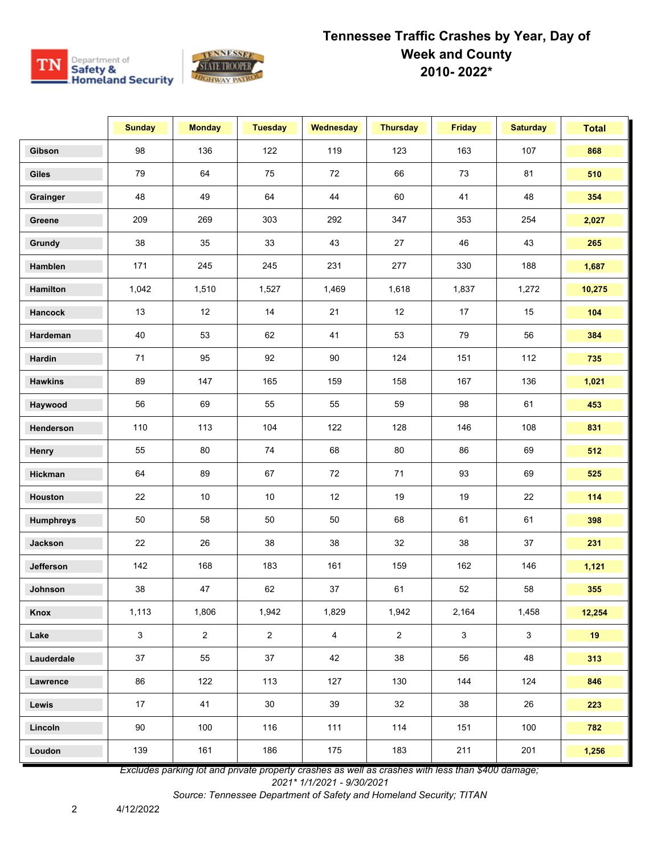

|                  | <b>Sunday</b> | <b>Monday</b>  | <b>Tuesday</b> | <b>Wednesday</b> | <b>Thursday</b> | <b>Friday</b> | <b>Saturday</b> | <b>Total</b> |
|------------------|---------------|----------------|----------------|------------------|-----------------|---------------|-----------------|--------------|
| Gibson           | 98            | 136            | 122            | 119              | 123             | 163           | 107             | 868          |
| <b>Giles</b>     | 79            | 64             | 75             | 72               | 66              | 73            | 81              | 510          |
| Grainger         | 48            | 49             | 64             | 44               | 60              | 41            | 48              | 354          |
| Greene           | 209           | 269            | 303            | 292              | 347             | 353           | 254             | 2,027        |
| Grundy           | 38            | 35             | 33             | 43               | 27              | 46            | 43              | 265          |
| Hamblen          | 171           | 245            | 245            | 231              | 277             | 330           | 188             | 1,687        |
| Hamilton         | 1,042         | 1,510          | 1,527          | 1,469            | 1,618           | 1,837         | 1,272           | 10,275       |
| Hancock          | 13            | 12             | 14             | 21               | 12              | 17            | 15              | 104          |
| Hardeman         | 40            | 53             | 62             | 41               | 53              | 79            | 56              | 384          |
| Hardin           | 71            | 95             | 92             | 90               | 124             | 151           | 112             | 735          |
| <b>Hawkins</b>   | 89            | 147            | 165            | 159              | 158             | 167           | 136             | 1,021        |
| Haywood          | 56            | 69             | 55             | 55               | 59              | 98            | 61              | 453          |
| Henderson        | 110           | 113            | 104            | 122              | 128             | 146           | 108             | 831          |
| Henry            | 55            | 80             | 74             | 68               | 80              | 86            | 69              | 512          |
| Hickman          | 64            | 89             | 67             | 72               | $71$            | 93            | 69              | 525          |
| Houston          | 22            | 10             | $10$           | 12               | 19              | 19            | 22              | 114          |
| <b>Humphreys</b> | 50            | 58             | 50             | 50               | 68              | 61            | 61              | 398          |
| Jackson          | 22            | 26             | 38             | 38               | 32              | 38            | 37              | 231          |
| Jefferson        | 142           | 168            | 183            | 161              | 159             | 162           | 146             | 1,121        |
| Johnson          | 38            | 47             | 62             | 37               | 61              | 52            | 58              | 355          |
| Knox             | 1,113         | 1,806          | 1,942          | 1,829            | 1,942           | 2,164         | 1,458           | 12,254       |
| Lake             | 3             | $\overline{2}$ | $\overline{2}$ | $\overline{4}$   | $\overline{2}$  | $\mathbf{3}$  | 3               | 19           |
| Lauderdale       | 37            | 55             | 37             | 42               | 38              | 56            | 48              | 313          |
| Lawrence         | 86            | 122            | 113            | 127              | 130             | 144           | 124             | 846          |
| Lewis            | 17            | 41             | 30             | 39               | 32              | 38            | 26              | 223          |
| Lincoln          | 90            | 100            | 116            | 111              | 114             | 151           | 100             | 782          |
| Loudon           | 139           | 161            | 186            | 175              | 183             | 211           | 201             | 1,256        |

*Excludes parking lot and private property crashes as well as crashes with less than \$400 damage;* 

*2021\* 1/1/2021 - 9/30/2021*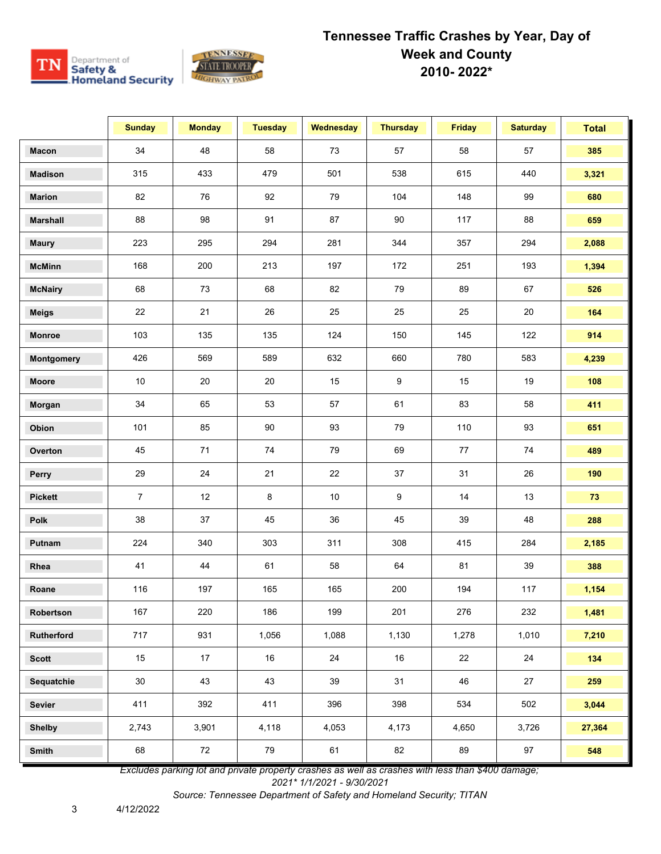

|                 | <b>Sunday</b>  | <b>Monday</b> | <b>Tuesday</b> | Wednesday | <b>Thursday</b> | <b>Friday</b> | <b>Saturday</b> | <b>Total</b> |
|-----------------|----------------|---------------|----------------|-----------|-----------------|---------------|-----------------|--------------|
| <b>Macon</b>    | 34             | 48            | 58             | 73        | 57              | 58            | 57              | 385          |
| <b>Madison</b>  | 315            | 433           | 479            | 501       | 538             | 615           | 440             | 3,321        |
| <b>Marion</b>   | 82             | 76            | 92             | 79        | 104             | 148           | 99              | 680          |
| <b>Marshall</b> | 88             | 98            | 91             | 87        | $90\,$          | 117           | 88              | 659          |
| <b>Maury</b>    | 223            | 295           | 294            | 281       | 344             | 357           | 294             | 2,088        |
| <b>McMinn</b>   | 168            | 200           | 213            | 197       | 172             | 251           | 193             | 1,394        |
| <b>McNairy</b>  | 68             | 73            | 68             | 82        | 79              | 89            | 67              | 526          |
| <b>Meigs</b>    | 22             | 21            | 26             | 25        | 25              | 25            | 20              | 164          |
| Monroe          | 103            | 135           | 135            | 124       | 150             | 145           | 122             | 914          |
| Montgomery      | 426            | 569           | 589            | 632       | 660             | 780           | 583             | 4,239        |
| Moore           | $10\,$         | 20            | 20             | 15        | 9               | 15            | 19              | 108          |
| Morgan          | 34             | 65            | 53             | 57        | 61              | 83            | 58              | 411          |
| Obion           | 101            | 85            | 90             | 93        | 79              | 110           | 93              | 651          |
| Overton         | 45             | 71            | 74             | 79        | 69              | 77            | 74              | 489          |
| Perry           | 29             | 24            | 21             | 22        | 37              | 31            | 26              | 190          |
| <b>Pickett</b>  | $\overline{7}$ | 12            | 8              | 10        | 9               | 14            | 13              | 73           |
| <b>Polk</b>     | 38             | 37            | 45             | 36        | 45              | 39            | 48              | 288          |
| Putnam          | 224            | 340           | 303            | 311       | 308             | 415           | 284             | 2,185        |
| Rhea            | 41             | 44            | 61             | 58        | 64              | 81            | 39              | 388          |
| Roane           | 116            | 197           | 165            | 165       | 200             | 194           | 117             | 1,154        |
| Robertson       | 167            | 220           | 186            | 199       | 201             | 276           | 232             | 1,481        |
| Rutherford      | 717            | 931           | 1,056          | 1,088     | 1,130           | 1,278         | 1,010           | 7,210        |
| <b>Scott</b>    | 15             | 17            | 16             | 24        | 16              | 22            | 24              | 134          |
| Sequatchie      | 30             | 43            | 43             | 39        | 31              | 46            | 27              | 259          |
| Sevier          | 411            | 392           | 411            | 396       | 398             | 534           | 502             | 3,044        |
| <b>Shelby</b>   | 2,743          | 3,901         | 4,118          | 4,053     | 4,173           | 4,650         | 3,726           | 27,364       |
| Smith           | 68             | 72            | 79             | 61        | 82              | 89            | 97              | 548          |

*Excludes parking lot and private property crashes as well as crashes with less than \$400 damage;* 

*2021\* 1/1/2021 - 9/30/2021*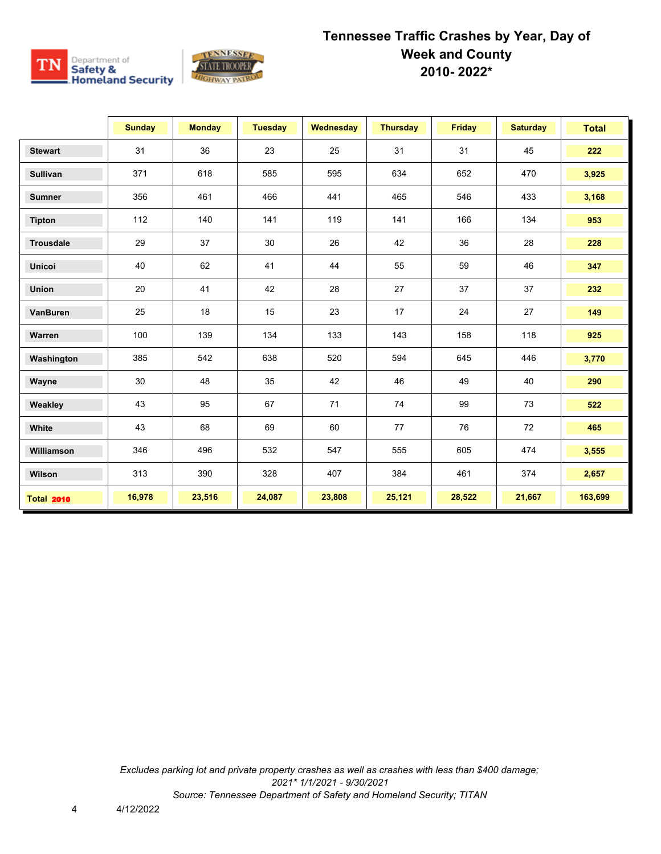

|                   | <b>Sunday</b> | <b>Monday</b> | <b>Tuesday</b> | Wednesday | <b>Thursday</b> | <b>Friday</b> | <b>Saturday</b> | <b>Total</b> |
|-------------------|---------------|---------------|----------------|-----------|-----------------|---------------|-----------------|--------------|
| <b>Stewart</b>    | 31            | 36            | 23             | 25        | 31              | 31            | 45              | 222          |
| <b>Sullivan</b>   | 371           | 618           | 585            | 595       | 634             | 652           | 470             | 3,925        |
| <b>Sumner</b>     | 356           | 461           | 466            | 441       | 465             | 546           | 433             | 3,168        |
| <b>Tipton</b>     | 112           | 140           | 141            | 119       | 141             | 166           | 134             | 953          |
| <b>Trousdale</b>  | 29            | 37            | 30             | 26        | 42              | 36            | 28              | 228          |
| <b>Unicoi</b>     | 40            | 62            | 41             | 44        | 55              | 59            | 46              | 347          |
| <b>Union</b>      | 20            | 41            | 42             | 28        | 27              | 37            | 37              | 232          |
| VanBuren          | 25            | 18            | 15             | 23        | 17              | 24            | 27              | 149          |
| Warren            | 100           | 139           | 134            | 133       | 143             | 158           | 118             | 925          |
| Washington        | 385           | 542           | 638            | 520       | 594             | 645           | 446             | 3,770        |
| Wayne             | 30            | 48            | 35             | 42        | 46              | 49            | 40              | 290          |
| Weakley           | 43            | 95            | 67             | 71        | 74              | 99            | 73              | 522          |
| White             | 43            | 68            | 69             | 60        | 77              | 76            | 72              | 465          |
| Williamson        | 346           | 496           | 532            | 547       | 555             | 605           | 474             | 3,555        |
| Wilson            | 313           | 390           | 328            | 407       | 384             | 461           | 374             | 2,657        |
| <b>Total 2010</b> | 16,978        | 23,516        | 24,087         | 23,808    | 25,121          | 28,522        | 21,667          | 163,699      |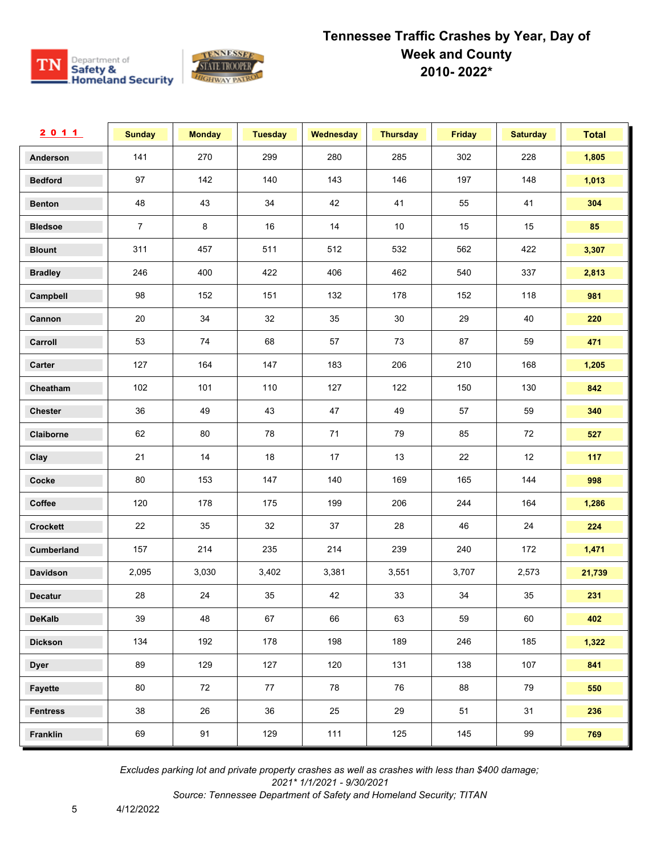

| 2011            | <b>Sunday</b>  | <b>Monday</b> | <b>Tuesday</b> | <b>Wednesday</b> | <b>Thursday</b> | <b>Friday</b> | <b>Saturday</b> | <b>Total</b> |
|-----------------|----------------|---------------|----------------|------------------|-----------------|---------------|-----------------|--------------|
| Anderson        | 141            | 270           | 299            | 280              | 285             | 302           | 228             | 1,805        |
| <b>Bedford</b>  | 97             | 142           | 140            | 143              | 146             | 197           | 148             | 1,013        |
| <b>Benton</b>   | 48             | 43            | 34             | 42               | 41              | 55            | 41              | 304          |
| <b>Bledsoe</b>  | $\overline{7}$ | 8             | 16             | 14               | $10$            | 15            | 15              | 85           |
| <b>Blount</b>   | 311            | 457           | 511            | 512              | 532             | 562           | 422             | 3,307        |
| <b>Bradley</b>  | 246            | 400           | 422            | 406              | 462             | 540           | 337             | 2,813        |
| Campbell        | 98             | 152           | 151            | 132              | 178             | 152           | 118             | 981          |
| Cannon          | 20             | 34            | 32             | 35               | 30              | 29            | 40              | 220          |
| Carroll         | 53             | 74            | 68             | 57               | 73              | 87            | 59              | 471          |
| Carter          | 127            | 164           | 147            | 183              | 206             | 210           | 168             | 1,205        |
| Cheatham        | 102            | 101           | 110            | 127              | 122             | 150           | 130             | 842          |
| Chester         | 36             | 49            | 43             | 47               | 49              | 57            | 59              | 340          |
| Claiborne       | 62             | 80            | 78             | 71               | 79              | 85            | 72              | 527          |
| Clay            | 21             | 14            | 18             | 17               | 13              | 22            | 12              | 117          |
| Cocke           | 80             | 153           | 147            | 140              | 169             | 165           | 144             | 998          |
| Coffee          | 120            | 178           | 175            | 199              | 206             | 244           | 164             | 1,286        |
| <b>Crockett</b> | 22             | 35            | 32             | 37               | 28              | 46            | 24              | 224          |
| Cumberland      | 157            | 214           | 235            | 214              | 239             | 240           | 172             | 1,471        |
| Davidson        | 2,095          | 3,030         | 3,402          | 3,381            | 3,551           | 3,707         | 2,573           | 21,739       |
| <b>Decatur</b>  | 28             | 24            | 35             | 42               | 33              | 34            | 35              | 231          |
| <b>DeKalb</b>   | 39             | 48            | 67             | 66               | 63              | 59            | 60              | 402          |
| <b>Dickson</b>  | 134            | 192           | 178            | 198              | 189             | 246           | 185             | 1,322        |
| <b>Dyer</b>     | 89             | 129           | 127            | 120              | 131             | 138           | 107             | 841          |
| Fayette         | 80             | 72            | 77             | 78               | 76              | 88            | 79              | 550          |
| <b>Fentress</b> | 38             | 26            | 36             | 25               | 29              | 51            | 31              | 236          |
| Franklin        | 69             | 91            | 129            | 111              | 125             | 145           | 99              | 769          |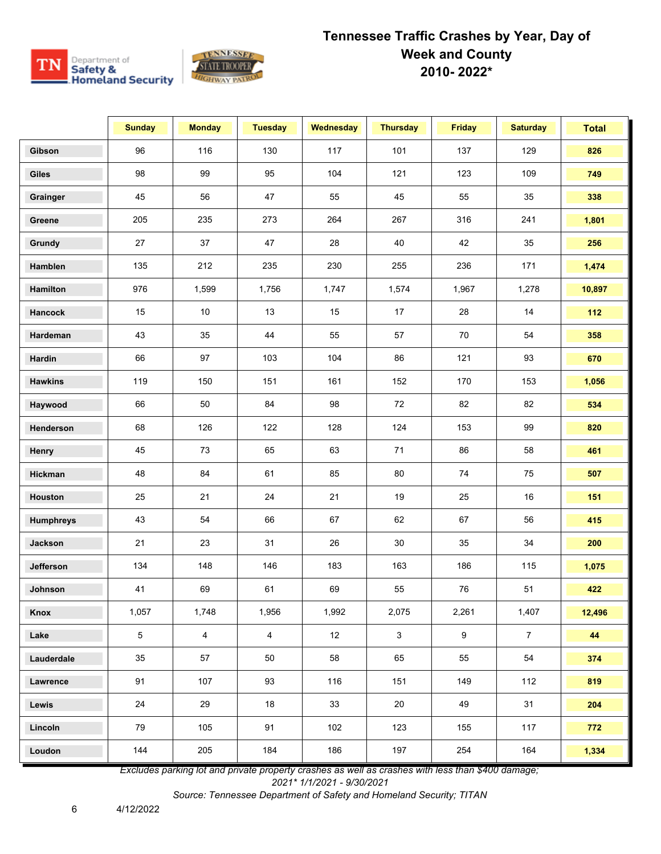

|                  | <b>Sunday</b> | <b>Monday</b>  | <b>Tuesday</b> | <b>Wednesday</b> | <b>Thursday</b> | <b>Friday</b> | <b>Saturday</b> | <b>Total</b> |
|------------------|---------------|----------------|----------------|------------------|-----------------|---------------|-----------------|--------------|
| Gibson           | 96            | 116            | 130            | 117              | 101             | 137           | 129             | 826          |
| <b>Giles</b>     | 98            | 99             | 95             | 104              | 121             | 123           | 109             | 749          |
| Grainger         | 45            | 56             | 47             | 55               | 45              | 55            | 35              | 338          |
| Greene           | 205           | 235            | 273            | 264              | 267             | 316           | 241             | 1,801        |
| Grundy           | 27            | 37             | 47             | 28               | 40              | 42            | 35              | 256          |
| Hamblen          | 135           | 212            | 235            | 230              | 255             | 236           | 171             | 1,474        |
| Hamilton         | 976           | 1,599          | 1,756          | 1,747            | 1,574           | 1,967         | 1,278           | 10,897       |
| <b>Hancock</b>   | 15            | 10             | 13             | 15               | 17              | 28            | 14              | 112          |
| Hardeman         | 43            | 35             | 44             | 55               | 57              | 70            | 54              | 358          |
| Hardin           | 66            | 97             | 103            | 104              | 86              | 121           | 93              | 670          |
| <b>Hawkins</b>   | 119           | 150            | 151            | 161              | 152             | 170           | 153             | 1,056        |
| Haywood          | 66            | 50             | 84             | 98               | 72              | 82            | 82              | 534          |
| Henderson        | 68            | 126            | 122            | 128              | 124             | 153           | 99              | 820          |
| Henry            | 45            | 73             | 65             | 63               | 71              | 86            | 58              | 461          |
| Hickman          | 48            | 84             | 61             | 85               | 80              | 74            | 75              | 507          |
| Houston          | 25            | 21             | 24             | 21               | 19              | 25            | 16              | 151          |
| <b>Humphreys</b> | 43            | 54             | 66             | 67               | 62              | 67            | 56              | 415          |
| Jackson          | 21            | 23             | 31             | 26               | 30              | 35            | 34              | 200          |
| Jefferson        | 134           | 148            | 146            | 183              | 163             | 186           | 115             | 1,075        |
| Johnson          | 41            | 69             | 61             | 69               | 55              | 76            | 51              | 422          |
| Knox             | 1,057         | 1,748          | 1,956          | 1,992            | 2,075           | 2,261         | 1,407           | 12,496       |
| Lake             | 5             | $\overline{4}$ | $\overline{4}$ | 12               | 3               | 9             | $7\overline{ }$ | 44           |
| Lauderdale       | 35            | 57             | 50             | 58               | 65              | 55            | 54              | 374          |
| Lawrence         | 91            | 107            | 93             | 116              | 151             | 149           | 112             | 819          |
| Lewis            | 24            | 29             | 18             | 33               | 20              | 49            | 31              | 204          |
| Lincoln          | 79            | 105            | 91             | 102              | 123             | 155           | 117             | 772          |
| Loudon           | 144           | 205            | 184            | 186              | 197             | 254           | 164             | 1,334        |

*Excludes parking lot and private property crashes as well as crashes with less than \$400 damage;* 

*2021\* 1/1/2021 - 9/30/2021*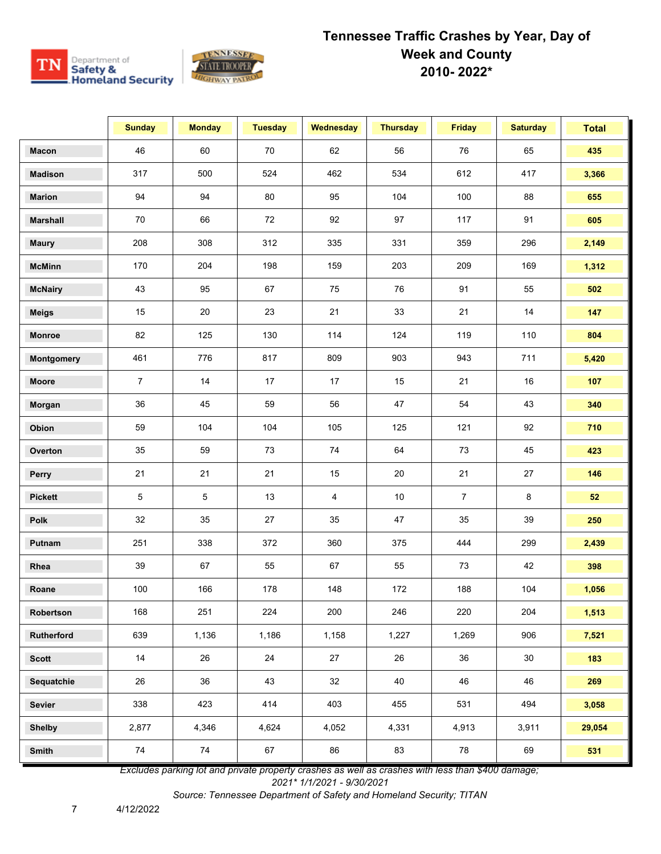

|                 | <b>Sunday</b>  | <b>Monday</b> | <b>Tuesday</b> | Wednesday      | <b>Thursday</b> | <b>Friday</b>  | <b>Saturday</b> | <b>Total</b> |
|-----------------|----------------|---------------|----------------|----------------|-----------------|----------------|-----------------|--------------|
| <b>Macon</b>    | 46             | 60            | 70             | 62             | 56              | 76             | 65              | 435          |
| <b>Madison</b>  | 317            | 500           | 524            | 462            | 534             | 612            | 417             | 3,366        |
| <b>Marion</b>   | 94             | 94            | 80             | 95             | 104             | 100            | 88              | 655          |
| <b>Marshall</b> | 70             | 66            | 72             | 92             | 97              | 117            | 91              | 605          |
| <b>Maury</b>    | 208            | 308           | 312            | 335            | 331             | 359            | 296             | 2,149        |
| <b>McMinn</b>   | 170            | 204           | 198            | 159            | 203             | 209            | 169             | 1,312        |
| <b>McNairy</b>  | 43             | 95            | 67             | 75             | 76              | 91             | 55              | 502          |
| <b>Meigs</b>    | 15             | 20            | 23             | 21             | 33              | 21             | 14              | 147          |
| Monroe          | 82             | 125           | 130            | 114            | 124             | 119            | 110             | 804          |
| Montgomery      | 461            | 776           | 817            | 809            | 903             | 943            | 711             | 5,420        |
| Moore           | $\overline{7}$ | 14            | 17             | 17             | 15              | 21             | 16              | 107          |
| Morgan          | 36             | 45            | 59             | 56             | 47              | 54             | 43              | 340          |
| Obion           | 59             | 104           | 104            | 105            | 125             | 121            | 92              | 710          |
| Overton         | 35             | 59            | 73             | 74             | 64              | 73             | 45              | 423          |
| Perry           | 21             | 21            | 21             | 15             | 20              | 21             | 27              | 146          |
| <b>Pickett</b>  | 5              | 5             | 13             | $\overline{4}$ | $10$            | $\overline{7}$ | 8               | 52           |
| <b>Polk</b>     | 32             | 35            | 27             | 35             | 47              | 35             | 39              | 250          |
| Putnam          | 251            | 338           | 372            | 360            | 375             | 444            | 299             | 2,439        |
| Rhea            | 39             | 67            | 55             | 67             | 55              | 73             | 42              | 398          |
| Roane           | 100            | 166           | 178            | 148            | 172             | 188            | 104             | 1,056        |
| Robertson       | 168            | 251           | 224            | 200            | 246             | 220            | 204             | 1,513        |
| Rutherford      | 639            | 1,136         | 1,186          | 1,158          | 1,227           | 1,269          | 906             | 7,521        |
| <b>Scott</b>    | 14             | 26            | 24             | 27             | 26              | 36             | 30              | 183          |
| Sequatchie      | 26             | 36            | 43             | 32             | 40              | 46             | 46              | 269          |
| Sevier          | 338            | 423           | 414            | 403            | 455             | 531            | 494             | 3,058        |
| <b>Shelby</b>   | 2,877          | 4,346         | 4,624          | 4,052          | 4,331           | 4,913          | 3,911           | 29,054       |
| Smith           | 74             | 74            | 67             | 86             | 83              | 78             | 69              | 531          |

*Excludes parking lot and private property crashes as well as crashes with less than \$400 damage;* 

*2021\* 1/1/2021 - 9/30/2021*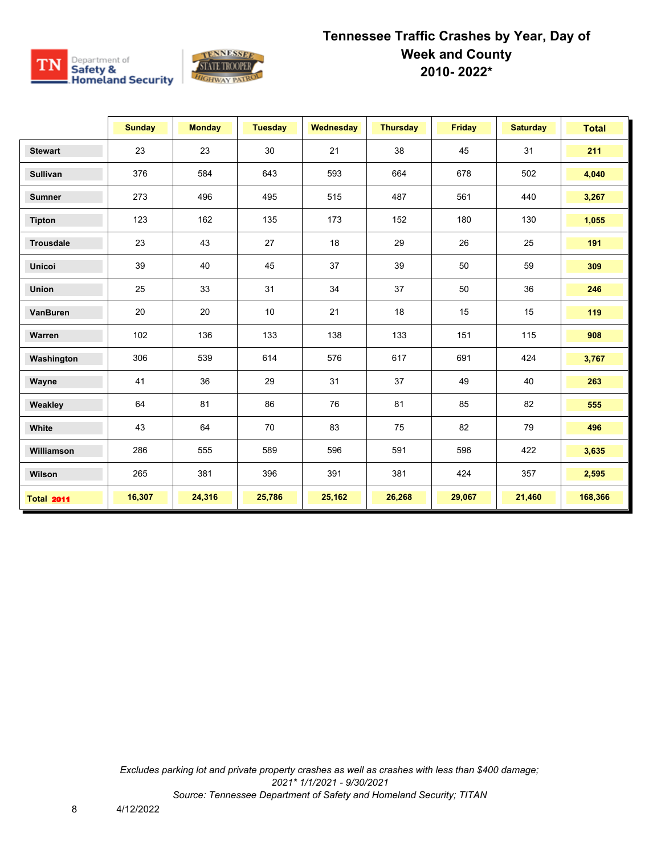

|                   | <b>Sunday</b> | <b>Monday</b> | <b>Tuesday</b> | <b>Wednesday</b> | <b>Thursday</b> | <b>Friday</b> | <b>Saturday</b> | <b>Total</b> |
|-------------------|---------------|---------------|----------------|------------------|-----------------|---------------|-----------------|--------------|
| <b>Stewart</b>    | 23            | 23            | 30             | 21               | 38              | 45            | 31              | 211          |
| <b>Sullivan</b>   | 376           | 584           | 643            | 593              | 664             | 678           | 502             | 4,040        |
| <b>Sumner</b>     | 273           | 496           | 495            | 515              | 487             | 561           | 440             | 3,267        |
| <b>Tipton</b>     | 123           | 162           | 135            | 173              | 152             | 180           | 130             | 1,055        |
| <b>Trousdale</b>  | 23            | 43            | 27             | 18               | 29              | 26            | 25              | 191          |
| <b>Unicoi</b>     | 39            | 40            | 45             | 37               | 39              | 50            | 59              | 309          |
| Union             | 25            | 33            | 31             | 34               | 37              | 50            | 36              | 246          |
| VanBuren          | 20            | 20            | 10             | 21               | 18              | 15            | 15              | 119          |
| Warren            | 102           | 136           | 133            | 138              | 133             | 151           | 115             | 908          |
| Washington        | 306           | 539           | 614            | 576              | 617             | 691           | 424             | 3,767        |
| Wayne             | 41            | 36            | 29             | 31               | 37              | 49            | 40              | 263          |
| Weakley           | 64            | 81            | 86             | 76               | 81              | 85            | 82              | 555          |
| White             | 43            | 64            | 70             | 83               | 75              | 82            | 79              | 496          |
| Williamson        | 286           | 555           | 589            | 596              | 591             | 596           | 422             | 3,635        |
| Wilson            | 265           | 381           | 396            | 391              | 381             | 424           | 357             | 2,595        |
| <b>Total 2011</b> | 16,307        | 24,316        | 25,786         | 25,162           | 26,268          | 29,067        | 21,460          | 168,366      |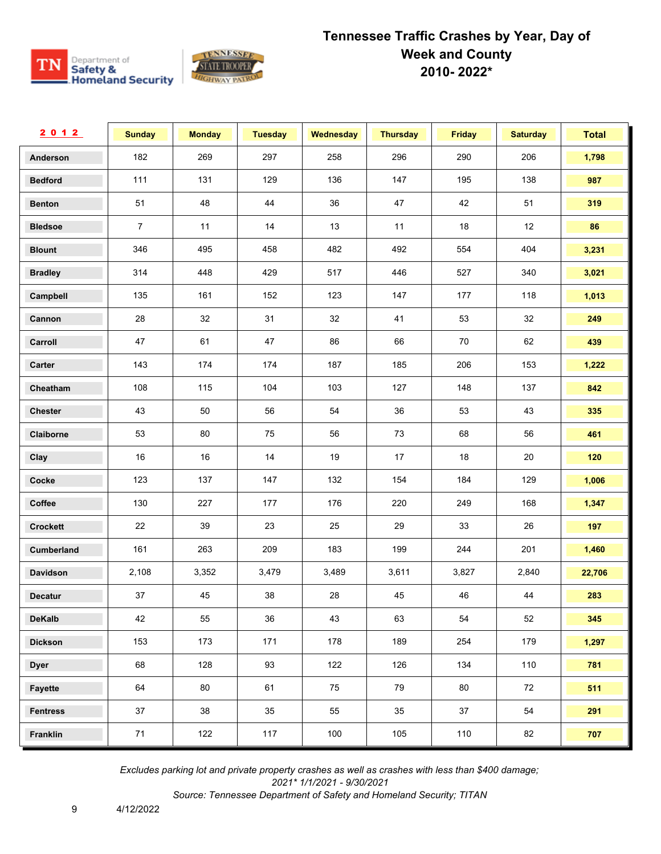

| 2012            | <b>Sunday</b>  | <b>Monday</b> | <b>Tuesday</b> | <b>Wednesday</b> | <b>Thursday</b> | <b>Friday</b> | <b>Saturday</b> | <b>Total</b> |
|-----------------|----------------|---------------|----------------|------------------|-----------------|---------------|-----------------|--------------|
| Anderson        | 182            | 269           | 297            | 258              | 296             | 290           | 206             | 1,798        |
| <b>Bedford</b>  | 111            | 131           | 129            | 136              | 147             | 195           | 138             | 987          |
| <b>Benton</b>   | 51             | 48            | 44             | 36               | 47              | 42            | 51              | 319          |
| <b>Bledsoe</b>  | $\overline{7}$ | 11            | 14             | 13               | 11              | 18            | 12              | 86           |
| <b>Blount</b>   | 346            | 495           | 458            | 482              | 492             | 554           | 404             | 3,231        |
| <b>Bradley</b>  | 314            | 448           | 429            | 517              | 446             | 527           | 340             | 3,021        |
| Campbell        | 135            | 161           | 152            | 123              | 147             | 177           | 118             | 1,013        |
| Cannon          | 28             | 32            | 31             | 32               | 41              | 53            | 32              | 249          |
| Carroll         | 47             | 61            | 47             | 86               | 66              | 70            | 62              | 439          |
| Carter          | 143            | 174           | 174            | 187              | 185             | 206           | 153             | 1,222        |
| Cheatham        | 108            | 115           | 104            | 103              | 127             | 148           | 137             | 842          |
| <b>Chester</b>  | 43             | 50            | 56             | 54               | 36              | 53            | 43              | 335          |
| Claiborne       | 53             | 80            | 75             | 56               | 73              | 68            | 56              | 461          |
| Clay            | 16             | 16            | 14             | 19               | 17              | 18            | 20              | 120          |
| Cocke           | 123            | 137           | 147            | 132              | 154             | 184           | 129             | 1,006        |
| Coffee          | 130            | 227           | 177            | 176              | 220             | 249           | 168             | 1,347        |
| <b>Crockett</b> | 22             | 39            | 23             | 25               | 29              | 33            | 26              | 197          |
| Cumberland      | 161            | 263           | 209            | 183              | 199             | 244           | 201             | 1,460        |
| Davidson        | 2,108          | 3,352         | 3,479          | 3,489            | 3,611           | 3,827         | 2,840           | 22,706       |
| <b>Decatur</b>  | 37             | 45            | 38             | 28               | 45              | 46            | 44              | 283          |
| <b>DeKalb</b>   | 42             | 55            | 36             | 43               | 63              | 54            | 52              | 345          |
| <b>Dickson</b>  | 153            | 173           | 171            | 178              | 189             | 254           | 179             | 1,297        |
| <b>Dyer</b>     | 68             | 128           | 93             | 122              | 126             | 134           | 110             | 781          |
| Fayette         | 64             | 80            | 61             | 75               | 79              | 80            | 72              | 511          |
| <b>Fentress</b> | 37             | 38            | 35             | 55               | 35              | 37            | 54              | 291          |
| Franklin        | $71\,$         | 122           | 117            | 100              | 105             | 110           | 82              | 707          |

*Excludes parking lot and private property crashes as well as crashes with less than \$400 damage; 2021\* 1/1/2021 - 9/30/2021 Source: Tennessee Department of Safety and Homeland Security; TITAN* 

9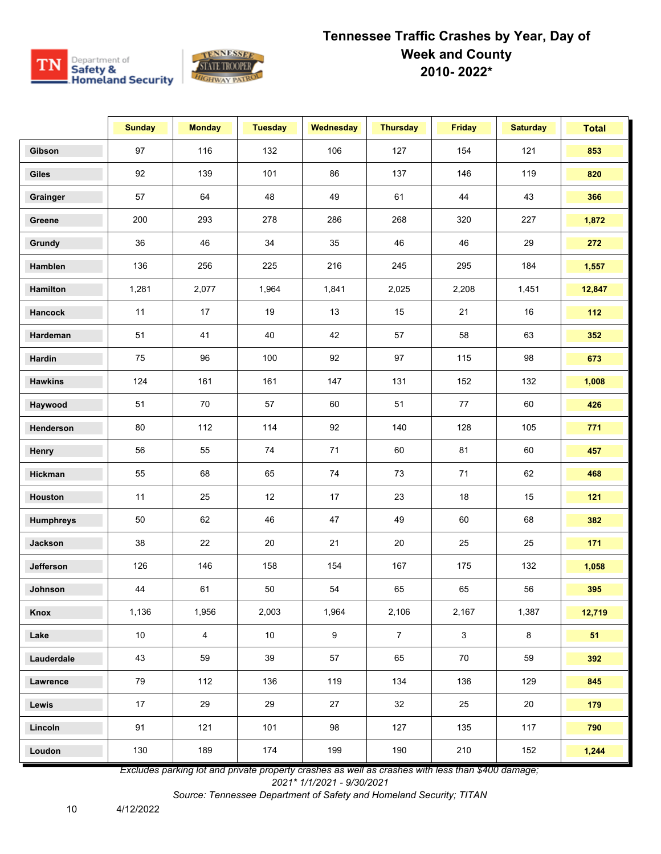

|                  | <b>Sunday</b> | <b>Monday</b>  | <b>Tuesday</b> | <b>Wednesday</b> | <b>Thursday</b> | <b>Friday</b> | <b>Saturday</b> | <b>Total</b> |
|------------------|---------------|----------------|----------------|------------------|-----------------|---------------|-----------------|--------------|
| Gibson           | 97            | 116            | 132            | 106              | 127             | 154           | 121             | 853          |
| <b>Giles</b>     | 92            | 139            | 101            | 86               | 137             | 146           | 119             | 820          |
| Grainger         | 57            | 64             | 48             | 49               | 61              | 44            | 43              | 366          |
| Greene           | 200           | 293            | 278            | 286              | 268             | 320           | 227             | 1,872        |
| Grundy           | 36            | 46             | 34             | 35               | 46              | 46            | 29              | 272          |
| Hamblen          | 136           | 256            | 225            | 216              | 245             | 295           | 184             | 1,557        |
| Hamilton         | 1,281         | 2,077          | 1,964          | 1,841            | 2,025           | 2,208         | 1,451           | 12,847       |
| Hancock          | 11            | 17             | 19             | 13               | 15              | 21            | 16              | 112          |
| Hardeman         | 51            | 41             | 40             | 42               | 57              | 58            | 63              | 352          |
| Hardin           | 75            | 96             | 100            | 92               | 97              | 115           | 98              | 673          |
| <b>Hawkins</b>   | 124           | 161            | 161            | 147              | 131             | 152           | 132             | 1,008        |
| Haywood          | 51            | 70             | 57             | 60               | 51              | $77\,$        | 60              | 426          |
| Henderson        | 80            | 112            | 114            | 92               | 140             | 128           | 105             | 771          |
| Henry            | 56            | 55             | 74             | 71               | 60              | 81            | 60              | 457          |
| Hickman          | 55            | 68             | 65             | 74               | 73              | 71            | 62              | 468          |
| Houston          | 11            | 25             | 12             | 17               | 23              | 18            | 15              | 121          |
| <b>Humphreys</b> | 50            | 62             | 46             | 47               | 49              | 60            | 68              | 382          |
| Jackson          | 38            | 22             | 20             | 21               | 20              | 25            | 25              | 171          |
| Jefferson        | 126           | 146            | 158            | 154              | 167             | 175           | 132             | 1,058        |
| Johnson          | 44            | 61             | 50             | 54               | 65              | 65            | 56              | 395          |
| Knox             | 1,136         | 1,956          | 2,003          | 1,964            | 2,106           | 2,167         | 1,387           | 12,719       |
| Lake             | $10\,$        | $\overline{4}$ | 10             | 9                | $\overline{7}$  | $\mathbf{3}$  | 8               | 51           |
| Lauderdale       | 43            | 59             | 39             | 57               | 65              | 70            | 59              | 392          |
| Lawrence         | 79            | 112            | 136            | 119              | 134             | 136           | 129             | 845          |
| Lewis            | 17            | 29             | 29             | 27               | 32              | 25            | 20              | 179          |
| Lincoln          | 91            | 121            | 101            | 98               | 127             | 135           | 117             | 790          |
| Loudon           | 130           | 189            | 174            | 199              | 190             | 210           | 152             | 1,244        |

*Excludes parking lot and private property crashes as well as crashes with less than \$400 damage;* 

*2021\* 1/1/2021 - 9/30/2021*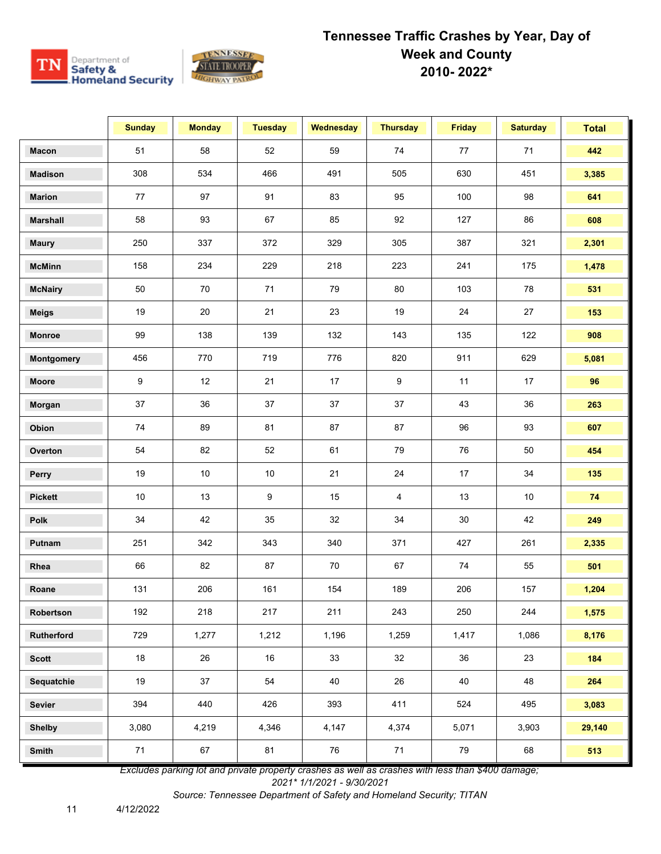

|                   | <b>Sunday</b> | <b>Monday</b> | <b>Tuesday</b> | <b>Wednesday</b> | <b>Thursday</b> | <b>Friday</b> | <b>Saturday</b> | <b>Total</b> |
|-------------------|---------------|---------------|----------------|------------------|-----------------|---------------|-----------------|--------------|
| <b>Macon</b>      | 51            | 58            | 52             | 59               | 74              | 77            | 71              | 442          |
| <b>Madison</b>    | 308           | 534           | 466            | 491              | 505             | 630           | 451             | 3,385        |
| <b>Marion</b>     | 77            | 97            | 91             | 83               | 95              | 100           | 98              | 641          |
| <b>Marshall</b>   | 58            | 93            | 67             | 85               | 92              | 127           | 86              | 608          |
| <b>Maury</b>      | 250           | 337           | 372            | 329              | 305             | 387           | 321             | 2,301        |
| <b>McMinn</b>     | 158           | 234           | 229            | 218              | 223             | 241           | 175             | 1,478        |
| <b>McNairy</b>    | 50            | 70            | 71             | 79               | 80              | 103           | 78              | 531          |
| <b>Meigs</b>      | 19            | 20            | 21             | 23               | 19              | 24            | 27              | 153          |
| <b>Monroe</b>     | 99            | 138           | 139            | 132              | 143             | 135           | 122             | 908          |
| <b>Montgomery</b> | 456           | 770           | 719            | 776              | 820             | 911           | 629             | 5,081        |
| Moore             | 9             | 12            | 21             | 17               | 9               | 11            | 17              | 96           |
| Morgan            | 37            | 36            | 37             | 37               | 37              | 43            | 36              | 263          |
| Obion             | 74            | 89            | 81             | 87               | 87              | 96            | 93              | 607          |
| Overton           | 54            | 82            | 52             | 61               | 79              | 76            | 50              | 454          |
| Perry             | 19            | $10\,$        | $10\,$         | 21               | 24              | 17            | 34              | 135          |
| <b>Pickett</b>    | $10\,$        | 13            | 9              | 15               | 4               | 13            | 10              | 74           |
| <b>Polk</b>       | 34            | 42            | 35             | 32               | 34              | 30            | 42              | 249          |
| Putnam            | 251           | 342           | 343            | 340              | 371             | 427           | 261             | 2,335        |
| Rhea              | 66            | 82            | 87             | 70               | 67              | 74            | 55              | 501          |
| Roane             | 131           | 206           | 161            | 154              | 189             | 206           | 157             | 1,204        |
| Robertson         | 192           | 218           | 217            | 211              | 243             | 250           | 244             | 1,575        |
| Rutherford        | 729           | 1,277         | 1,212          | 1,196            | 1,259           | 1,417         | 1,086           | 8,176        |
| <b>Scott</b>      | 18            | 26            | 16             | 33               | 32              | 36            | 23              | 184          |
| Sequatchie        | 19            | 37            | 54             | 40               | 26              | 40            | 48              | 264          |
| Sevier            | 394           | 440           | 426            | 393              | 411             | 524           | 495             | 3,083        |
| <b>Shelby</b>     | 3,080         | 4,219         | 4,346          | 4,147            | 4,374           | 5,071         | 3,903           | 29,140       |
| Smith             | 71            | 67            | 81             | 76               | 71              | 79            | 68              | 513          |

*Excludes parking lot and private property crashes as well as crashes with less than \$400 damage;* 

*2021\* 1/1/2021 - 9/30/2021 Source: Tennessee Department of Safety and Homeland Security; TITAN*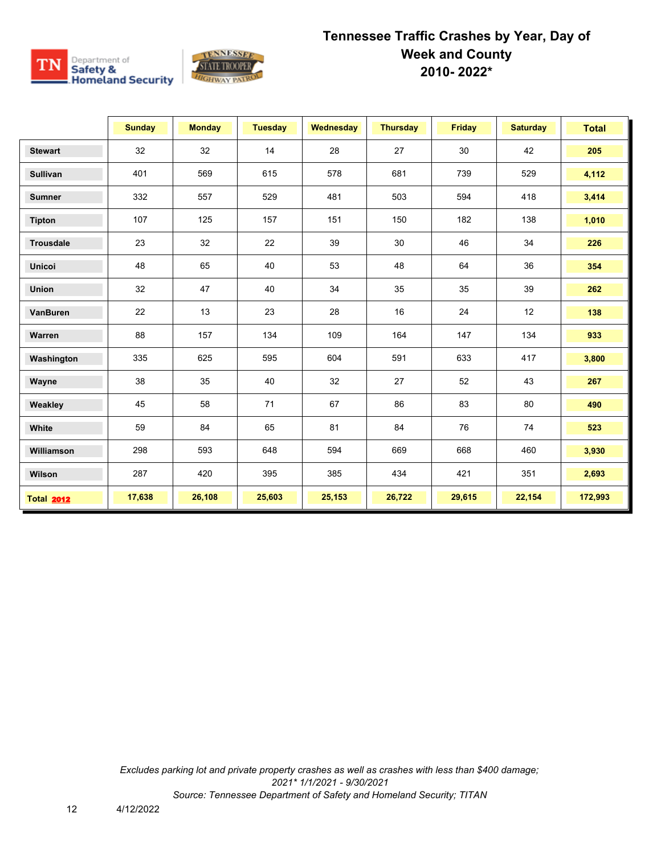

|                   | <b>Sunday</b> | <b>Monday</b> | <b>Tuesday</b> | <b>Wednesday</b> | <b>Thursday</b> | <b>Friday</b> | <b>Saturday</b> | <b>Total</b> |
|-------------------|---------------|---------------|----------------|------------------|-----------------|---------------|-----------------|--------------|
| <b>Stewart</b>    | 32            | 32            | 14             | 28               | 27              | 30            | 42              | 205          |
| <b>Sullivan</b>   | 401           | 569           | 615            | 578              | 681             | 739           | 529             | 4,112        |
| <b>Sumner</b>     | 332           | 557           | 529            | 481              | 503             | 594           | 418             | 3,414        |
| <b>Tipton</b>     | 107           | 125           | 157            | 151              | 150             | 182           | 138             | 1,010        |
| <b>Trousdale</b>  | 23            | 32            | 22             | 39               | 30              | 46            | 34              | 226          |
| <b>Unicoi</b>     | 48            | 65            | 40             | 53               | 48              | 64            | 36              | 354          |
| <b>Union</b>      | 32            | 47            | 40             | 34               | 35              | 35            | 39              | 262          |
| VanBuren          | 22            | 13            | 23             | 28               | 16              | 24            | 12              | 138          |
| Warren            | 88            | 157           | 134            | 109              | 164             | 147           | 134             | 933          |
| Washington        | 335           | 625           | 595            | 604              | 591             | 633           | 417             | 3,800        |
| Wayne             | 38            | 35            | 40             | 32               | 27              | 52            | 43              | 267          |
| Weakley           | 45            | 58            | 71             | 67               | 86              | 83            | 80              | 490          |
| White             | 59            | 84            | 65             | 81               | 84              | 76            | 74              | 523          |
| Williamson        | 298           | 593           | 648            | 594              | 669             | 668           | 460             | 3,930        |
| Wilson            | 287           | 420           | 395            | 385              | 434             | 421           | 351             | 2,693        |
| <b>Total 2012</b> | 17,638        | 26,108        | 25,603         | 25,153           | 26,722          | 29,615        | 22,154          | 172,993      |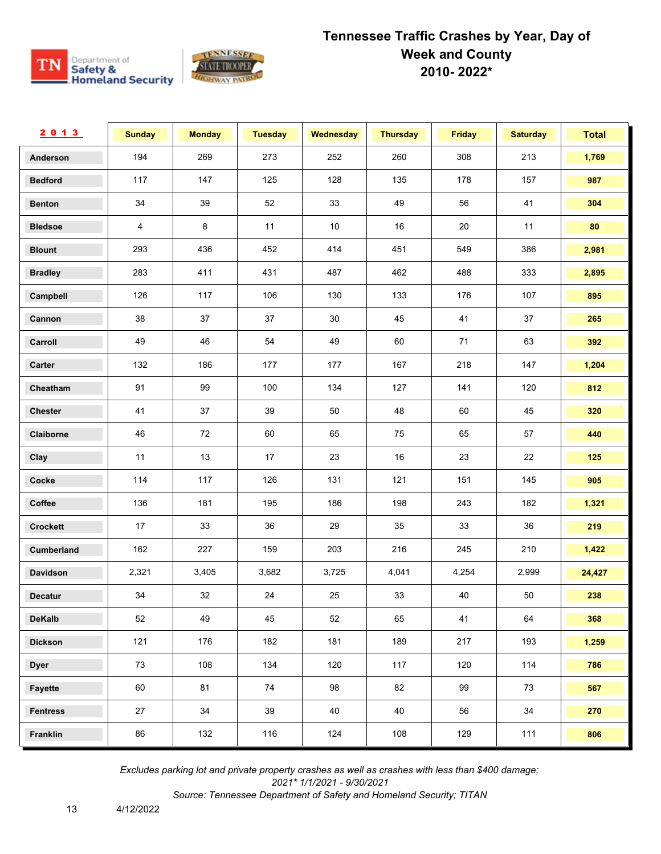

| 2013            | <b>Sunday</b>  | <b>Monday</b> | <b>Tuesday</b> | Wednesday | <b>Thursday</b> | <b>Friday</b> | <b>Saturday</b> | <b>Total</b> |
|-----------------|----------------|---------------|----------------|-----------|-----------------|---------------|-----------------|--------------|
| Anderson        | 194            | 269           | 273            | 252       | 260             | 308           | 213             | 1,769        |
| <b>Bedford</b>  | 117            | 147           | 125            | 128       | 135             | 178           | 157             | 987          |
| <b>Benton</b>   | 34             | 39            | 52             | 33        | 49              | 56            | 41              | 304          |
| <b>Bledsoe</b>  | $\overline{4}$ | 8             | 11             | $10$      | 16              | $20\,$        | 11              | 80           |
| <b>Blount</b>   | 293            | 436           | 452            | 414       | 451             | 549           | 386             | 2,981        |
| <b>Bradley</b>  | 283            | 411           | 431            | 487       | 462             | 488           | 333             | 2,895        |
| Campbell        | 126            | 117           | 106            | 130       | 133             | 176           | 107             | 895          |
| Cannon          | 38             | 37            | 37             | 30        | 45              | 41            | 37              | 265          |
| Carroll         | 49             | 46            | 54             | 49        | 60              | $71$          | 63              | 392          |
| Carter          | 132            | 186           | 177            | 177       | 167             | 218           | 147             | 1,204        |
| Cheatham        | 91             | 99            | 100            | 134       | 127             | 141           | 120             | 812          |
| Chester         | 41             | 37            | 39             | 50        | 48              | 60            | 45              | 320          |
| Claiborne       | 46             | 72            | 60             | 65        | 75              | 65            | 57              | 440          |
| Clay            | 11             | $13$          | 17             | 23        | 16              | 23            | 22              | 125          |
| Cocke           | 114            | 117           | 126            | 131       | 121             | 151           | 145             | 905          |
| Coffee          | 136            | 181           | 195            | 186       | 198             | 243           | 182             | 1,321        |
| Crockett        | 17             | 33            | 36             | 29        | 35              | 33            | 36              | 219          |
| Cumberland      | 162            | 227           | 159            | 203       | 216             | 245           | 210             | 1,422        |
| <b>Davidson</b> | 2,321          | 3,405         | 3,682          | 3,725     | 4,041           | 4,254         | 2,999           | 24,427       |
| <b>Decatur</b>  | 34             | 32            | 24             | 25        | 33              | 40            | 50              | 238          |
| <b>DeKalb</b>   | 52             | 49            | 45             | 52        | 65              | 41            | 64              | 368          |
| <b>Dickson</b>  | 121            | 176           | 182            | 181       | 189             | 217           | 193             | 1,259        |
| <b>Dyer</b>     | 73             | 108           | 134            | 120       | 117             | 120           | 114             | 786          |
| Fayette         | 60             | 81            | 74             | 98        | 82              | 99            | 73              | 567          |
| <b>Fentress</b> | 27             | 34            | 39             | 40        | 40              | 56            | 34              | 270          |
| Franklin        | 86             | 132           | 116            | 124       | 108             | 129           | 111             | 806          |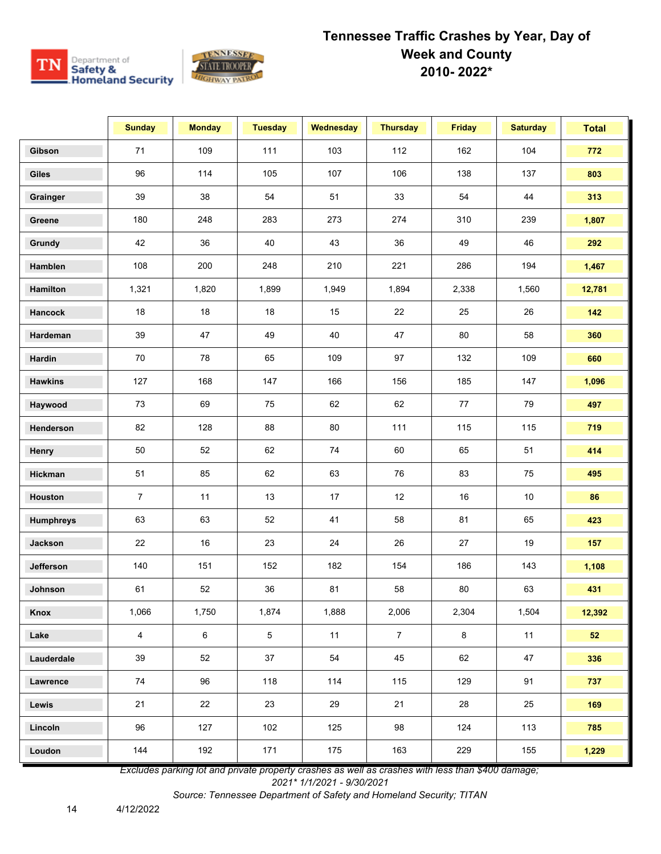

|                  | <b>Sunday</b>  | <b>Monday</b> | <b>Tuesday</b>  | <b>Wednesday</b> | <b>Thursday</b> | <b>Friday</b> | <b>Saturday</b> | <b>Total</b> |
|------------------|----------------|---------------|-----------------|------------------|-----------------|---------------|-----------------|--------------|
| Gibson           | $71$           | 109           | 111             | 103              | 112             | 162           | 104             | 772          |
| <b>Giles</b>     | 96             | 114           | 105             | 107              | 106             | 138           | 137             | 803          |
| Grainger         | 39             | 38            | 54              | 51               | 33              | 54            | 44              | 313          |
| Greene           | 180            | 248           | 283             | 273              | 274             | 310           | 239             | 1,807        |
| Grundy           | 42             | 36            | 40              | 43               | 36              | 49            | 46              | 292          |
| Hamblen          | 108            | 200           | 248             | 210              | 221             | 286           | 194             | 1,467        |
| Hamilton         | 1,321          | 1,820         | 1,899           | 1,949            | 1,894           | 2,338         | 1,560           | 12,781       |
| Hancock          | 18             | 18            | 18              | 15               | 22              | 25            | 26              | 142          |
| Hardeman         | 39             | 47            | 49              | 40               | 47              | 80            | 58              | 360          |
| Hardin           | 70             | 78            | 65              | 109              | 97              | 132           | 109             | 660          |
| <b>Hawkins</b>   | 127            | 168           | 147             | 166              | 156             | 185           | 147             | 1,096        |
| Haywood          | 73             | 69            | 75              | 62               | 62              | $77\,$        | 79              | 497          |
| Henderson        | 82             | 128           | 88              | 80               | 111             | 115           | 115             | 719          |
| Henry            | 50             | 52            | 62              | 74               | 60              | 65            | 51              | 414          |
| Hickman          | 51             | 85            | 62              | 63               | 76              | 83            | 75              | 495          |
| Houston          | $\overline{7}$ | 11            | 13              | 17               | 12              | 16            | $10$            | 86           |
| <b>Humphreys</b> | 63             | 63            | 52              | 41               | 58              | 81            | 65              | 423          |
| Jackson          | 22             | 16            | 23              | 24               | 26              | 27            | 19              | 157          |
| Jefferson        | 140            | 151           | 152             | 182              | 154             | 186           | 143             | 1,108        |
| Johnson          | 61             | 52            | 36              | 81               | 58              | 80            | 63              | 431          |
| Knox             | 1,066          | 1,750         | 1,874           | 1,888            | 2,006           | 2,304         | 1,504           | 12,392       |
| Lake             | $\overline{4}$ | $\,6\,$       | $5\phantom{.0}$ | 11               | $\overline{7}$  | 8             | 11              | 52           |
| Lauderdale       | 39             | 52            | 37              | 54               | 45              | 62            | 47              | 336          |
| Lawrence         | 74             | 96            | 118             | 114              | 115             | 129           | 91              | 737          |
| Lewis            | 21             | 22            | 23              | 29               | 21              | 28            | 25              | 169          |
| Lincoln          | 96             | 127           | 102             | 125              | 98              | 124           | 113             | 785          |
| Loudon           | 144            | 192           | 171             | 175              | 163             | 229           | 155             | 1,229        |

*Excludes parking lot and private property crashes as well as crashes with less than \$400 damage;* 

*2021\* 1/1/2021 - 9/30/2021*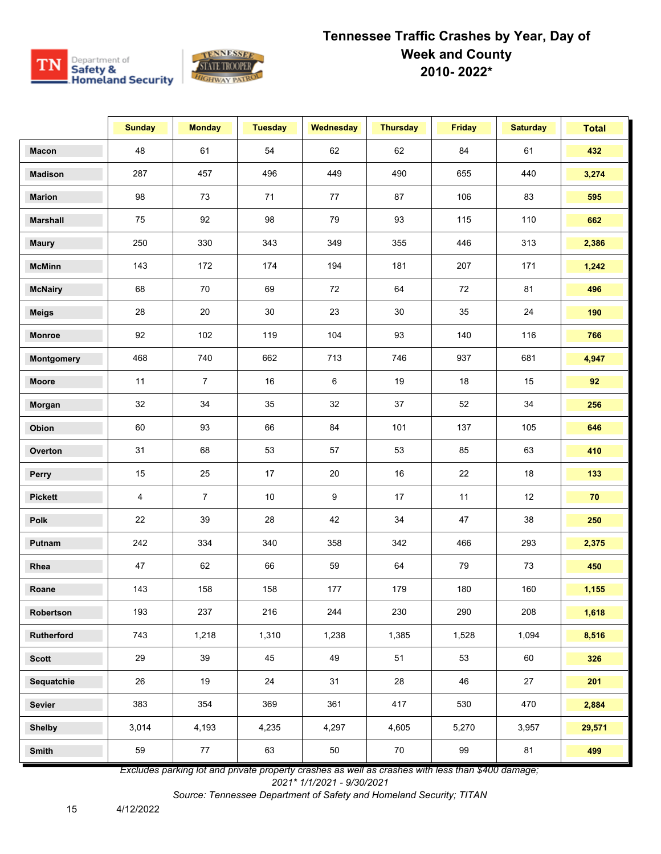

|                 | <b>Sunday</b> | <b>Monday</b>  | <b>Tuesday</b> | Wednesday      | <b>Thursday</b> | <b>Friday</b> | <b>Saturday</b> | <b>Total</b> |
|-----------------|---------------|----------------|----------------|----------------|-----------------|---------------|-----------------|--------------|
| <b>Macon</b>    | 48            | 61             | 54             | 62             | 62              | 84            | 61              | 432          |
| <b>Madison</b>  | 287           | 457            | 496            | 449            | 490             | 655           | 440             | 3,274        |
| <b>Marion</b>   | 98            | 73             | 71             | 77             | 87              | 106           | 83              | 595          |
| <b>Marshall</b> | 75            | 92             | 98             | 79             | 93              | 115           | 110             | 662          |
| <b>Maury</b>    | 250           | 330            | 343            | 349            | 355             | 446           | 313             | 2,386        |
| <b>McMinn</b>   | 143           | 172            | 174            | 194            | 181             | 207           | 171             | 1,242        |
| <b>McNairy</b>  | 68            | 70             | 69             | 72             | 64              | 72            | 81              | 496          |
| <b>Meigs</b>    | 28            | 20             | 30             | 23             | 30              | 35            | 24              | 190          |
| Monroe          | 92            | 102            | 119            | 104            | 93              | 140           | 116             | 766          |
| Montgomery      | 468           | 740            | 662            | 713            | 746             | 937           | 681             | 4,947        |
| Moore           | 11            | $\overline{7}$ | 16             | $6\phantom{a}$ | 19              | 18            | 15              | 92           |
| Morgan          | 32            | 34             | 35             | 32             | 37              | 52            | 34              | 256          |
| Obion           | 60            | 93             | 66             | 84             | 101             | 137           | 105             | 646          |
| Overton         | 31            | 68             | 53             | 57             | 53              | 85            | 63              | 410          |
| Perry           | 15            | 25             | 17             | 20             | 16              | 22            | 18              | 133          |
| <b>Pickett</b>  | 4             | $\overline{7}$ | 10             | $9\,$          | 17              | 11            | 12              | 70           |
| <b>Polk</b>     | 22            | 39             | 28             | 42             | 34              | 47            | 38              | 250          |
| Putnam          | 242           | 334            | 340            | 358            | 342             | 466           | 293             | 2,375        |
| Rhea            | 47            | 62             | 66             | 59             | 64              | 79            | 73              | 450          |
| Roane           | 143           | 158            | 158            | 177            | 179             | 180           | 160             | 1,155        |
| Robertson       | 193           | 237            | 216            | 244            | 230             | 290           | 208             | 1,618        |
| Rutherford      | 743           | 1,218          | 1,310          | 1,238          | 1,385           | 1,528         | 1,094           | 8,516        |
| <b>Scott</b>    | 29            | 39             | 45             | 49             | 51              | 53            | 60              | 326          |
| Sequatchie      | 26            | 19             | 24             | 31             | 28              | 46            | 27              | 201          |
| Sevier          | 383           | 354            | 369            | 361            | 417             | 530           | 470             | 2,884        |
| <b>Shelby</b>   | 3,014         | 4,193          | 4,235          | 4,297          | 4,605           | 5,270         | 3,957           | 29,571       |
| Smith           | 59            | 77             | 63             | 50             | 70              | 99            | 81              | 499          |

*Excludes parking lot and private property crashes as well as crashes with less than \$400 damage;* 

*2021\* 1/1/2021 - 9/30/2021*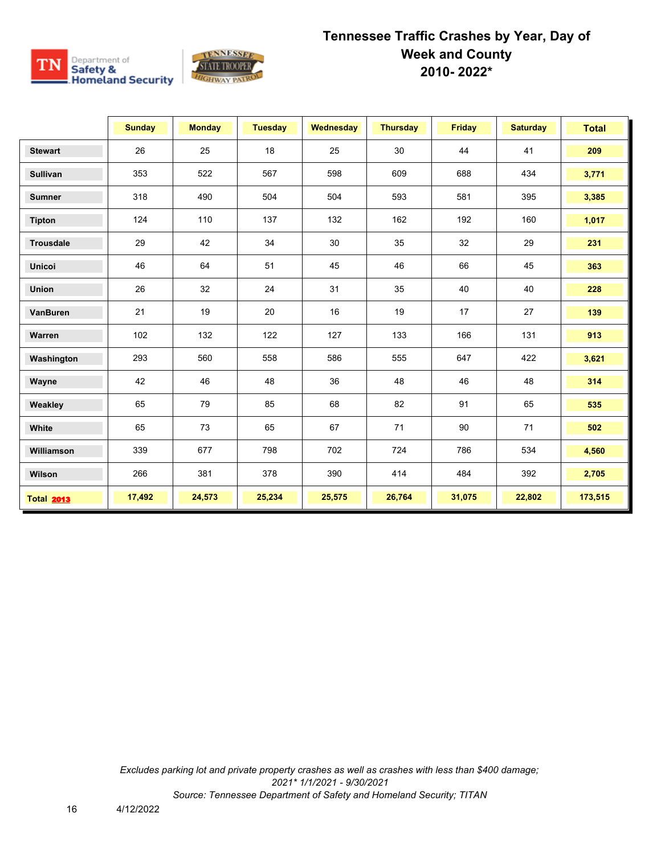

|                   | <b>Sunday</b> | <b>Monday</b> | <b>Tuesday</b> | <b>Wednesday</b> | <b>Thursday</b> | <b>Friday</b> | <b>Saturday</b> | <b>Total</b> |
|-------------------|---------------|---------------|----------------|------------------|-----------------|---------------|-----------------|--------------|
| <b>Stewart</b>    | 26            | 25            | 18             | 25               | 30              | 44            | 41              | 209          |
| <b>Sullivan</b>   | 353           | 522           | 567            | 598              | 609             | 688           | 434             | 3,771        |
| <b>Sumner</b>     | 318           | 490           | 504            | 504              | 593             | 581           | 395             | 3,385        |
| <b>Tipton</b>     | 124           | 110           | 137            | 132              | 162             | 192           | 160             | 1,017        |
| <b>Trousdale</b>  | 29            | 42            | 34             | 30               | 35              | 32            | 29              | 231          |
| <b>Unicoi</b>     | 46            | 64            | 51             | 45               | 46              | 66            | 45              | 363          |
| Union             | 26            | 32            | 24             | 31               | 35              | 40            | 40              | 228          |
| VanBuren          | 21            | 19            | 20             | 16               | 19              | 17            | 27              | 139          |
| Warren            | 102           | 132           | 122            | 127              | 133             | 166           | 131             | 913          |
| Washington        | 293           | 560           | 558            | 586              | 555             | 647           | 422             | 3,621        |
| Wayne             | 42            | 46            | 48             | 36               | 48              | 46            | 48              | 314          |
| Weakley           | 65            | 79            | 85             | 68               | 82              | 91            | 65              | 535          |
| White             | 65            | 73            | 65             | 67               | 71              | 90            | 71              | 502          |
| Williamson        | 339           | 677           | 798            | 702              | 724             | 786           | 534             | 4,560        |
| Wilson            | 266           | 381           | 378            | 390              | 414             | 484           | 392             | 2,705        |
| <b>Total 2013</b> | 17,492        | 24,573        | 25,234         | 25,575           | 26,764          | 31,075        | 22,802          | 173,515      |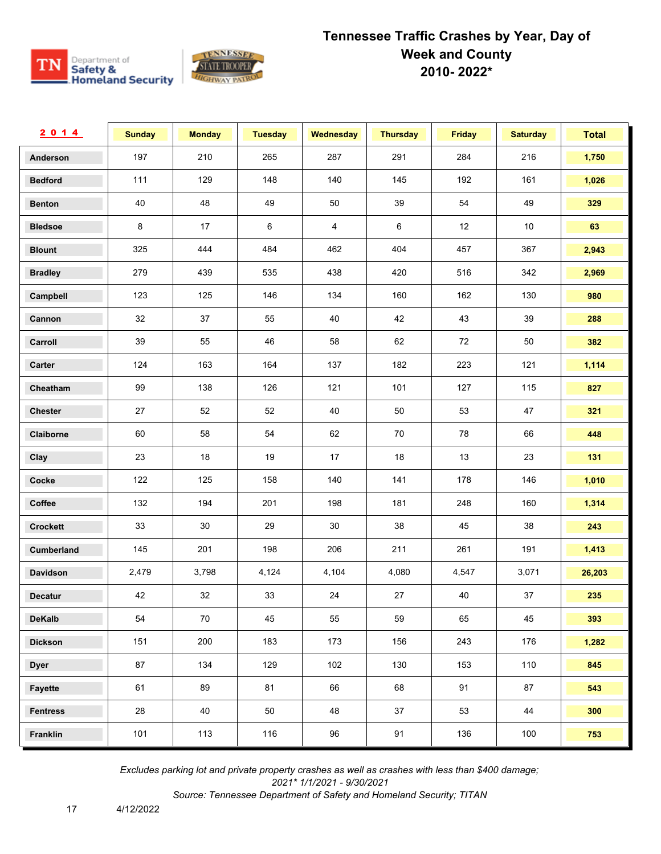

| 2014            | <b>Sunday</b> | <b>Monday</b> | <b>Tuesday</b> | <b>Wednesday</b> | <b>Thursday</b> | <b>Friday</b> | <b>Saturday</b> | <b>Total</b> |
|-----------------|---------------|---------------|----------------|------------------|-----------------|---------------|-----------------|--------------|
| Anderson        | 197           | 210           | 265            | 287              | 291             | 284           | 216             | 1,750        |
| <b>Bedford</b>  | 111           | 129           | 148            | 140              | 145             | 192           | 161             | 1,026        |
| <b>Benton</b>   | 40            | 48            | 49             | 50               | 39              | 54            | 49              | 329          |
| <b>Bledsoe</b>  | 8             | 17            | 6              | 4                | 6               | 12            | 10              | 63           |
| <b>Blount</b>   | 325           | 444           | 484            | 462              | 404             | 457           | 367             | 2,943        |
| <b>Bradley</b>  | 279           | 439           | 535            | 438              | 420             | 516           | 342             | 2,969        |
| Campbell        | 123           | 125           | 146            | 134              | 160             | 162           | 130             | 980          |
| Cannon          | 32            | 37            | 55             | 40               | 42              | 43            | 39              | 288          |
| Carroll         | 39            | 55            | 46             | 58               | 62              | 72            | 50              | 382          |
| Carter          | 124           | 163           | 164            | 137              | 182             | 223           | 121             | 1,114        |
| Cheatham        | 99            | 138           | 126            | 121              | 101             | 127           | 115             | 827          |
| Chester         | 27            | 52            | 52             | 40               | 50              | 53            | 47              | 321          |
| Claiborne       | 60            | 58            | 54             | 62               | 70              | 78            | 66              | 448          |
| Clay            | 23            | 18            | 19             | 17               | 18              | 13            | 23              | 131          |
| Cocke           | 122           | 125           | 158            | 140              | 141             | 178           | 146             | 1,010        |
| Coffee          | 132           | 194           | 201            | 198              | 181             | 248           | 160             | 1,314        |
| <b>Crockett</b> | 33            | 30            | 29             | 30               | 38              | 45            | 38              | 243          |
| Cumberland      | 145           | 201           | 198            | 206              | 211             | 261           | 191             | 1,413        |
| Davidson        | 2,479         | 3,798         | 4,124          | 4,104            | 4,080           | 4,547         | 3,071           | 26,203       |
| <b>Decatur</b>  | 42            | 32            | 33             | 24               | 27              | 40            | 37              | 235          |
| <b>DeKalb</b>   | 54            | $70\,$        | 45             | 55               | 59              | 65            | 45              | 393          |
| <b>Dickson</b>  | 151           | 200           | 183            | 173              | 156             | 243           | 176             | 1,282        |
| <b>Dyer</b>     | 87            | 134           | 129            | 102              | 130             | 153           | 110             | 845          |
| Fayette         | 61            | 89            | 81             | 66               | 68              | 91            | 87              | 543          |
| <b>Fentress</b> | 28            | 40            | 50             | 48               | 37              | 53            | 44              | 300          |
| Franklin        | 101           | 113           | 116            | 96               | 91              | 136           | 100             | 753          |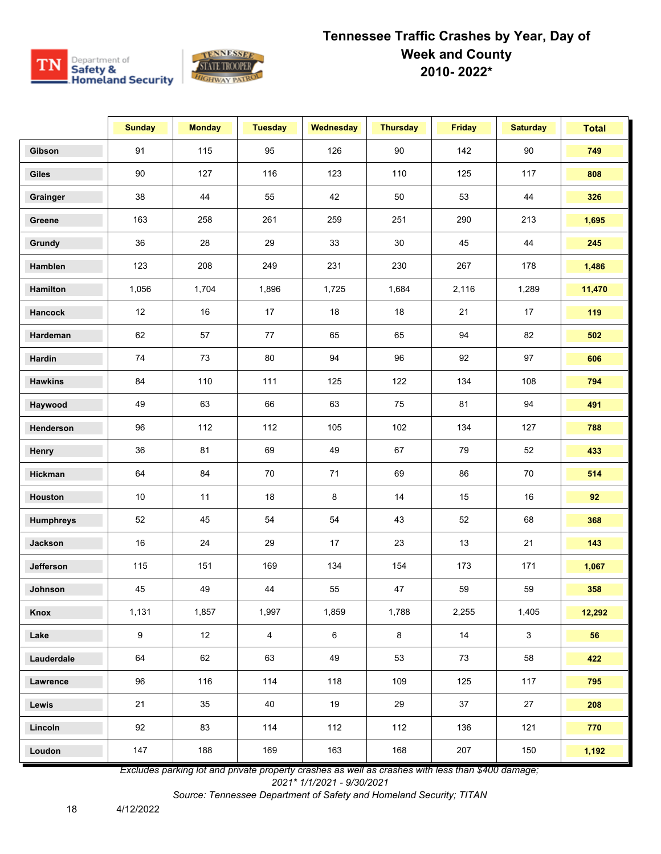

|                  | <b>Sunday</b> | <b>Monday</b> | <b>Tuesday</b> | <b>Wednesday</b> | <b>Thursday</b> | <b>Friday</b> | <b>Saturday</b> | <b>Total</b> |
|------------------|---------------|---------------|----------------|------------------|-----------------|---------------|-----------------|--------------|
| Gibson           | 91            | 115           | 95             | 126              | 90              | 142           | 90              | 749          |
| <b>Giles</b>     | 90            | 127           | 116            | 123              | 110             | 125           | 117             | 808          |
| Grainger         | 38            | 44            | 55             | 42               | 50              | 53            | 44              | 326          |
| Greene           | 163           | 258           | 261            | 259              | 251             | 290           | 213             | 1,695        |
| Grundy           | 36            | 28            | 29             | 33               | $30\,$          | 45            | 44              | 245          |
| Hamblen          | 123           | 208           | 249            | 231              | 230             | 267           | 178             | 1,486        |
| Hamilton         | 1,056         | 1,704         | 1,896          | 1,725            | 1,684           | 2,116         | 1,289           | 11,470       |
| Hancock          | 12            | 16            | 17             | 18               | 18              | 21            | 17              | 119          |
| Hardeman         | 62            | 57            | 77             | 65               | 65              | 94            | 82              | 502          |
| Hardin           | 74            | 73            | 80             | 94               | 96              | 92            | 97              | 606          |
| <b>Hawkins</b>   | 84            | 110           | 111            | 125              | 122             | 134           | 108             | 794          |
| Haywood          | 49            | 63            | 66             | 63               | 75              | 81            | 94              | 491          |
| Henderson        | 96            | 112           | 112            | 105              | 102             | 134           | 127             | 788          |
| Henry            | 36            | 81            | 69             | 49               | 67              | 79            | 52              | 433          |
| Hickman          | 64            | 84            | 70             | 71               | 69              | 86            | 70              | 514          |
| Houston          | $10\,$        | 11            | 18             | 8                | 14              | 15            | 16              | 92           |
| <b>Humphreys</b> | 52            | 45            | 54             | 54               | 43              | 52            | 68              | 368          |
| Jackson          | 16            | 24            | 29             | 17               | 23              | 13            | 21              | 143          |
| Jefferson        | 115           | 151           | 169            | 134              | 154             | 173           | 171             | 1,067        |
| Johnson          | 45            | 49            | 44             | 55               | 47              | 59            | 59              | 358          |
| Knox             | 1,131         | 1,857         | 1,997          | 1,859            | 1,788           | 2,255         | 1,405           | 12,292       |
| Lake             | 9             | 12            | $\overline{4}$ | $\,6\,$          | 8               | 14            | $\mathbf{3}$    | 56           |
| Lauderdale       | 64            | 62            | 63             | 49               | 53              | 73            | 58              | 422          |
| Lawrence         | 96            | 116           | 114            | 118              | 109             | 125           | 117             | 795          |
| Lewis            | 21            | 35            | 40             | 19               | 29              | 37            | 27              | 208          |
| Lincoln          | 92            | 83            | 114            | 112              | 112             | 136           | 121             | 770          |
| Loudon           | 147           | 188           | 169            | 163              | 168             | 207           | 150             | 1,192        |

*Excludes parking lot and private property crashes as well as crashes with less than \$400 damage;* 

*2021\* 1/1/2021 - 9/30/2021*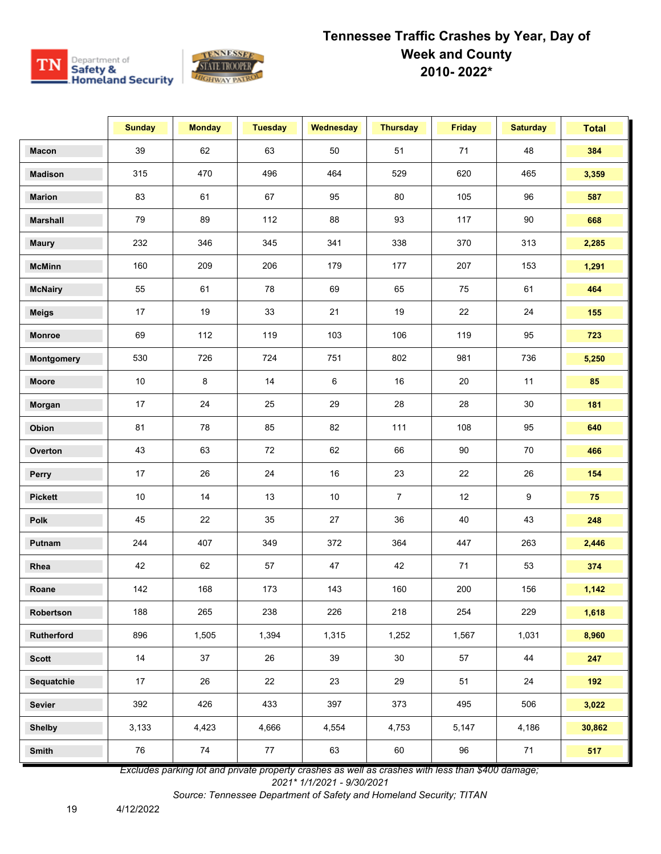

|                 | <b>Sunday</b> | <b>Monday</b> | <b>Tuesday</b> | Wednesday      | <b>Thursday</b> | <b>Friday</b> | <b>Saturday</b>  | <b>Total</b> |
|-----------------|---------------|---------------|----------------|----------------|-----------------|---------------|------------------|--------------|
| <b>Macon</b>    | 39            | 62            | 63             | 50             | 51              | 71            | 48               | 384          |
| <b>Madison</b>  | 315           | 470           | 496            | 464            | 529             | 620           | 465              | 3,359        |
| <b>Marion</b>   | 83            | 61            | 67             | 95             | 80              | 105           | 96               | 587          |
| <b>Marshall</b> | 79            | 89            | 112            | 88             | 93              | 117           | 90               | 668          |
| <b>Maury</b>    | 232           | 346           | 345            | 341            | 338             | 370           | 313              | 2,285        |
| <b>McMinn</b>   | 160           | 209           | 206            | 179            | 177             | 207           | 153              | 1,291        |
| <b>McNairy</b>  | 55            | 61            | 78             | 69             | 65              | 75            | 61               | 464          |
| <b>Meigs</b>    | 17            | 19            | 33             | 21             | 19              | 22            | 24               | 155          |
| Monroe          | 69            | 112           | 119            | 103            | 106             | 119           | 95               | 723          |
| Montgomery      | 530           | 726           | 724            | 751            | 802             | 981           | 736              | 5,250        |
| Moore           | $10\,$        | 8             | 14             | $6\phantom{a}$ | 16              | 20            | 11               | 85           |
| Morgan          | 17            | 24            | 25             | 29             | 28              | 28            | 30               | 181          |
| Obion           | 81            | 78            | 85             | 82             | 111             | 108           | 95               | 640          |
| Overton         | 43            | 63            | 72             | 62             | 66              | 90            | 70               | 466          |
| Perry           | 17            | 26            | 24             | 16             | 23              | 22            | 26               | 154          |
| <b>Pickett</b>  | $10\,$        | 14            | 13             | 10             | $\overline{7}$  | 12            | $\boldsymbol{9}$ | 75           |
| <b>Polk</b>     | 45            | 22            | 35             | 27             | 36              | 40            | 43               | 248          |
| Putnam          | 244           | 407           | 349            | 372            | 364             | 447           | 263              | 2,446        |
| Rhea            | 42            | 62            | 57             | 47             | 42              | 71            | 53               | 374          |
| Roane           | 142           | 168           | 173            | 143            | 160             | 200           | 156              | 1,142        |
| Robertson       | 188           | 265           | 238            | 226            | 218             | 254           | 229              | 1,618        |
| Rutherford      | 896           | 1,505         | 1,394          | 1,315          | 1,252           | 1,567         | 1,031            | 8,960        |
| <b>Scott</b>    | 14            | 37            | 26             | 39             | $30\,$          | 57            | 44               | 247          |
| Sequatchie      | 17            | 26            | 22             | 23             | 29              | 51            | 24               | 192          |
| Sevier          | 392           | 426           | 433            | 397            | 373             | 495           | 506              | 3,022        |
| <b>Shelby</b>   | 3,133         | 4,423         | 4,666          | 4,554          | 4,753           | 5,147         | 4,186            | 30,862       |
| Smith           | 76            | 74            | 77             | 63             | 60              | 96            | 71               | 517          |

*Excludes parking lot and private property crashes as well as crashes with less than \$400 damage;* 

*2021\* 1/1/2021 - 9/30/2021*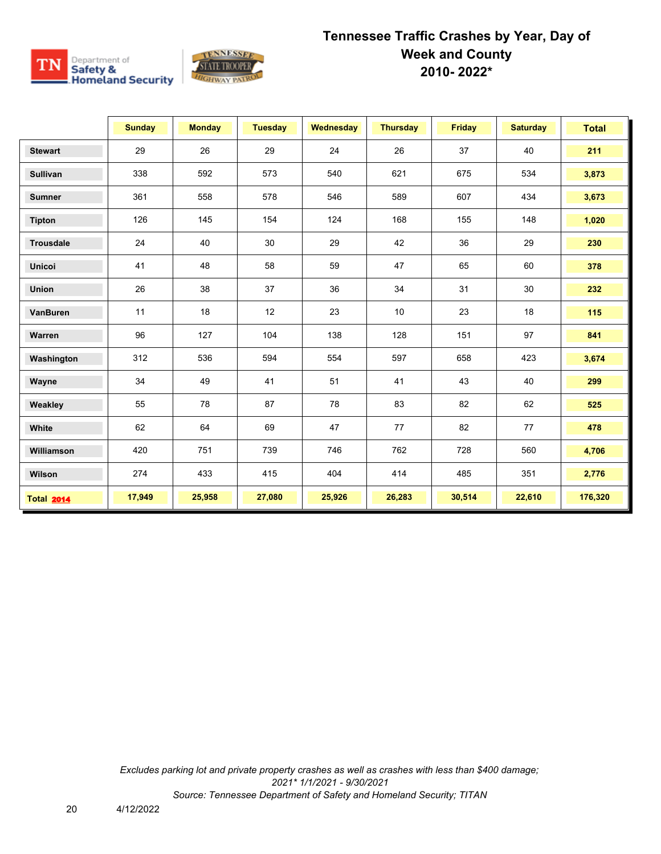

|                   | <b>Sunday</b> | <b>Monday</b> | <b>Tuesday</b> | Wednesday | <b>Thursday</b> | <b>Friday</b> | <b>Saturday</b> | <b>Total</b> |
|-------------------|---------------|---------------|----------------|-----------|-----------------|---------------|-----------------|--------------|
| <b>Stewart</b>    | 29            | 26            | 29             | 24        | 26              | 37            | 40              | 211          |
| <b>Sullivan</b>   | 338           | 592           | 573            | 540       | 621             | 675           | 534             | 3,873        |
| <b>Sumner</b>     | 361           | 558           | 578            | 546       | 589             | 607           | 434             | 3,673        |
| <b>Tipton</b>     | 126           | 145           | 154            | 124       | 168             | 155           | 148             | 1,020        |
| <b>Trousdale</b>  | 24            | 40            | 30             | 29        | 42              | 36            | 29              | 230          |
| <b>Unicoi</b>     | 41            | 48            | 58             | 59        | 47              | 65            | 60              | 378          |
| <b>Union</b>      | 26            | 38            | 37             | 36        | 34              | 31            | 30              | 232          |
| VanBuren          | 11            | 18            | 12             | 23        | 10              | 23            | 18              | 115          |
| Warren            | 96            | 127           | 104            | 138       | 128             | 151           | 97              | 841          |
| Washington        | 312           | 536           | 594            | 554       | 597             | 658           | 423             | 3,674        |
| Wayne             | 34            | 49            | 41             | 51        | 41              | 43            | 40              | 299          |
| Weakley           | 55            | 78            | 87             | 78        | 83              | 82            | 62              | 525          |
| White             | 62            | 64            | 69             | 47        | 77              | 82            | 77              | 478          |
| Williamson        | 420           | 751           | 739            | 746       | 762             | 728           | 560             | 4,706        |
| Wilson            | 274           | 433           | 415            | 404       | 414             | 485           | 351             | 2,776        |
| <b>Total 2014</b> | 17,949        | 25,958        | 27,080         | 25,926    | 26,283          | 30,514        | 22,610          | 176,320      |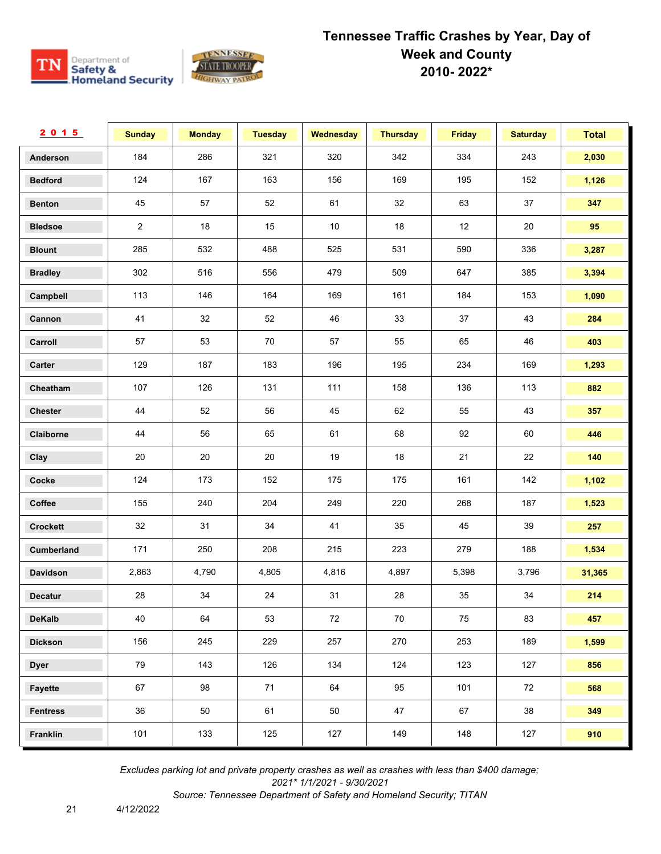

| 2015            | <b>Sunday</b>  | <b>Monday</b> | <b>Tuesday</b> | <b>Wednesday</b> | <b>Thursday</b> | <b>Friday</b> | <b>Saturday</b> | <b>Total</b> |
|-----------------|----------------|---------------|----------------|------------------|-----------------|---------------|-----------------|--------------|
| Anderson        | 184            | 286           | 321            | 320              | 342             | 334           | 243             | 2,030        |
| <b>Bedford</b>  | 124            | 167           | 163            | 156              | 169             | 195           | 152             | 1,126        |
| <b>Benton</b>   | 45             | 57            | 52             | 61               | 32              | 63            | 37              | 347          |
| <b>Bledsoe</b>  | $\overline{2}$ | 18            | 15             | $10$             | 18              | 12            | 20              | 95           |
| <b>Blount</b>   | 285            | 532           | 488            | 525              | 531             | 590           | 336             | 3,287        |
| <b>Bradley</b>  | 302            | 516           | 556            | 479              | 509             | 647           | 385             | 3,394        |
| Campbell        | 113            | 146           | 164            | 169              | 161             | 184           | 153             | 1,090        |
| Cannon          | 41             | 32            | 52             | 46               | 33              | 37            | 43              | 284          |
| Carroll         | 57             | 53            | $70\,$         | 57               | 55              | 65            | 46              | 403          |
| Carter          | 129            | 187           | 183            | 196              | 195             | 234           | 169             | 1,293        |
| Cheatham        | 107            | 126           | 131            | 111              | 158             | 136           | 113             | 882          |
| <b>Chester</b>  | 44             | 52            | 56             | 45               | 62              | 55            | 43              | 357          |
| Claiborne       | 44             | 56            | 65             | 61               | 68              | 92            | 60              | 446          |
| Clay            | 20             | 20            | 20             | 19               | 18              | 21            | 22              | 140          |
| Cocke           | 124            | 173           | 152            | 175              | 175             | 161           | 142             | 1,102        |
| Coffee          | 155            | 240           | 204            | 249              | 220             | 268           | 187             | 1,523        |
| <b>Crockett</b> | 32             | 31            | 34             | 41               | 35              | 45            | 39              | 257          |
| Cumberland      | 171            | 250           | 208            | 215              | 223             | 279           | 188             | 1,534        |
| Davidson        | 2,863          | 4,790         | 4,805          | 4,816            | 4,897           | 5,398         | 3,796           | 31,365       |
| <b>Decatur</b>  | 28             | 34            | 24             | 31               | 28              | 35            | 34              | 214          |
| <b>DeKalb</b>   | 40             | 64            | 53             | 72               | 70              | 75            | 83              | 457          |
| <b>Dickson</b>  | 156            | 245           | 229            | 257              | 270             | 253           | 189             | 1,599        |
| <b>Dyer</b>     | 79             | 143           | 126            | 134              | 124             | 123           | 127             | 856          |
| Fayette         | 67             | 98            | 71             | 64               | 95              | 101           | 72              | 568          |
| <b>Fentress</b> | 36             | 50            | 61             | 50               | 47              | 67            | 38              | 349          |
| Franklin        | 101            | 133           | 125            | 127              | 149             | 148           | 127             | 910          |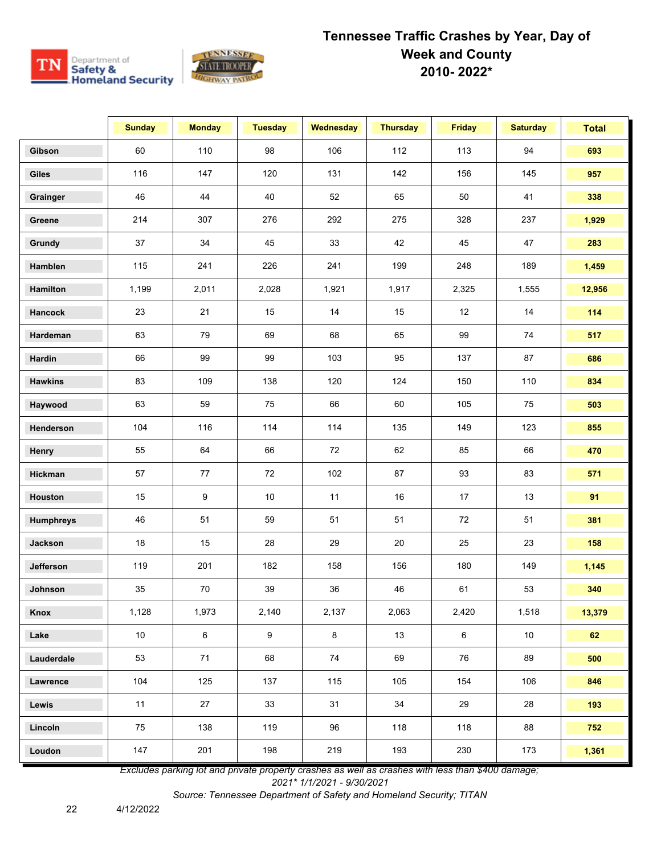

|                  | <b>Sunday</b> | <b>Monday</b> | <b>Tuesday</b> | <b>Wednesday</b> | <b>Thursday</b> | <b>Friday</b> | <b>Saturday</b> | <b>Total</b> |
|------------------|---------------|---------------|----------------|------------------|-----------------|---------------|-----------------|--------------|
| Gibson           | 60            | 110           | 98             | 106              | 112             | 113           | 94              | 693          |
| <b>Giles</b>     | 116           | 147           | 120            | 131              | 142             | 156           | 145             | 957          |
| Grainger         | 46            | 44            | 40             | 52               | 65              | 50            | 41              | 338          |
| Greene           | 214           | 307           | 276            | 292              | 275             | 328           | 237             | 1,929        |
| Grundy           | 37            | 34            | 45             | 33               | 42              | 45            | 47              | 283          |
| Hamblen          | 115           | 241           | 226            | 241              | 199             | 248           | 189             | 1,459        |
| Hamilton         | 1,199         | 2,011         | 2,028          | 1,921            | 1,917           | 2,325         | 1,555           | 12,956       |
| Hancock          | 23            | 21            | 15             | 14               | 15              | 12            | 14              | 114          |
| Hardeman         | 63            | 79            | 69             | 68               | 65              | 99            | 74              | 517          |
| Hardin           | 66            | 99            | 99             | 103              | 95              | 137           | 87              | 686          |
| <b>Hawkins</b>   | 83            | 109           | 138            | 120              | 124             | 150           | 110             | 834          |
| Haywood          | 63            | 59            | 75             | 66               | 60              | 105           | 75              | 503          |
| Henderson        | 104           | 116           | 114            | 114              | 135             | 149           | 123             | 855          |
| Henry            | 55            | 64            | 66             | 72               | 62              | 85            | 66              | 470          |
| Hickman          | 57            | 77            | 72             | 102              | 87              | 93            | 83              | 571          |
| Houston          | 15            | 9             | $10$           | 11               | 16              | 17            | 13              | 91           |
| <b>Humphreys</b> | 46            | 51            | 59             | 51               | 51              | 72            | 51              | 381          |
| Jackson          | 18            | 15            | 28             | 29               | 20              | 25            | 23              | 158          |
| Jefferson        | 119           | 201           | 182            | 158              | 156             | 180           | 149             | 1,145        |
| Johnson          | 35            | 70            | 39             | 36               | 46              | 61            | 53              | 340          |
| Knox             | 1,128         | 1,973         | 2,140          | 2,137            | 2,063           | 2,420         | 1,518           | 13,379       |
| Lake             | $10\,$        | $\,6\,$       | 9              | 8                | 13              | 6             | 10              | 62           |
| Lauderdale       | 53            | 71            | 68             | 74               | 69              | 76            | 89              | 500          |
| Lawrence         | 104           | 125           | 137            | 115              | 105             | 154           | 106             | 846          |
| Lewis            | 11            | 27            | 33             | 31               | 34              | 29            | 28              | 193          |
| Lincoln          | 75            | 138           | 119            | 96               | 118             | 118           | 88              | 752          |
| Loudon           | 147           | 201           | 198            | 219              | 193             | 230           | 173             | 1,361        |

*Excludes parking lot and private property crashes as well as crashes with less than \$400 damage;* 

*2021\* 1/1/2021 - 9/30/2021*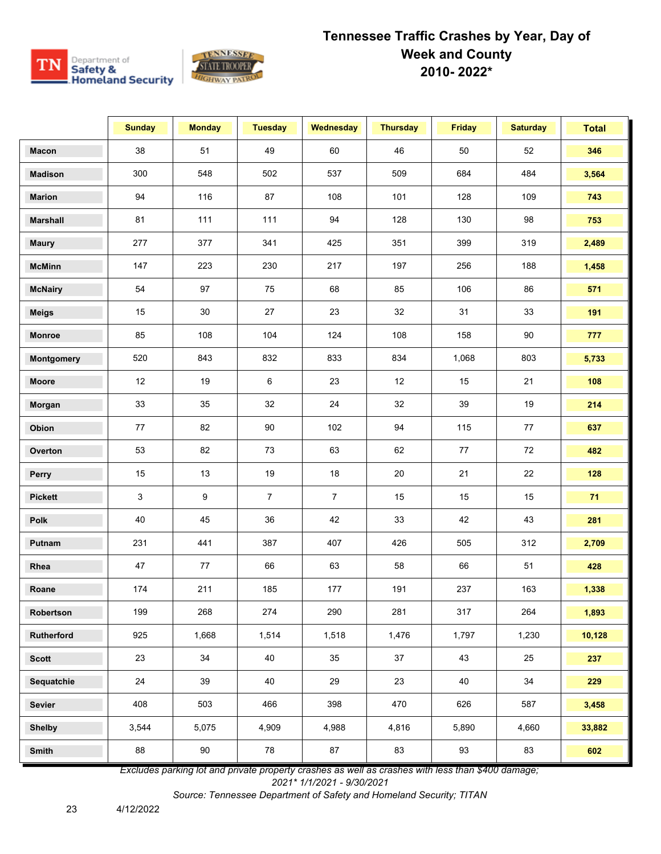

|                 | <b>Sunday</b> | <b>Monday</b> | <b>Tuesday</b> | <b>Wednesday</b> | <b>Thursday</b> | <b>Friday</b> | <b>Saturday</b> | <b>Total</b> |
|-----------------|---------------|---------------|----------------|------------------|-----------------|---------------|-----------------|--------------|
| <b>Macon</b>    | 38            | 51            | 49             | 60               | 46              | 50            | 52              | 346          |
| <b>Madison</b>  | 300           | 548           | 502            | 537              | 509             | 684           | 484             | 3,564        |
| <b>Marion</b>   | 94            | 116           | 87             | 108              | 101             | 128           | 109             | 743          |
| <b>Marshall</b> | 81            | 111           | 111            | 94               | 128             | 130           | 98              | 753          |
| <b>Maury</b>    | 277           | 377           | 341            | 425              | 351             | 399           | 319             | 2,489        |
| <b>McMinn</b>   | 147           | 223           | 230            | 217              | 197             | 256           | 188             | 1,458        |
| <b>McNairy</b>  | 54            | 97            | 75             | 68               | 85              | 106           | 86              | 571          |
| <b>Meigs</b>    | 15            | 30            | 27             | 23               | 32              | 31            | 33              | 191          |
| Monroe          | 85            | 108           | 104            | 124              | 108             | 158           | 90              | 777          |
| Montgomery      | 520           | 843           | 832            | 833              | 834             | 1,068         | 803             | 5,733        |
| Moore           | 12            | 19            | 6              | 23               | 12              | 15            | 21              | 108          |
| Morgan          | 33            | 35            | 32             | 24               | 32              | 39            | 19              | 214          |
| Obion           | 77            | 82            | 90             | 102              | 94              | 115           | 77              | 637          |
| Overton         | 53            | 82            | 73             | 63               | 62              | 77            | 72              | 482          |
| Perry           | 15            | 13            | 19             | 18               | 20              | 21            | 22              | 128          |
| <b>Pickett</b>  | 3             | 9             | $\overline{7}$ | $\overline{7}$   | 15              | 15            | 15              | 71           |
| <b>Polk</b>     | 40            | 45            | 36             | 42               | 33              | 42            | 43              | 281          |
| Putnam          | 231           | 441           | 387            | 407              | 426             | 505           | 312             | 2,709        |
| Rhea            | 47            | 77            | 66             | 63               | 58              | 66            | 51              | 428          |
| Roane           | 174           | 211           | 185            | 177              | 191             | 237           | 163             | 1,338        |
| Robertson       | 199           | 268           | 274            | 290              | 281             | 317           | 264             | 1,893        |
| Rutherford      | 925           | 1,668         | 1,514          | 1,518            | 1,476           | 1,797         | 1,230           | 10,128       |
| <b>Scott</b>    | 23            | 34            | 40             | 35               | 37              | 43            | 25              | 237          |
| Sequatchie      | 24            | 39            | 40             | 29               | 23              | 40            | 34              | 229          |
| Sevier          | 408           | 503           | 466            | 398              | 470             | 626           | 587             | 3,458        |
| <b>Shelby</b>   | 3,544         | 5,075         | 4,909          | 4,988            | 4,816           | 5,890         | 4,660           | 33,882       |
| Smith           | 88            | 90            | ${\bf 78}$     | 87               | 83              | 93            | 83              | 602          |

*Excludes parking lot and private property crashes as well as crashes with less than \$400 damage;* 

*2021\* 1/1/2021 - 9/30/2021 Source: Tennessee Department of Safety and Homeland Security; TITAN*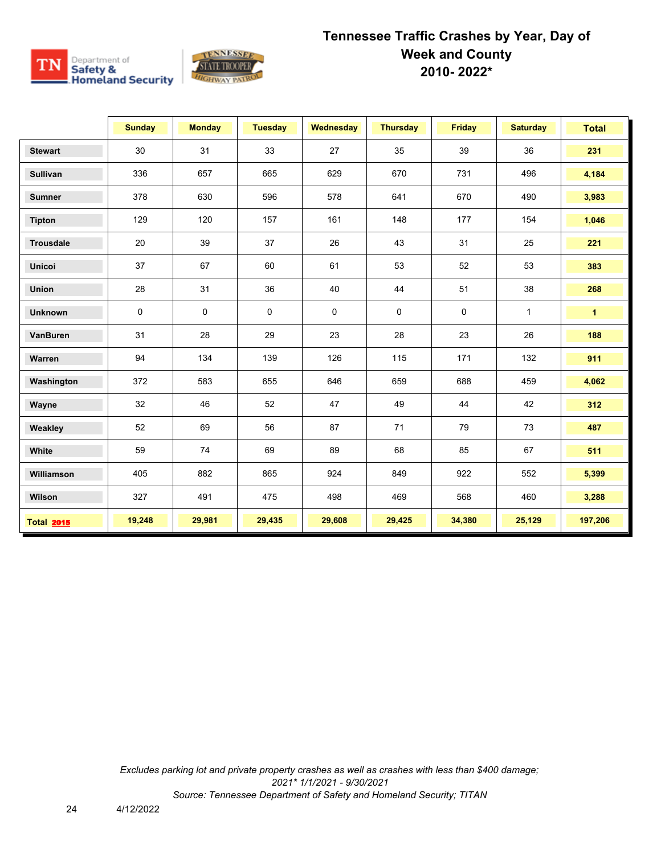

|                   | <b>Sunday</b> | <b>Monday</b> | <b>Tuesday</b> | <b>Wednesday</b> | <b>Thursday</b> | <b>Friday</b> | <b>Saturday</b> | <b>Total</b>         |
|-------------------|---------------|---------------|----------------|------------------|-----------------|---------------|-----------------|----------------------|
| <b>Stewart</b>    | 30            | 31            | 33             | 27               | 35              | 39            | 36              | 231                  |
| Sullivan          | 336           | 657           | 665            | 629              | 670             | 731           | 496             | 4,184                |
| <b>Sumner</b>     | 378           | 630           | 596            | 578              | 641             | 670           | 490             | 3,983                |
| Tipton            | 129           | 120           | 157            | 161              | 148             | 177           | 154             | 1,046                |
| <b>Trousdale</b>  | 20            | 39            | 37             | 26               | 43              | 31            | 25              | 221                  |
| <b>Unicoi</b>     | 37            | 67            | 60             | 61               | 53              | 52            | 53              | 383                  |
| Union             | 28            | 31            | 36             | 40               | 44              | 51            | 38              | 268                  |
| <b>Unknown</b>    | 0             | 0             | 0              | $\mathsf 0$      | 0               | 0             | $\mathbf{1}$    | $\blacktriangleleft$ |
| VanBuren          | 31            | 28            | 29             | 23               | 28              | 23            | 26              | 188                  |
| Warren            | 94            | 134           | 139            | 126              | 115             | 171           | 132             | 911                  |
| Washington        | 372           | 583           | 655            | 646              | 659             | 688           | 459             | 4,062                |
| Wayne             | 32            | 46            | 52             | 47               | 49              | 44            | 42              | 312                  |
| Weakley           | 52            | 69            | 56             | 87               | 71              | 79            | 73              | 487                  |
| White             | 59            | 74            | 69             | 89               | 68              | 85            | 67              | 511                  |
| Williamson        | 405           | 882           | 865            | 924              | 849             | 922           | 552             | 5,399                |
| Wilson            | 327           | 491           | 475            | 498              | 469             | 568           | 460             | 3,288                |
| <b>Total 2015</b> | 19,248        | 29,981        | 29,435         | 29,608           | 29,425          | 34,380        | 25,129          | 197,206              |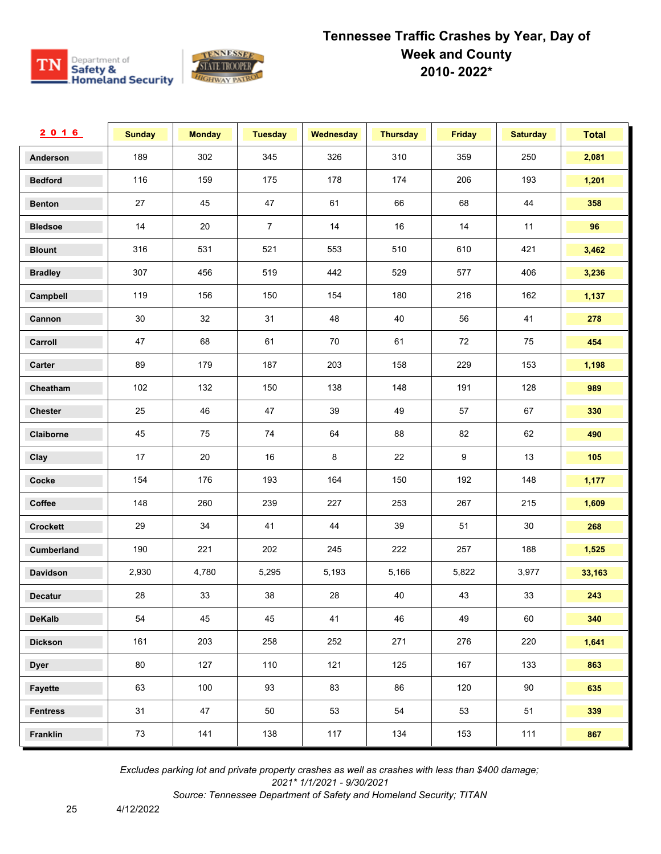

| 2016            | <b>Sunday</b> | <b>Monday</b> | <b>Tuesday</b> | Wednesday | <b>Thursday</b> | <b>Friday</b> | <b>Saturday</b> | <b>Total</b> |
|-----------------|---------------|---------------|----------------|-----------|-----------------|---------------|-----------------|--------------|
| Anderson        | 189           | 302           | 345            | 326       | 310             | 359           | 250             | 2,081        |
| <b>Bedford</b>  | 116           | 159           | 175            | 178       | 174             | 206           | 193             | 1,201        |
| <b>Benton</b>   | 27            | 45            | 47             | 61        | 66              | 68            | 44              | 358          |
| <b>Bledsoe</b>  | 14            | 20            | $\overline{7}$ | 14        | 16              | 14            | 11              | 96           |
| <b>Blount</b>   | 316           | 531           | 521            | 553       | 510             | 610           | 421             | 3,462        |
| <b>Bradley</b>  | 307           | 456           | 519            | 442       | 529             | 577           | 406             | 3,236        |
| Campbell        | 119           | 156           | 150            | 154       | 180             | 216           | 162             | 1,137        |
| Cannon          | 30            | 32            | 31             | 48        | 40              | 56            | 41              | 278          |
| Carroll         | 47            | 68            | 61             | 70        | 61              | 72            | 75              | 454          |
| Carter          | 89            | 179           | 187            | 203       | 158             | 229           | 153             | 1,198        |
| Cheatham        | 102           | 132           | 150            | 138       | 148             | 191           | 128             | 989          |
| Chester         | 25            | 46            | 47             | 39        | 49              | 57            | 67              | 330          |
| Claiborne       | 45            | 75            | 74             | 64        | 88              | 82            | 62              | 490          |
| Clay            | 17            | 20            | 16             | 8         | 22              | 9             | 13              | 105          |
| Cocke           | 154           | 176           | 193            | 164       | 150             | 192           | 148             | 1,177        |
| Coffee          | 148           | 260           | 239            | 227       | 253             | 267           | 215             | 1,609        |
| Crockett        | 29            | 34            | 41             | 44        | 39              | 51            | 30              | 268          |
| Cumberland      | 190           | 221           | 202            | 245       | 222             | 257           | 188             | 1,525        |
| <b>Davidson</b> | 2,930         | 4,780         | 5,295          | 5,193     | 5,166           | 5,822         | 3,977           | 33,163       |
| <b>Decatur</b>  | 28            | 33            | 38             | 28        | 40              | 43            | 33              | 243          |
| <b>DeKalb</b>   | 54            | 45            | 45             | 41        | 46              | 49            | 60              | 340          |
| <b>Dickson</b>  | 161           | 203           | 258            | 252       | 271             | 276           | 220             | 1,641        |
| <b>Dyer</b>     | 80            | 127           | 110            | 121       | 125             | 167           | 133             | 863          |
| Fayette         | 63            | 100           | 93             | 83        | 86              | 120           | 90              | 635          |
| <b>Fentress</b> | 31            | 47            | 50             | 53        | 54              | 53            | 51              | 339          |
| Franklin        | $73\,$        | 141           | 138            | 117       | 134             | 153           | 111             | 867          |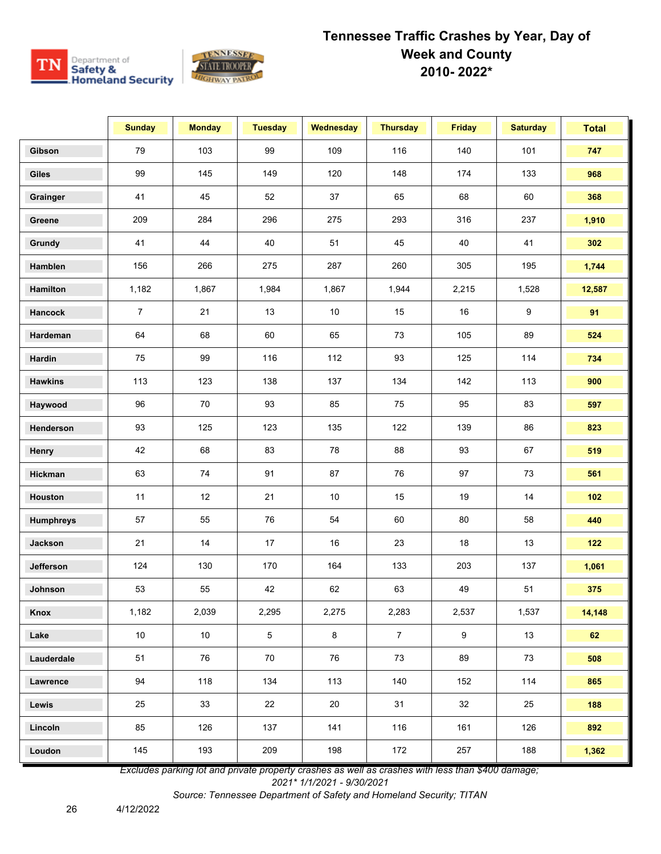

|                  | <b>Sunday</b>  | <b>Monday</b> | <b>Tuesday</b>  | Wednesday | <b>Thursday</b> | <b>Friday</b> | <b>Saturday</b> | <b>Total</b> |
|------------------|----------------|---------------|-----------------|-----------|-----------------|---------------|-----------------|--------------|
| Gibson           | 79             | 103           | 99              | 109       | 116             | 140           | 101             | 747          |
| Giles            | 99             | 145           | 149             | 120       | 148             | 174           | 133             | 968          |
| Grainger         | 41             | 45            | 52              | 37        | 65              | 68            | 60              | 368          |
| Greene           | 209            | 284           | 296             | 275       | 293             | 316           | 237             | 1,910        |
| Grundy           | 41             | 44            | 40              | 51        | 45              | 40            | 41              | 302          |
| Hamblen          | 156            | 266           | 275             | 287       | 260             | 305           | 195             | 1,744        |
| Hamilton         | 1,182          | 1,867         | 1,984           | 1,867     | 1,944           | 2,215         | 1,528           | 12,587       |
| Hancock          | $\overline{7}$ | 21            | 13              | 10        | 15              | 16            | 9               | 91           |
| Hardeman         | 64             | 68            | 60              | 65        | 73              | 105           | 89              | 524          |
| <b>Hardin</b>    | 75             | 99            | 116             | 112       | 93              | 125           | 114             | 734          |
| <b>Hawkins</b>   | 113            | 123           | 138             | 137       | 134             | 142           | 113             | 900          |
| Haywood          | 96             | 70            | 93              | 85        | 75              | 95            | 83              | 597          |
| Henderson        | 93             | 125           | 123             | 135       | 122             | 139           | 86              | 823          |
| Henry            | 42             | 68            | 83              | 78        | 88              | 93            | 67              | 519          |
| Hickman          | 63             | 74            | 91              | 87        | 76              | 97            | 73              | 561          |
| Houston          | 11             | 12            | 21              | $10$      | 15              | 19            | 14              | 102          |
| <b>Humphreys</b> | 57             | 55            | 76              | 54        | 60              | 80            | 58              | 440          |
| Jackson          | 21             | 14            | 17              | 16        | 23              | 18            | 13              | $122$        |
| Jefferson        | 124            | 130           | 170             | 164       | 133             | 203           | 137             | 1,061        |
| Johnson          | 53             | 55            | 42              | 62        | 63              | 49            | 51              | 375          |
| Knox             | 1,182          | 2,039         | 2,295           | 2,275     | 2,283           | 2,537         | 1,537           | 14,148       |
| Lake             | 10             | 10            | $5\phantom{.0}$ | 8         | $\overline{7}$  | 9             | 13              | 62           |
| Lauderdale       | 51             | 76            | 70              | 76        | 73              | 89            | 73              | 508          |
| Lawrence         | 94             | 118           | 134             | 113       | 140             | 152           | 114             | 865          |
| Lewis            | 25             | 33            | 22              | 20        | 31              | 32            | 25              | 188          |
| Lincoln          | 85             | 126           | 137             | 141       | 116             | 161           | 126             | 892          |
| Loudon           | 145            | 193           | 209             | 198       | 172             | 257           | 188             | 1,362        |

*Excludes parking lot and private property crashes as well as crashes with less than \$400 damage;* 

*2021\* 1/1/2021 - 9/30/2021*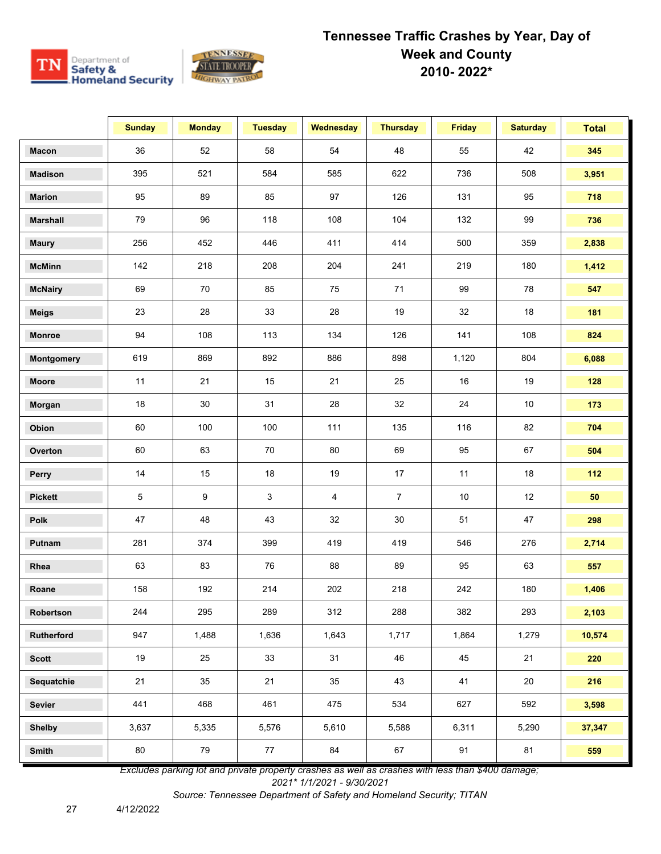

|                 | <b>Sunday</b> | <b>Monday</b> | <b>Tuesday</b> | <b>Wednesday</b> | <b>Thursday</b> | <b>Friday</b> | <b>Saturday</b> | <b>Total</b> |
|-----------------|---------------|---------------|----------------|------------------|-----------------|---------------|-----------------|--------------|
| <b>Macon</b>    | 36            | 52            | 58             | 54               | 48              | 55            | 42              | 345          |
| <b>Madison</b>  | 395           | 521           | 584            | 585              | 622             | 736           | 508             | 3,951        |
| <b>Marion</b>   | 95            | 89            | 85             | 97               | 126             | 131           | 95              | 718          |
| <b>Marshall</b> | 79            | 96            | 118            | 108              | 104             | 132           | 99              | 736          |
| <b>Maury</b>    | 256           | 452           | 446            | 411              | 414             | 500           | 359             | 2,838        |
| <b>McMinn</b>   | 142           | 218           | 208            | 204              | 241             | 219           | 180             | 1,412        |
| <b>McNairy</b>  | 69            | 70            | 85             | 75               | 71              | 99            | 78              | 547          |
| <b>Meigs</b>    | 23            | 28            | 33             | 28               | 19              | 32            | 18              | 181          |
| Monroe          | 94            | 108           | 113            | 134              | 126             | 141           | 108             | 824          |
| Montgomery      | 619           | 869           | 892            | 886              | 898             | 1,120         | 804             | 6,088        |
| Moore           | 11            | 21            | 15             | 21               | 25              | 16            | 19              | 128          |
| Morgan          | 18            | 30            | 31             | 28               | 32              | 24            | 10              | 173          |
| Obion           | 60            | 100           | 100            | 111              | 135             | 116           | 82              | 704          |
| Overton         | 60            | 63            | 70             | 80               | 69              | 95            | 67              | 504          |
| Perry           | 14            | 15            | 18             | 19               | 17              | 11            | 18              | 112          |
| <b>Pickett</b>  | 5             | 9             | 3              | $\overline{4}$   | $\overline{7}$  | $10$          | 12              | 50           |
| <b>Polk</b>     | 47            | 48            | 43             | 32               | 30              | 51            | 47              | 298          |
| Putnam          | 281           | 374           | 399            | 419              | 419             | 546           | 276             | 2,714        |
| Rhea            | 63            | 83            | 76             | 88               | 89              | 95            | 63              | 557          |
| Roane           | 158           | 192           | 214            | 202              | 218             | 242           | 180             | 1,406        |
| Robertson       | 244           | 295           | 289            | 312              | 288             | 382           | 293             | 2,103        |
| Rutherford      | 947           | 1,488         | 1,636          | 1,643            | 1,717           | 1,864         | 1,279           | 10,574       |
| <b>Scott</b>    | 19            | 25            | 33             | 31               | 46              | 45            | 21              | 220          |
| Sequatchie      | 21            | 35            | 21             | 35               | 43              | 41            | 20              | 216          |
| Sevier          | 441           | 468           | 461            | 475              | 534             | 627           | 592             | 3,598        |
| <b>Shelby</b>   | 3,637         | 5,335         | 5,576          | 5,610            | 5,588           | 6,311         | 5,290           | 37,347       |
| Smith           | 80            | 79            | 77             | 84               | 67              | 91            | 81              | 559          |

*Excludes parking lot and private property crashes as well as crashes with less than \$400 damage;* 

*2021\* 1/1/2021 - 9/30/2021*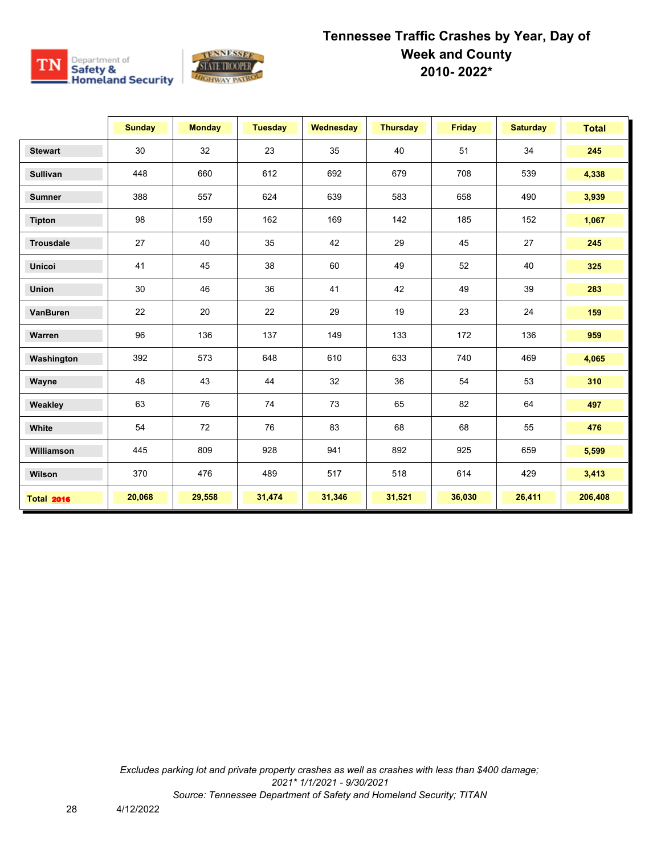

|                   | <b>Sunday</b> | <b>Monday</b> | <b>Tuesday</b> | <b>Wednesday</b> | <b>Thursday</b> | <b>Friday</b> | <b>Saturday</b> | <b>Total</b> |
|-------------------|---------------|---------------|----------------|------------------|-----------------|---------------|-----------------|--------------|
| <b>Stewart</b>    | 30            | 32            | 23             | 35               | 40              | 51            | 34              | 245          |
| <b>Sullivan</b>   | 448           | 660           | 612            | 692              | 679             | 708           | 539             | 4,338        |
| <b>Sumner</b>     | 388           | 557           | 624            | 639              | 583             | 658           | 490             | 3,939        |
| <b>Tipton</b>     | 98            | 159           | 162            | 169              | 142             | 185           | 152             | 1,067        |
| <b>Trousdale</b>  | 27            | 40            | 35             | 42               | 29              | 45            | 27              | 245          |
| <b>Unicoi</b>     | 41            | 45            | 38             | 60               | 49              | 52            | 40              | 325          |
| Union             | 30            | 46            | 36             | 41               | 42              | 49            | 39              | 283          |
| VanBuren          | 22            | 20            | 22             | 29               | 19              | 23            | 24              | 159          |
| Warren            | 96            | 136           | 137            | 149              | 133             | 172           | 136             | 959          |
| Washington        | 392           | 573           | 648            | 610              | 633             | 740           | 469             | 4,065        |
| Wayne             | 48            | 43            | 44             | 32               | 36              | 54            | 53              | 310          |
| Weakley           | 63            | 76            | 74             | 73               | 65              | 82            | 64              | 497          |
| White             | 54            | 72            | 76             | 83               | 68              | 68            | 55              | 476          |
| Williamson        | 445           | 809           | 928            | 941              | 892             | 925           | 659             | 5,599        |
| Wilson            | 370           | 476           | 489            | 517              | 518             | 614           | 429             | 3,413        |
| <b>Total 2016</b> | 20,068        | 29,558        | 31,474         | 31,346           | 31,521          | 36,030        | 26,411          | 206,408      |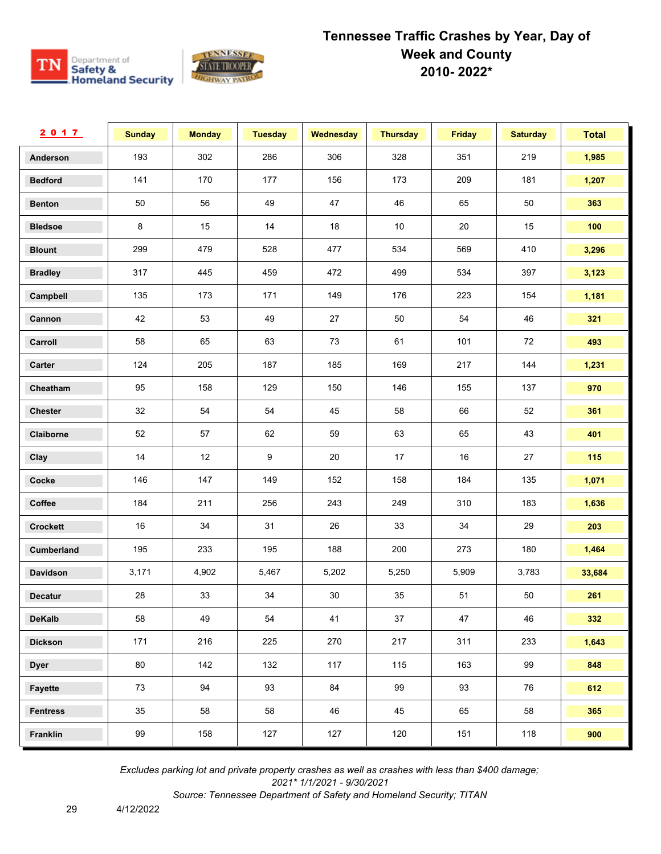

| 2017            | <b>Sunday</b> | <b>Monday</b> | <b>Tuesday</b> | <b>Wednesday</b> | <b>Thursday</b> | <b>Friday</b> | <b>Saturday</b> | <b>Total</b> |
|-----------------|---------------|---------------|----------------|------------------|-----------------|---------------|-----------------|--------------|
| Anderson        | 193           | 302           | 286            | 306              | 328             | 351           | 219             | 1,985        |
| <b>Bedford</b>  | 141           | 170           | 177            | 156              | 173             | 209           | 181             | 1,207        |
| <b>Benton</b>   | 50            | 56            | 49             | 47               | 46              | 65            | 50              | 363          |
| <b>Bledsoe</b>  | 8             | 15            | 14             | 18               | 10              | 20            | 15              | 100          |
| <b>Blount</b>   | 299           | 479           | 528            | 477              | 534             | 569           | 410             | 3,296        |
| <b>Bradley</b>  | 317           | 445           | 459            | 472              | 499             | 534           | 397             | 3,123        |
| Campbell        | 135           | 173           | 171            | 149              | 176             | 223           | 154             | 1,181        |
| Cannon          | 42            | 53            | 49             | 27               | 50              | 54            | 46              | 321          |
| Carroll         | 58            | 65            | 63             | 73               | 61              | 101           | 72              | 493          |
| Carter          | 124           | 205           | 187            | 185              | 169             | 217           | 144             | 1,231        |
| Cheatham        | 95            | 158           | 129            | 150              | 146             | 155           | 137             | 970          |
| <b>Chester</b>  | 32            | 54            | 54             | 45               | 58              | 66            | 52              | 361          |
| Claiborne       | 52            | 57            | 62             | 59               | 63              | 65            | 43              | 401          |
| Clay            | 14            | 12            | 9              | 20               | 17              | 16            | 27              | 115          |
| Cocke           | 146           | 147           | 149            | 152              | 158             | 184           | 135             | 1,071        |
| Coffee          | 184           | 211           | 256            | 243              | 249             | 310           | 183             | 1,636        |
| Crockett        | 16            | 34            | 31             | 26               | 33              | 34            | 29              | 203          |
| Cumberland      | 195           | 233           | 195            | 188              | 200             | 273           | 180             | 1,464        |
| <b>Davidson</b> | 3,171         | 4,902         | 5,467          | 5,202            | 5,250           | 5,909         | 3,783           | 33,684       |
| <b>Decatur</b>  | 28            | 33            | 34             | 30               | 35              | 51            | 50              | 261          |
| <b>DeKalb</b>   | 58            | 49            | 54             | 41               | 37              | 47            | 46              | 332          |
| <b>Dickson</b>  | 171           | 216           | 225            | 270              | 217             | 311           | 233             | 1,643        |
| <b>Dyer</b>     | 80            | 142           | 132            | 117              | 115             | 163           | 99              | 848          |
| Fayette         | 73            | 94            | 93             | 84               | 99              | 93            | 76              | 612          |
| <b>Fentress</b> | 35            | 58            | 58             | 46               | 45              | 65            | 58              | 365          |
| Franklin        | 99            | 158           | 127            | 127              | 120             | 151           | 118             | 900          |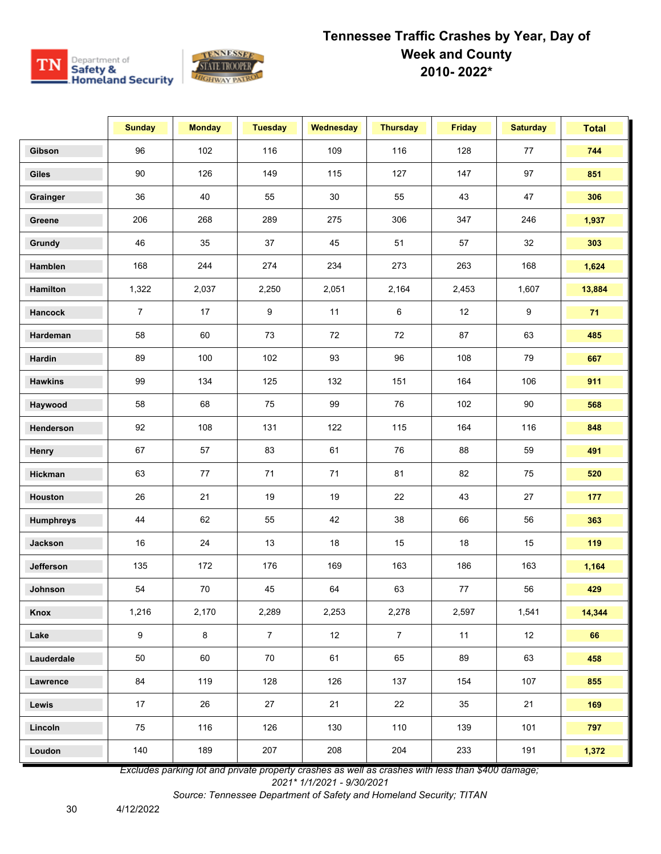

|                  | <b>Sunday</b>  | <b>Monday</b> | <b>Tuesday</b> | <b>Wednesday</b> | <b>Thursday</b> | <b>Friday</b> | <b>Saturday</b> | <b>Total</b> |
|------------------|----------------|---------------|----------------|------------------|-----------------|---------------|-----------------|--------------|
| Gibson           | 96             | 102           | 116            | 109              | 116             | 128           | 77              | 744          |
| <b>Giles</b>     | 90             | 126           | 149            | 115              | 127             | 147           | 97              | 851          |
| Grainger         | 36             | 40            | 55             | 30               | 55              | 43            | 47              | 306          |
| Greene           | 206            | 268           | 289            | 275              | 306             | 347           | 246             | 1,937        |
| Grundy           | 46             | 35            | 37             | 45               | 51              | 57            | 32              | 303          |
| Hamblen          | 168            | 244           | 274            | 234              | 273             | 263           | 168             | 1,624        |
| Hamilton         | 1,322          | 2,037         | 2,250          | 2,051            | 2,164           | 2,453         | 1,607           | 13,884       |
| Hancock          | $\overline{7}$ | 17            | 9              | 11               | 6               | 12            | 9               | 71           |
| Hardeman         | 58             | 60            | 73             | 72               | 72              | 87            | 63              | 485          |
| Hardin           | 89             | 100           | 102            | 93               | 96              | 108           | 79              | 667          |
| <b>Hawkins</b>   | 99             | 134           | 125            | 132              | 151             | 164           | 106             | 911          |
| Haywood          | 58             | 68            | 75             | 99               | 76              | 102           | 90              | 568          |
| Henderson        | 92             | 108           | 131            | 122              | 115             | 164           | 116             | 848          |
| Henry            | 67             | 57            | 83             | 61               | 76              | 88            | 59              | 491          |
| Hickman          | 63             | 77            | 71             | 71               | 81              | 82            | 75              | 520          |
| Houston          | 26             | 21            | 19             | 19               | 22              | 43            | 27              | 177          |
| <b>Humphreys</b> | 44             | 62            | 55             | 42               | 38              | 66            | 56              | 363          |
| Jackson          | 16             | 24            | 13             | 18               | 15              | 18            | 15              | 119          |
| Jefferson        | 135            | 172           | 176            | 169              | 163             | 186           | 163             | 1,164        |
| Johnson          | 54             | 70            | 45             | 64               | 63              | 77            | 56              | 429          |
| Knox             | 1,216          | 2,170         | 2,289          | 2,253            | 2,278           | 2,597         | 1,541           | 14,344       |
| Lake             | 9              | 8             | $\overline{7}$ | 12               | $\overline{7}$  | 11            | 12              | 66           |
| Lauderdale       | 50             | 60            | 70             | 61               | 65              | 89            | 63              | 458          |
| Lawrence         | 84             | 119           | 128            | 126              | 137             | 154           | 107             | 855          |
| Lewis            | 17             | 26            | 27             | 21               | 22              | 35            | 21              | 169          |
| Lincoln          | 75             | 116           | 126            | 130              | 110             | 139           | 101             | 797          |
| Loudon           | 140            | 189           | 207            | 208              | 204             | 233           | 191             | 1,372        |

*Excludes parking lot and private property crashes as well as crashes with less than \$400 damage;* 

*2021\* 1/1/2021 - 9/30/2021*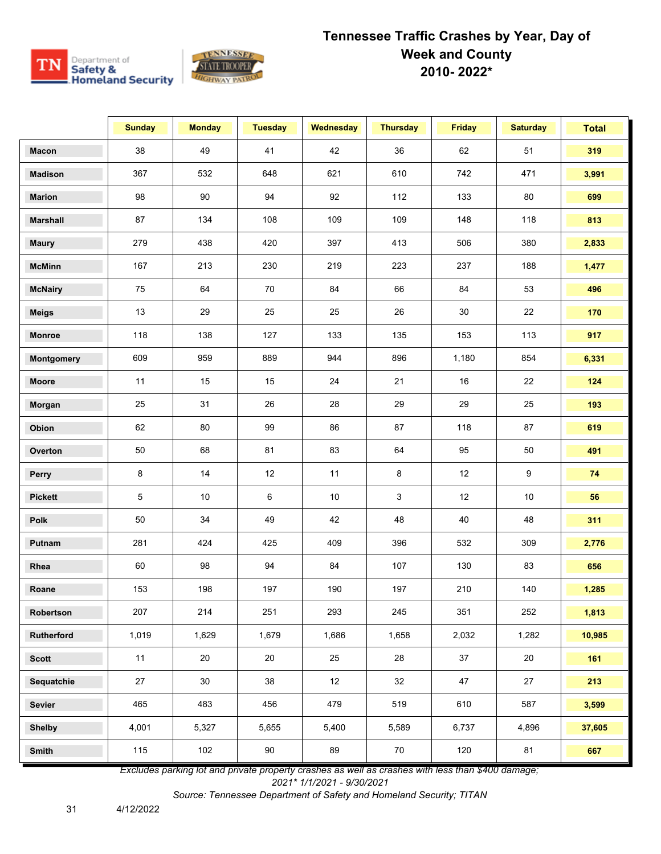

|                 | <b>Sunday</b> | <b>Monday</b> | <b>Tuesday</b> | Wednesday | <b>Thursday</b> | <b>Friday</b> | <b>Saturday</b> | <b>Total</b> |
|-----------------|---------------|---------------|----------------|-----------|-----------------|---------------|-----------------|--------------|
| <b>Macon</b>    | 38            | 49            | 41             | 42        | 36              | 62            | 51              | 319          |
| <b>Madison</b>  | 367           | 532           | 648            | 621       | 610             | 742           | 471             | 3,991        |
| <b>Marion</b>   | 98            | 90            | 94             | 92        | 112             | 133           | 80              | 699          |
| <b>Marshall</b> | 87            | 134           | 108            | 109       | 109             | 148           | 118             | 813          |
| <b>Maury</b>    | 279           | 438           | 420            | 397       | 413             | 506           | 380             | 2,833        |
| <b>McMinn</b>   | 167           | 213           | 230            | 219       | 223             | 237           | 188             | 1,477        |
| <b>McNairy</b>  | 75            | 64            | 70             | 84        | 66              | 84            | 53              | 496          |
| <b>Meigs</b>    | 13            | 29            | 25             | 25        | 26              | 30            | 22              | 170          |
| Monroe          | 118           | 138           | 127            | 133       | 135             | 153           | 113             | 917          |
| Montgomery      | 609           | 959           | 889            | 944       | 896             | 1,180         | 854             | 6,331        |
| Moore           | 11            | 15            | 15             | 24        | 21              | 16            | 22              | 124          |
| Morgan          | 25            | 31            | 26             | 28        | 29              | 29            | 25              | 193          |
| Obion           | 62            | 80            | 99             | 86        | 87              | 118           | 87              | 619          |
| Overton         | 50            | 68            | 81             | 83        | 64              | 95            | 50              | 491          |
| Perry           | 8             | 14            | 12             | 11        | 8               | 12            | 9               | 74           |
| <b>Pickett</b>  | 5             | $10$          | 6              | $10$      | 3               | 12            | $10$            | 56           |
| <b>Polk</b>     | 50            | 34            | 49             | 42        | 48              | 40            | 48              | 311          |
| Putnam          | 281           | 424           | 425            | 409       | 396             | 532           | 309             | 2,776        |
| Rhea            | 60            | 98            | 94             | 84        | 107             | 130           | 83              | 656          |
| Roane           | 153           | 198           | 197            | 190       | 197             | 210           | 140             | 1,285        |
| Robertson       | 207           | 214           | 251            | 293       | 245             | 351           | 252             | 1,813        |
| Rutherford      | 1,019         | 1,629         | 1,679          | 1,686     | 1,658           | 2,032         | 1,282           | 10,985       |
| <b>Scott</b>    | 11            | 20            | 20             | 25        | 28              | 37            | $20\,$          | 161          |
| Sequatchie      | 27            | 30            | 38             | 12        | 32              | 47            | 27              | 213          |
| Sevier          | 465           | 483           | 456            | 479       | 519             | 610           | 587             | 3,599        |
| <b>Shelby</b>   | 4,001         | 5,327         | 5,655          | 5,400     | 5,589           | 6,737         | 4,896           | 37,605       |
| Smith           | 115           | 102           | $90\,$         | 89        | 70              | 120           | 81              | 667          |

*Excludes parking lot and private property crashes as well as crashes with less than \$400 damage;* 

*2021\* 1/1/2021 - 9/30/2021*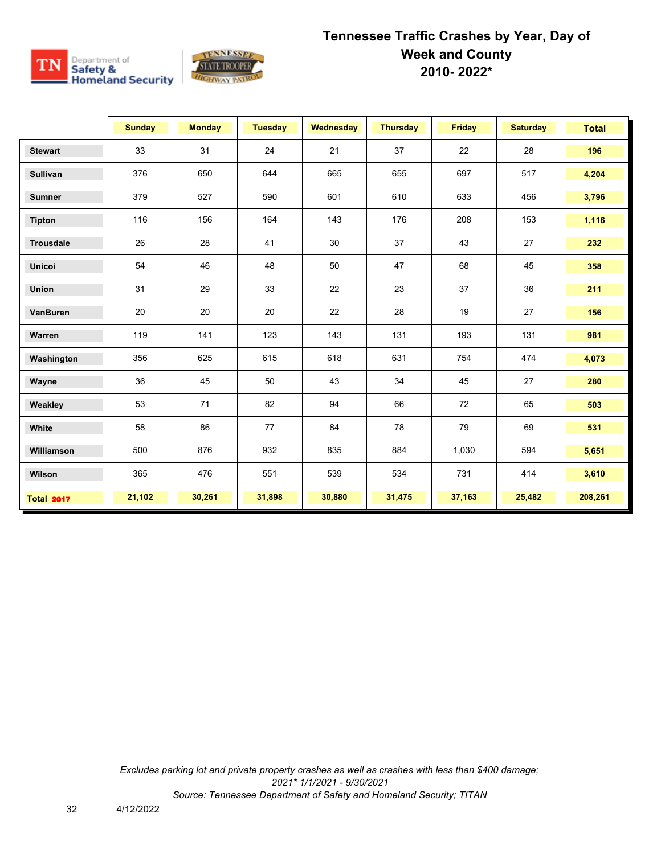

|                   | <b>Sunday</b> | <b>Monday</b> | <b>Tuesday</b> | Wednesday | <b>Thursday</b> | <b>Friday</b> | <b>Saturday</b> | <b>Total</b> |
|-------------------|---------------|---------------|----------------|-----------|-----------------|---------------|-----------------|--------------|
| <b>Stewart</b>    | 33            | 31            | 24             | 21        | 37              | 22            | 28              | 196          |
| Sullivan          | 376           | 650           | 644            | 665       | 655             | 697           | 517             | 4,204        |
| <b>Sumner</b>     | 379           | 527           | 590            | 601       | 610             | 633           | 456             | 3,796        |
| <b>Tipton</b>     | 116           | 156           | 164            | 143       | 176             | 208           | 153             | 1,116        |
| <b>Trousdale</b>  | 26            | 28            | 41             | 30        | 37              | 43            | 27              | 232          |
| <b>Unicoi</b>     | 54            | 46            | 48             | 50        | 47              | 68            | 45              | 358          |
| Union             | 31            | 29            | 33             | 22        | 23              | 37            | 36              | 211          |
| VanBuren          | 20            | 20            | 20             | 22        | 28              | 19            | 27              | 156          |
| Warren            | 119           | 141           | 123            | 143       | 131             | 193           | 131             | 981          |
| Washington        | 356           | 625           | 615            | 618       | 631             | 754           | 474             | 4,073        |
| Wayne             | 36            | 45            | 50             | 43        | 34              | 45            | 27              | 280          |
| Weakley           | 53            | 71            | 82             | 94        | 66              | 72            | 65              | 503          |
| White             | 58            | 86            | 77             | 84        | 78              | 79            | 69              | 531          |
| Williamson        | 500           | 876           | 932            | 835       | 884             | 1,030         | 594             | 5,651        |
| Wilson            | 365           | 476           | 551            | 539       | 534             | 731           | 414             | 3,610        |
| <b>Total 2017</b> | 21,102        | 30,261        | 31,898         | 30,880    | 31,475          | 37,163        | 25,482          | 208,261      |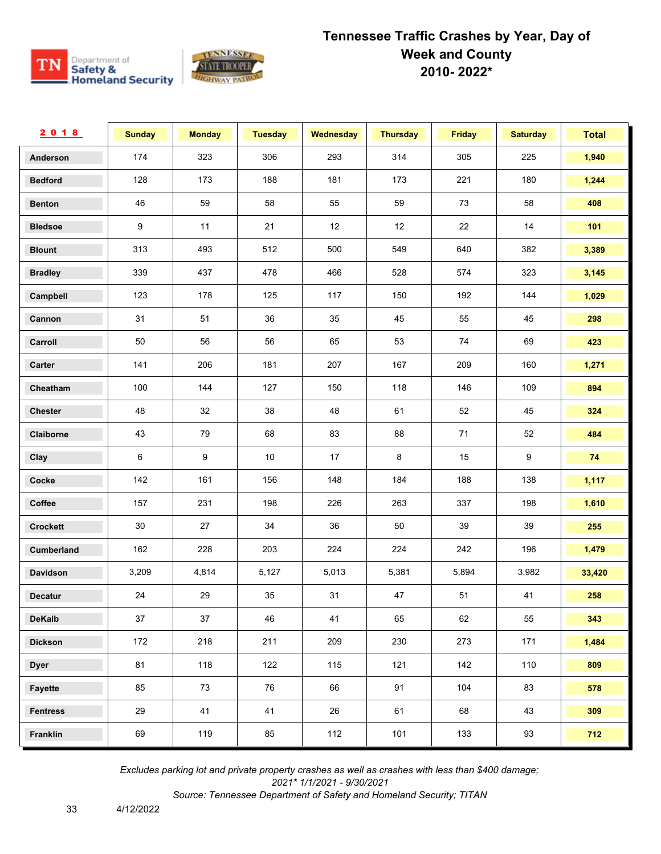

| 2018            | <b>Sunday</b> | <b>Monday</b> | <b>Tuesday</b> | Wednesday | <b>Thursday</b> | <b>Friday</b> | <b>Saturday</b> | <b>Total</b> |
|-----------------|---------------|---------------|----------------|-----------|-----------------|---------------|-----------------|--------------|
| Anderson        | 174           | 323           | 306            | 293       | 314             | 305           | 225             | 1,940        |
| <b>Bedford</b>  | 128           | 173           | 188            | 181       | 173             | 221           | 180             | 1,244        |
| <b>Benton</b>   | 46            | 59            | 58             | 55        | 59              | 73            | 58              | 408          |
| <b>Bledsoe</b>  | 9             | 11            | 21             | 12        | 12              | 22            | 14              | 101          |
| <b>Blount</b>   | 313           | 493           | 512            | 500       | 549             | 640           | 382             | 3,389        |
| <b>Bradley</b>  | 339           | 437           | 478            | 466       | 528             | 574           | 323             | 3,145        |
| Campbell        | 123           | 178           | 125            | 117       | 150             | 192           | 144             | 1,029        |
| Cannon          | 31            | 51            | 36             | 35        | 45              | 55            | 45              | 298          |
| Carroll         | 50            | 56            | 56             | 65        | 53              | 74            | 69              | 423          |
| Carter          | 141           | 206           | 181            | 207       | 167             | 209           | 160             | 1,271        |
| Cheatham        | 100           | 144           | 127            | 150       | 118             | 146           | 109             | 894          |
| Chester         | 48            | 32            | 38             | 48        | 61              | 52            | 45              | 324          |
| Claiborne       | 43            | 79            | 68             | 83        | 88              | 71            | 52              | 484          |
| Clay            | 6             | 9             | 10             | 17        | 8               | 15            | 9               | 74           |
| Cocke           | 142           | 161           | 156            | 148       | 184             | 188           | 138             | 1,117        |
| Coffee          | 157           | 231           | 198            | 226       | 263             | 337           | 198             | 1,610        |
| Crockett        | 30            | 27            | 34             | 36        | 50              | 39            | 39              | 255          |
| Cumberland      | 162           | 228           | 203            | 224       | 224             | 242           | 196             | 1,479        |
| <b>Davidson</b> | 3,209         | 4,814         | 5,127          | 5,013     | 5,381           | 5,894         | 3,982           | 33,420       |
| <b>Decatur</b>  | 24            | 29            | 35             | 31        | 47              | 51            | 41              | 258          |
| <b>DeKalb</b>   | 37            | 37            | 46             | 41        | 65              | 62            | 55              | 343          |
| <b>Dickson</b>  | 172           | 218           | 211            | 209       | 230             | 273           | 171             | 1,484        |
| <b>Dyer</b>     | 81            | 118           | 122            | 115       | 121             | 142           | 110             | 809          |
| Fayette         | 85            | 73            | 76             | 66        | 91              | 104           | 83              | 578          |
| <b>Fentress</b> | 29            | 41            | 41             | $26\,$    | 61              | 68            | 43              | 309          |
| Franklin        | 69            | 119           | 85             | 112       | 101             | 133           | 93              | 712          |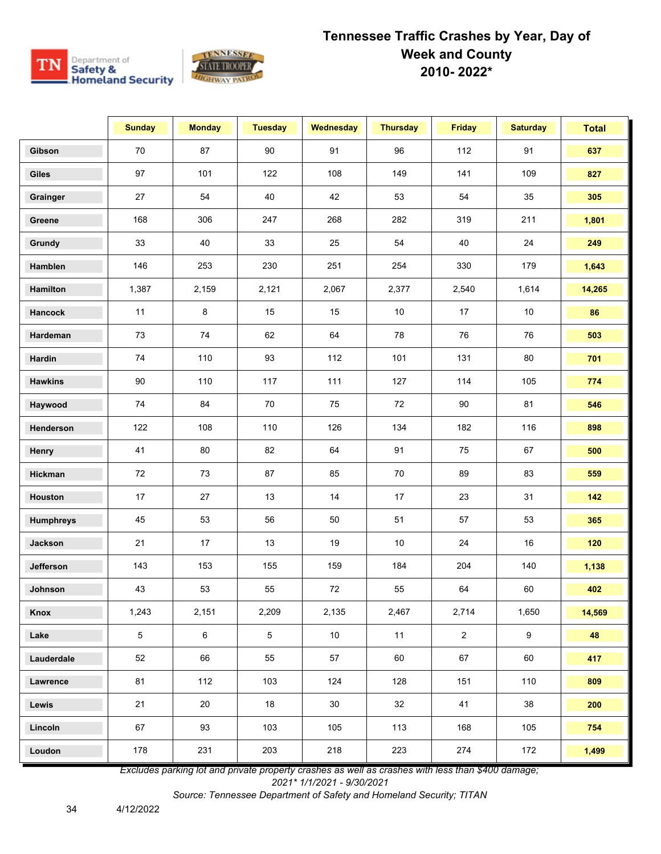

|                  | <b>Sunday</b> | <b>Monday</b> | <b>Tuesday</b>  | <b>Wednesday</b> | <b>Thursday</b> | <b>Friday</b>  | <b>Saturday</b>  | <b>Total</b> |
|------------------|---------------|---------------|-----------------|------------------|-----------------|----------------|------------------|--------------|
| Gibson           | 70            | 87            | 90              | 91               | 96              | 112            | 91               | 637          |
| <b>Giles</b>     | 97            | 101           | 122             | 108              | 149             | 141            | 109              | 827          |
| Grainger         | 27            | 54            | 40              | 42               | 53              | 54             | 35               | 305          |
| Greene           | 168           | 306           | 247             | 268              | 282             | 319            | 211              | 1,801        |
| Grundy           | 33            | 40            | 33              | 25               | 54              | 40             | 24               | 249          |
| Hamblen          | 146           | 253           | 230             | 251              | 254             | 330            | 179              | 1,643        |
| Hamilton         | 1,387         | 2,159         | 2,121           | 2,067            | 2,377           | 2,540          | 1,614            | 14,265       |
| Hancock          | 11            | 8             | 15              | 15               | 10              | 17             | 10               | 86           |
| Hardeman         | 73            | 74            | 62              | 64               | 78              | 76             | 76               | 503          |
| Hardin           | 74            | 110           | 93              | 112              | 101             | 131            | 80               | 701          |
| <b>Hawkins</b>   | 90            | 110           | 117             | 111              | 127             | 114            | 105              | 774          |
| Haywood          | 74            | 84            | $70\,$          | 75               | 72              | 90             | 81               | 546          |
| Henderson        | 122           | 108           | 110             | 126              | 134             | 182            | 116              | 898          |
| Henry            | 41            | 80            | 82              | 64               | 91              | 75             | 67               | 500          |
| Hickman          | 72            | 73            | 87              | 85               | 70              | 89             | 83               | 559          |
| Houston          | 17            | 27            | 13              | 14               | 17              | 23             | 31               | 142          |
| <b>Humphreys</b> | 45            | 53            | 56              | 50               | 51              | 57             | 53               | 365          |
| Jackson          | 21            | 17            | 13              | 19               | 10              | 24             | 16               | 120          |
| Jefferson        | 143           | 153           | 155             | 159              | 184             | 204            | 140              | 1,138        |
| Johnson          | 43            | 53            | 55              | 72               | 55              | 64             | 60               | 402          |
| Knox             | 1,243         | 2,151         | 2,209           | 2,135            | 2,467           | 2,714          | 1,650            | 14,569       |
| Lake             | 5             | $\,6\,$       | $5\phantom{.0}$ | 10               | 11              | $\overline{2}$ | $\boldsymbol{9}$ | 48           |
| Lauderdale       | 52            | 66            | 55              | 57               | 60              | 67             | 60               | 417          |
| Lawrence         | 81            | 112           | 103             | 124              | 128             | 151            | 110              | 809          |
| Lewis            | 21            | 20            | 18              | 30               | 32              | 41             | 38               | 200          |
| Lincoln          | 67            | 93            | 103             | 105              | 113             | 168            | 105              | 754          |
| Loudon           | 178           | 231           | 203             | 218              | 223             | 274            | 172              | 1,499        |

*Excludes parking lot and private property crashes as well as crashes with less than \$400 damage;* 

*2021\* 1/1/2021 - 9/30/2021*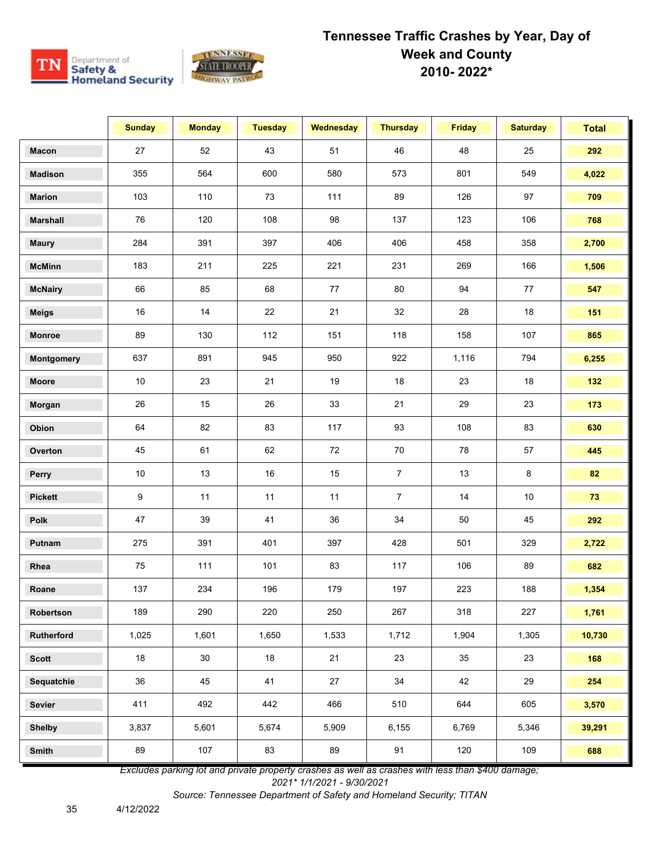

|                 | <b>Sunday</b> | <b>Monday</b> | <b>Tuesday</b> | <b>Wednesday</b> | <b>Thursday</b> | <b>Friday</b> | <b>Saturday</b> | <b>Total</b> |
|-----------------|---------------|---------------|----------------|------------------|-----------------|---------------|-----------------|--------------|
| <b>Macon</b>    | 27            | 52            | 43             | 51               | 46              | 48            | 25              | 292          |
| <b>Madison</b>  | 355           | 564           | 600            | 580              | 573             | 801           | 549             | 4,022        |
| <b>Marion</b>   | 103           | 110           | 73             | 111              | 89              | 126           | 97              | 709          |
| <b>Marshall</b> | 76            | 120           | 108            | 98               | 137             | 123           | 106             | 768          |
| <b>Maury</b>    | 284           | 391           | 397            | 406              | 406             | 458           | 358             | 2,700        |
| <b>McMinn</b>   | 183           | 211           | 225            | 221              | 231             | 269           | 166             | 1,506        |
| <b>McNairy</b>  | 66            | 85            | 68             | 77               | 80              | 94            | 77              | 547          |
| <b>Meigs</b>    | 16            | 14            | 22             | 21               | 32              | 28            | 18              | 151          |
| Monroe          | 89            | 130           | 112            | 151              | 118             | 158           | 107             | 865          |
| Montgomery      | 637           | 891           | 945            | 950              | 922             | 1,116         | 794             | 6,255        |
| Moore           | $10\,$        | 23            | 21             | 19               | 18              | 23            | 18              | 132          |
| Morgan          | 26            | 15            | 26             | 33               | 21              | 29            | 23              | 173          |
| Obion           | 64            | 82            | 83             | 117              | 93              | 108           | 83              | 630          |
| Overton         | 45            | 61            | 62             | 72               | 70              | 78            | 57              | 445          |
| Perry           | 10            | 13            | 16             | 15               | $\overline{7}$  | 13            | 8               | 82           |
| <b>Pickett</b>  | 9             | 11            | 11             | 11               | $\overline{7}$  | 14            | $10$            | 73           |
| Polk            | 47            | 39            | 41             | 36               | 34              | 50            | 45              | 292          |
| Putnam          | 275           | 391           | 401            | 397              | 428             | 501           | 329             | 2,722        |
| Rhea            | 75            | 111           | 101            | 83               | 117             | 106           | 89              | 682          |
| Roane           | 137           | 234           | 196            | 179              | 197             | 223           | 188             | 1,354        |
| Robertson       | 189           | 290           | 220            | 250              | 267             | 318           | 227             | 1,761        |
| Rutherford      | 1,025         | 1,601         | 1,650          | 1,533            | 1,712           | 1,904         | 1,305           | 10,730       |
| <b>Scott</b>    | $18\,$        | 30            | 18             | 21               | 23              | 35            | 23              | 168          |
| Sequatchie      | 36            | 45            | 41             | 27               | 34              | 42            | 29              | 254          |
| Sevier          | 411           | 492           | 442            | 466              | 510             | 644           | 605             | 3,570        |
| <b>Shelby</b>   | 3,837         | 5,601         | 5,674          | 5,909            | 6,155           | 6,769         | 5,346           | 39,291       |
| Smith           | 89            | 107           | 83             | 89               | 91              | 120           | 109             | 688          |

*Excludes parking lot and private property crashes as well as crashes with less than \$400 damage;* 

*2021\* 1/1/2021 - 9/30/2021*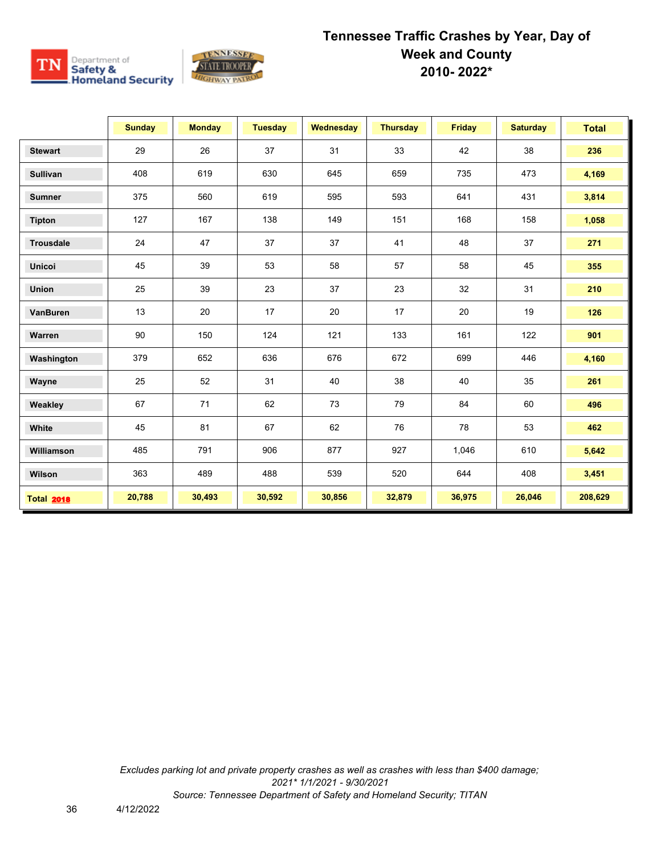

|                   | <b>Sunday</b> | <b>Monday</b> | <b>Tuesday</b> | Wednesday | <b>Thursday</b> | <b>Friday</b> | <b>Saturday</b> | <b>Total</b> |
|-------------------|---------------|---------------|----------------|-----------|-----------------|---------------|-----------------|--------------|
| <b>Stewart</b>    | 29            | 26            | 37             | 31        | 33              | 42            | 38              | 236          |
| Sullivan          | 408           | 619           | 630            | 645       | 659             | 735           | 473             | 4,169        |
| <b>Sumner</b>     | 375           | 560           | 619            | 595       | 593             | 641           | 431             | 3,814        |
| <b>Tipton</b>     | 127           | 167           | 138            | 149       | 151             | 168           | 158             | 1,058        |
| <b>Trousdale</b>  | 24            | 47            | 37             | 37        | 41              | 48            | 37              | 271          |
| <b>Unicoi</b>     | 45            | 39            | 53             | 58        | 57              | 58            | 45              | 355          |
| <b>Union</b>      | 25            | 39            | 23             | 37        | 23              | 32            | 31              | 210          |
| VanBuren          | 13            | 20            | 17             | 20        | 17              | 20            | 19              | 126          |
| Warren            | 90            | 150           | 124            | 121       | 133             | 161           | 122             | 901          |
| Washington        | 379           | 652           | 636            | 676       | 672             | 699           | 446             | 4,160        |
| Wayne             | 25            | 52            | 31             | 40        | 38              | 40            | 35              | 261          |
| Weakley           | 67            | 71            | 62             | 73        | 79              | 84            | 60              | 496          |
| White             | 45            | 81            | 67             | 62        | 76              | 78            | 53              | 462          |
| Williamson        | 485           | 791           | 906            | 877       | 927             | 1,046         | 610             | 5,642        |
| Wilson            | 363           | 489           | 488            | 539       | 520             | 644           | 408             | 3,451        |
| <b>Total 2018</b> | 20,788        | 30,493        | 30,592         | 30,856    | 32,879          | 36,975        | 26,046          | 208,629      |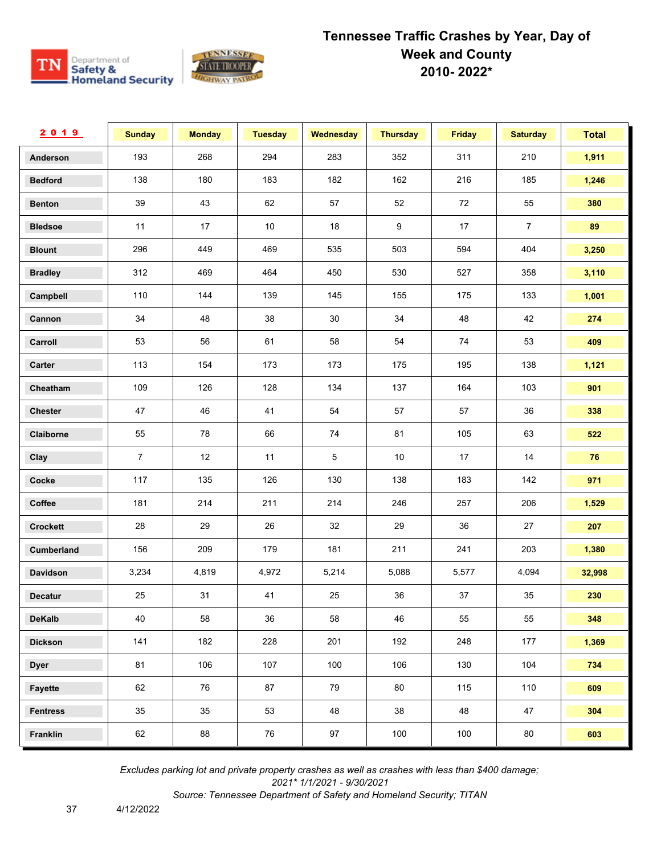

| 2019              | <b>Sunday</b>  | <b>Monday</b> | <b>Tuesday</b> | <b>Wednesday</b> | <b>Thursday</b> | <b>Friday</b> | <b>Saturday</b> | <b>Total</b> |
|-------------------|----------------|---------------|----------------|------------------|-----------------|---------------|-----------------|--------------|
| Anderson          | 193            | 268           | 294            | 283              | 352             | 311           | 210             | 1,911        |
| <b>Bedford</b>    | 138            | 180           | 183            | 182              | 162             | 216           | 185             | 1,246        |
| <b>Benton</b>     | 39             | 43            | 62             | 57               | 52              | 72            | 55              | 380          |
| <b>Bledsoe</b>    | 11             | 17            | 10             | 18               | 9               | 17            | $\overline{7}$  | 89           |
| <b>Blount</b>     | 296            | 449           | 469            | 535              | 503             | 594           | 404             | 3,250        |
| <b>Bradley</b>    | 312            | 469           | 464            | 450              | 530             | 527           | 358             | 3,110        |
| Campbell          | 110            | 144           | 139            | 145              | 155             | 175           | 133             | 1,001        |
| Cannon            | 34             | 48            | 38             | 30               | 34              | 48            | 42              | 274          |
| Carroll           | 53             | 56            | 61             | 58               | 54              | 74            | 53              | 409          |
| Carter            | 113            | 154           | 173            | 173              | 175             | 195           | 138             | 1,121        |
| Cheatham          | 109            | 126           | 128            | 134              | 137             | 164           | 103             | 901          |
| Chester           | 47             | 46            | 41             | 54               | 57              | 57            | 36              | 338          |
| Claiborne         | 55             | 78            | 66             | 74               | 81              | 105           | 63              | 522          |
| Clay              | $\overline{7}$ | 12            | 11             | 5                | $10$            | 17            | 14              | 76           |
| Cocke             | 117            | 135           | 126            | 130              | 138             | 183           | 142             | 971          |
| Coffee            | 181            | 214           | 211            | 214              | 246             | 257           | 206             | 1,529        |
| <b>Crockett</b>   | 28             | 29            | 26             | 32               | 29              | 36            | 27              | 207          |
| <b>Cumberland</b> | 156            | 209           | 179            | 181              | 211             | 241           | 203             | 1,380        |
| <b>Davidson</b>   | 3,234          | 4,819         | 4,972          | 5,214            | 5,088           | 5,577         | 4,094           | 32,998       |
| <b>Decatur</b>    | 25             | 31            | 41             | 25               | 36              | 37            | 35              | 230          |
| <b>DeKalb</b>     | 40             | 58            | 36             | 58               | 46              | 55            | 55              | 348          |
| <b>Dickson</b>    | 141            | 182           | 228            | 201              | 192             | 248           | 177             | 1,369        |
| <b>Dyer</b>       | 81             | 106           | 107            | 100              | 106             | 130           | 104             | 734          |
| <b>Fayette</b>    | 62             | 76            | 87             | 79               | 80              | 115           | 110             | 609          |
| <b>Fentress</b>   | 35             | 35            | 53             | 48               | 38              | 48            | 47              | 304          |
| Franklin          | 62             | 88            | ${\bf 76}$     | 97               | 100             | 100           | 80              | 603          |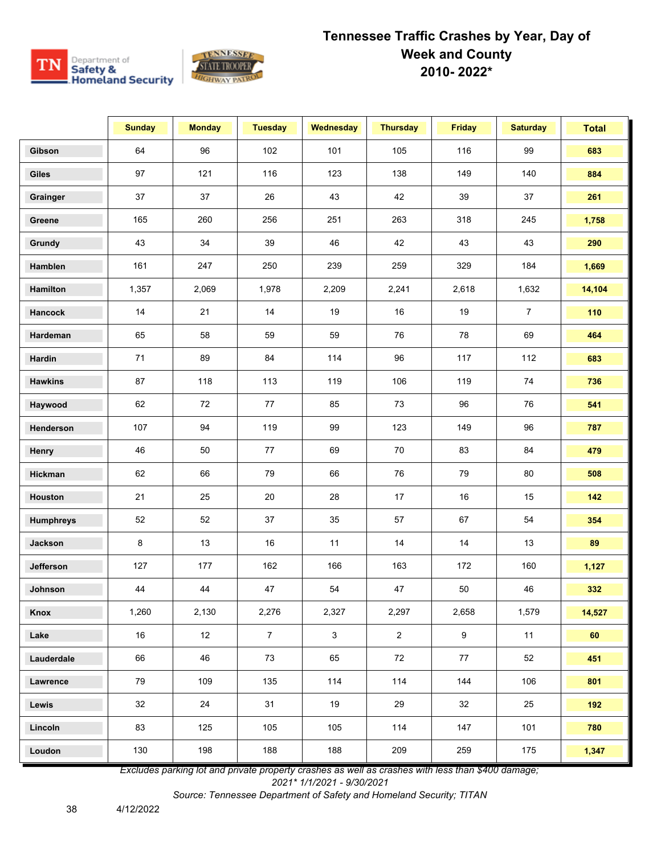

|                  | <b>Sunday</b> | <b>Monday</b> | <b>Tuesday</b> | <b>Wednesday</b> | <b>Thursday</b> | <b>Friday</b>    | <b>Saturday</b>  | <b>Total</b> |
|------------------|---------------|---------------|----------------|------------------|-----------------|------------------|------------------|--------------|
| Gibson           | 64            | 96            | 102            | 101              | 105             | 116              | 99               | 683          |
| <b>Giles</b>     | 97            | 121           | 116            | 123              | 138             | 149              | 140              | 884          |
| Grainger         | 37            | 37            | 26             | 43               | 42              | 39               | 37               | 261          |
| Greene           | 165           | 260           | 256            | 251              | 263             | 318              | 245              | 1,758        |
| Grundy           | 43            | 34            | 39             | 46               | 42              | 43               | 43               | 290          |
| Hamblen          | 161           | 247           | 250            | 239              | 259             | 329              | 184              | 1,669        |
| Hamilton         | 1,357         | 2,069         | 1,978          | 2,209            | 2,241           | 2,618            | 1,632            | 14,104       |
| Hancock          | 14            | 21            | 14             | 19               | 16              | 19               | $\boldsymbol{7}$ | 110          |
| Hardeman         | 65            | 58            | 59             | 59               | 76              | 78               | 69               | 464          |
| Hardin           | 71            | 89            | 84             | 114              | 96              | 117              | 112              | 683          |
| <b>Hawkins</b>   | 87            | 118           | 113            | 119              | 106             | 119              | 74               | 736          |
| Haywood          | 62            | 72            | 77             | 85               | 73              | 96               | 76               | 541          |
| Henderson        | 107           | 94            | 119            | 99               | 123             | 149              | 96               | 787          |
| Henry            | 46            | 50            | 77             | 69               | 70              | 83               | 84               | 479          |
| Hickman          | 62            | 66            | 79             | 66               | 76              | 79               | 80               | 508          |
| Houston          | 21            | 25            | 20             | 28               | 17              | 16               | 15               | 142          |
| <b>Humphreys</b> | 52            | 52            | 37             | 35               | 57              | 67               | 54               | 354          |
| Jackson          | 8             | 13            | 16             | 11               | 14              | 14               | 13               | 89           |
| Jefferson        | 127           | 177           | 162            | 166              | 163             | 172              | 160              | 1,127        |
| Johnson          | 44            | 44            | 47             | 54               | 47              | 50               | 46               | 332          |
| Knox             | 1,260         | 2,130         | 2,276          | 2,327            | 2,297           | 2,658            | 1,579            | 14,527       |
| Lake             | 16            | 12            | $\overline{7}$ | $\mathbf{3}$     | $\overline{2}$  | $\boldsymbol{9}$ | 11               | 60           |
| Lauderdale       | 66            | 46            | 73             | 65               | 72              | 77               | 52               | 451          |
| Lawrence         | 79            | 109           | 135            | 114              | 114             | 144              | 106              | 801          |
| Lewis            | 32            | 24            | 31             | 19               | 29              | 32               | 25               | 192          |
| Lincoln          | 83            | 125           | 105            | 105              | 114             | 147              | 101              | 780          |
| Loudon           | 130           | 198           | 188            | 188              | 209             | 259              | 175              | 1,347        |

*Excludes parking lot and private property crashes as well as crashes with less than \$400 damage;* 

*2021\* 1/1/2021 - 9/30/2021*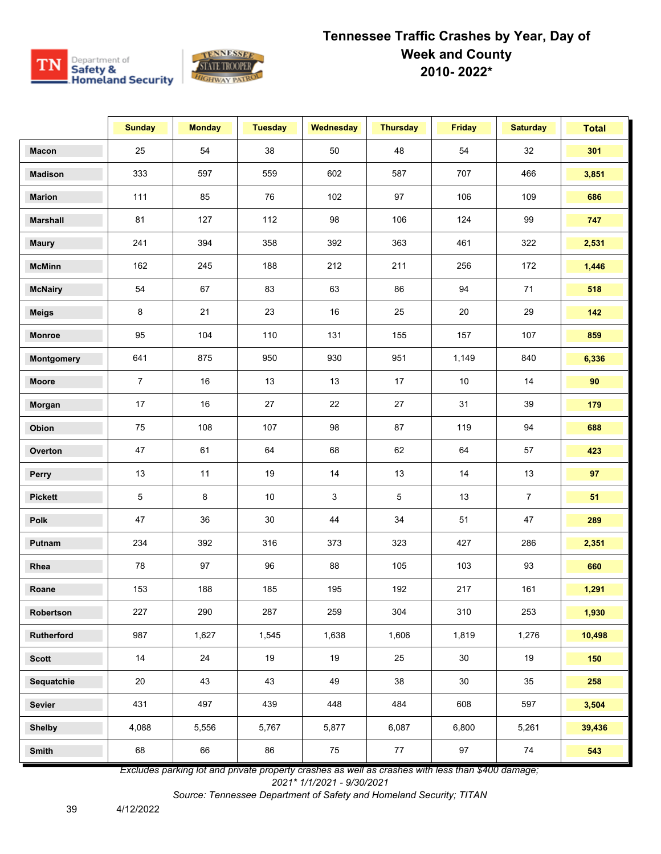

|                 | <b>Sunday</b>  | <b>Monday</b> | <b>Tuesday</b> | <b>Wednesday</b> | <b>Thursday</b> | <b>Friday</b> | <b>Saturday</b> | <b>Total</b> |
|-----------------|----------------|---------------|----------------|------------------|-----------------|---------------|-----------------|--------------|
| <b>Macon</b>    | 25             | 54            | 38             | 50               | 48              | 54            | 32              | 301          |
| <b>Madison</b>  | 333            | 597           | 559            | 602              | 587             | 707           | 466             | 3,851        |
| <b>Marion</b>   | 111            | 85            | 76             | 102              | 97              | 106           | 109             | 686          |
| <b>Marshall</b> | 81             | 127           | 112            | 98               | 106             | 124           | 99              | 747          |
| <b>Maury</b>    | 241            | 394           | 358            | 392              | 363             | 461           | 322             | 2,531        |
| <b>McMinn</b>   | 162            | 245           | 188            | 212              | 211             | 256           | 172             | 1,446        |
| <b>McNairy</b>  | 54             | 67            | 83             | 63               | 86              | 94            | 71              | 518          |
| <b>Meigs</b>    | 8              | 21            | 23             | 16               | 25              | 20            | 29              | 142          |
| <b>Monroe</b>   | 95             | 104           | 110            | 131              | 155             | 157           | 107             | 859          |
| Montgomery      | 641            | 875           | 950            | 930              | 951             | 1,149         | 840             | 6,336        |
| Moore           | $\overline{7}$ | 16            | 13             | 13               | 17              | $10$          | 14              | 90           |
| Morgan          | 17             | 16            | 27             | 22               | 27              | 31            | 39              | 179          |
| Obion           | 75             | 108           | 107            | 98               | 87              | 119           | 94              | 688          |
| Overton         | 47             | 61            | 64             | 68               | 62              | 64            | 57              | 423          |
| Perry           | 13             | 11            | 19             | 14               | 13              | 14            | 13              | 97           |
| <b>Pickett</b>  | 5              | 8             | $10$           | $\mathbf{3}$     | 5               | 13            | $\overline{7}$  | 51           |
| <b>Polk</b>     | 47             | 36            | 30             | 44               | 34              | 51            | 47              | 289          |
| Putnam          | 234            | 392           | 316            | 373              | 323             | 427           | 286             | 2,351        |
| Rhea            | 78             | 97            | 96             | 88               | 105             | 103           | 93              | 660          |
| Roane           | 153            | 188           | 185            | 195              | 192             | 217           | 161             | 1,291        |
| Robertson       | 227            | 290           | 287            | 259              | 304             | 310           | 253             | 1,930        |
| Rutherford      | 987            | 1,627         | 1,545          | 1,638            | 1,606           | 1,819         | 1,276           | 10,498       |
| <b>Scott</b>    | 14             | 24            | 19             | 19               | 25              | 30            | 19              | 150          |
| Sequatchie      | 20             | 43            | 43             | 49               | 38              | 30            | 35              | 258          |
| Sevier          | 431            | 497           | 439            | 448              | 484             | 608           | 597             | 3,504        |
| <b>Shelby</b>   | 4,088          | 5,556         | 5,767          | 5,877            | 6,087           | 6,800         | 5,261           | 39,436       |
| Smith           | 68             | 66            | 86             | 75               | 77              | 97            | 74              | 543          |

*Excludes parking lot and private property crashes as well as crashes with less than \$400 damage;* 

*2021\* 1/1/2021 - 9/30/2021*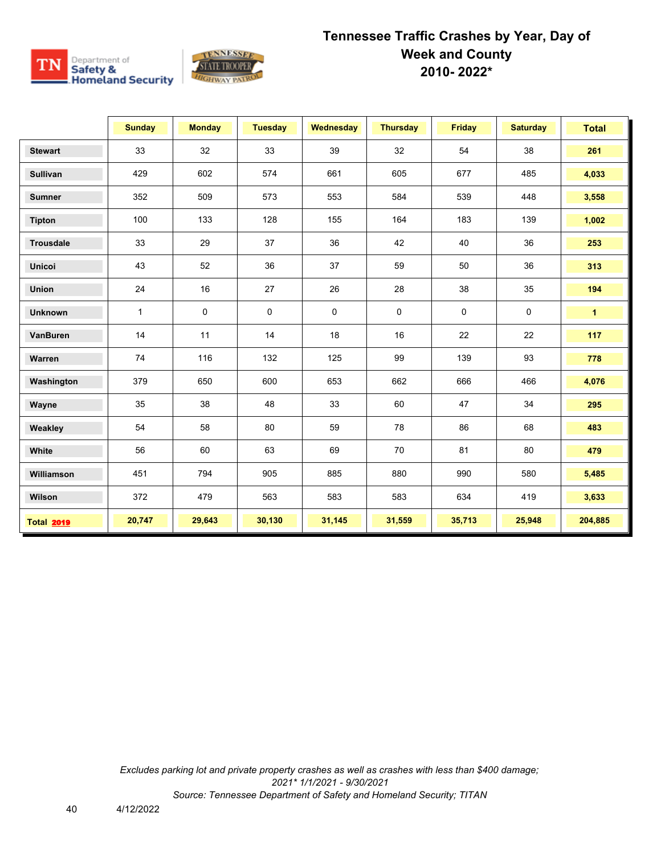

|                   | <b>Sunday</b> | <b>Monday</b> | <b>Tuesday</b> | Wednesday   | <b>Thursday</b> | <b>Friday</b> | <b>Saturday</b> | <b>Total</b>         |
|-------------------|---------------|---------------|----------------|-------------|-----------------|---------------|-----------------|----------------------|
| <b>Stewart</b>    | 33            | 32            | 33             | 39          | 32              | 54            | 38              | 261                  |
| <b>Sullivan</b>   | 429           | 602           | 574            | 661         | 605             | 677           | 485             | 4,033                |
| <b>Sumner</b>     | 352           | 509           | 573            | 553         | 584             | 539           | 448             | 3,558                |
| Tipton            | 100           | 133           | 128            | 155         | 164             | 183           | 139             | 1,002                |
| <b>Trousdale</b>  | 33            | 29            | 37             | 36          | 42              | 40            | 36              | 253                  |
| <b>Unicoi</b>     | 43            | 52            | 36             | 37          | 59              | 50            | 36              | 313                  |
| Union             | 24            | 16            | 27             | 26          | 28              | 38            | 35              | 194                  |
| <b>Unknown</b>    | $\mathbf{1}$  | $\mathbf 0$   | $\mathbf 0$    | $\mathbf 0$ | $\mathbf 0$     | $\mathbf 0$   | $\mathbf 0$     | $\blacktriangleleft$ |
| VanBuren          | 14            | 11            | 14             | 18          | 16              | 22            | 22              | 117                  |
| Warren            | 74            | 116           | 132            | 125         | 99              | 139           | 93              | 778                  |
| Washington        | 379           | 650           | 600            | 653         | 662             | 666           | 466             | 4,076                |
| Wayne             | 35            | 38            | 48             | 33          | 60              | 47            | 34              | 295                  |
| Weakley           | 54            | 58            | 80             | 59          | 78              | 86            | 68              | 483                  |
| White             | 56            | 60            | 63             | 69          | 70              | 81            | 80              | 479                  |
| Williamson        | 451           | 794           | 905            | 885         | 880             | 990           | 580             | 5,485                |
| Wilson            | 372           | 479           | 563            | 583         | 583             | 634           | 419             | 3,633                |
| <b>Total 2019</b> | 20,747        | 29,643        | 30,130         | 31,145      | 31,559          | 35,713        | 25,948          | 204,885              |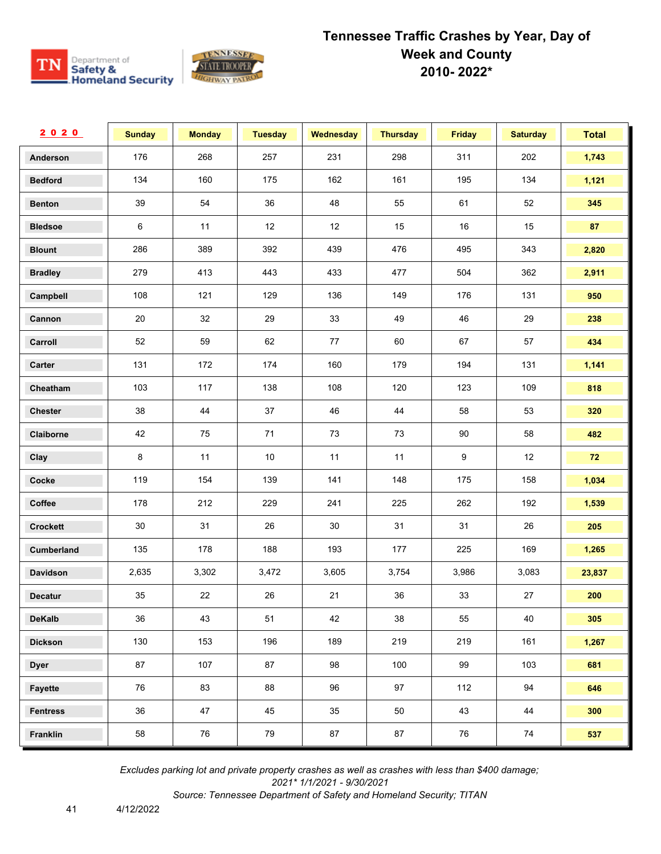

| 2020            | <b>Sunday</b> | <b>Monday</b> | <b>Tuesday</b> | <b>Wednesday</b> | <b>Thursday</b> | <b>Friday</b> | <b>Saturday</b> | <b>Total</b> |
|-----------------|---------------|---------------|----------------|------------------|-----------------|---------------|-----------------|--------------|
| Anderson        | 176           | 268           | 257            | 231              | 298             | 311           | 202             | 1,743        |
| <b>Bedford</b>  | 134           | 160           | 175            | 162              | 161             | 195           | 134             | 1,121        |
| <b>Benton</b>   | 39            | 54            | 36             | 48               | 55              | 61            | 52              | 345          |
| <b>Bledsoe</b>  | 6             | 11            | 12             | 12               | 15              | 16            | 15              | 87           |
| <b>Blount</b>   | 286           | 389           | 392            | 439              | 476             | 495           | 343             | 2,820        |
| <b>Bradley</b>  | 279           | 413           | 443            | 433              | 477             | 504           | 362             | 2,911        |
| Campbell        | 108           | 121           | 129            | 136              | 149             | 176           | 131             | 950          |
| Cannon          | 20            | 32            | 29             | 33               | 49              | 46            | 29              | 238          |
| Carroll         | 52            | 59            | 62             | 77               | 60              | 67            | 57              | 434          |
| Carter          | 131           | 172           | 174            | 160              | 179             | 194           | 131             | 1,141        |
| Cheatham        | 103           | 117           | 138            | 108              | 120             | 123           | 109             | 818          |
| <b>Chester</b>  | 38            | 44            | 37             | 46               | 44              | 58            | 53              | 320          |
| Claiborne       | 42            | 75            | 71             | 73               | 73              | 90            | 58              | 482          |
| Clay            | 8             | 11            | 10             | 11               | 11              | 9             | 12              | 72           |
| Cocke           | 119           | 154           | 139            | 141              | 148             | 175           | 158             | 1,034        |
| Coffee          | 178           | 212           | 229            | 241              | 225             | 262           | 192             | 1,539        |
| <b>Crockett</b> | 30            | 31            | 26             | 30               | 31              | 31            | 26              | 205          |
| Cumberland      | 135           | 178           | 188            | 193              | 177             | 225           | 169             | 1,265        |
| Davidson        | 2,635         | 3,302         | 3,472          | 3,605            | 3,754           | 3,986         | 3,083           | 23,837       |
| <b>Decatur</b>  | 35            | 22            | 26             | 21               | 36              | 33            | 27              | 200          |
| <b>DeKalb</b>   | 36            | 43            | 51             | 42               | 38              | 55            | 40              | 305          |
| <b>Dickson</b>  | 130           | 153           | 196            | 189              | 219             | 219           | 161             | 1,267        |
| <b>Dyer</b>     | 87            | 107           | 87             | 98               | 100             | 99            | 103             | 681          |
| Fayette         | 76            | 83            | 88             | 96               | 97              | 112           | 94              | 646          |
| <b>Fentress</b> | 36            | 47            | 45             | 35               | 50              | 43            | 44              | 300          |
| Franklin        | 58            | 76            | 79             | 87               | 87              | 76            | 74              | 537          |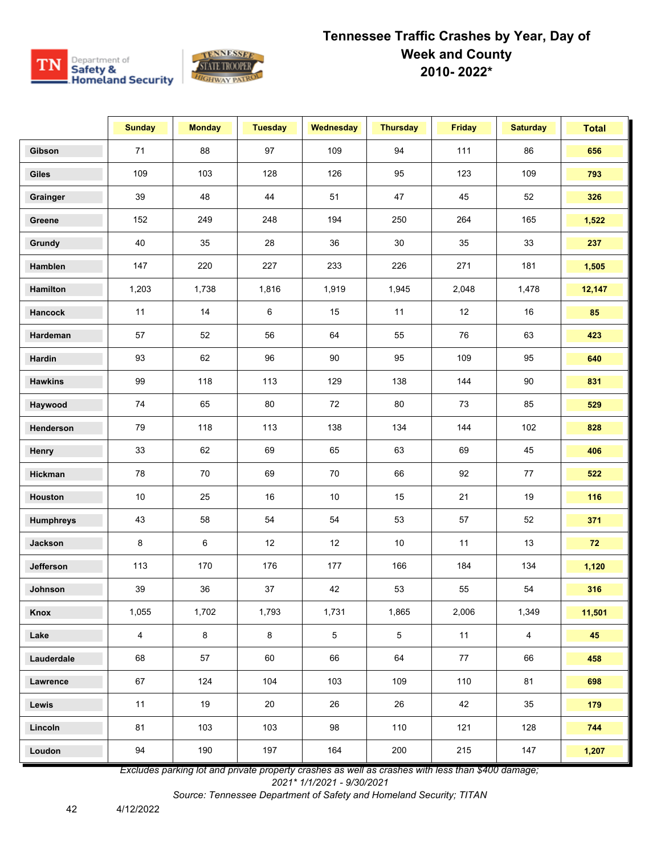

|                  | <b>Sunday</b>  | <b>Monday</b> | <b>Tuesday</b> | <b>Wednesday</b> | <b>Thursday</b> | <b>Friday</b> | <b>Saturday</b> | <b>Total</b> |
|------------------|----------------|---------------|----------------|------------------|-----------------|---------------|-----------------|--------------|
| Gibson           | $71$           | 88            | 97             | 109              | 94              | 111           | 86              | 656          |
| <b>Giles</b>     | 109            | 103           | 128            | 126              | 95              | 123           | 109             | 793          |
| Grainger         | 39             | 48            | 44             | 51               | 47              | 45            | 52              | 326          |
| Greene           | 152            | 249           | 248            | 194              | 250             | 264           | 165             | 1,522        |
| Grundy           | 40             | 35            | 28             | 36               | $30\,$          | 35            | 33              | 237          |
| Hamblen          | 147            | 220           | 227            | 233              | 226             | 271           | 181             | 1,505        |
| Hamilton         | 1,203          | 1,738         | 1,816          | 1,919            | 1,945           | 2,048         | 1,478           | 12,147       |
| Hancock          | 11             | 14            | 6              | 15               | 11              | 12            | 16              | 85           |
| Hardeman         | 57             | 52            | 56             | 64               | 55              | 76            | 63              | 423          |
| Hardin           | 93             | 62            | 96             | 90               | 95              | 109           | 95              | 640          |
| <b>Hawkins</b>   | 99             | 118           | 113            | 129              | 138             | 144           | $90\,$          | 831          |
| Haywood          | 74             | 65            | 80             | 72               | 80              | 73            | 85              | 529          |
| Henderson        | 79             | 118           | 113            | 138              | 134             | 144           | 102             | 828          |
| Henry            | 33             | 62            | 69             | 65               | 63              | 69            | 45              | 406          |
| Hickman          | 78             | 70            | 69             | 70               | 66              | 92            | 77              | 522          |
| Houston          | $10\,$         | 25            | 16             | $10$             | 15              | 21            | 19              | 116          |
| <b>Humphreys</b> | 43             | 58            | 54             | 54               | 53              | 57            | 52              | 371          |
| Jackson          | 8              | 6             | 12             | 12               | 10              | 11            | 13              | 72           |
| Jefferson        | 113            | 170           | 176            | 177              | 166             | 184           | 134             | 1,120        |
| Johnson          | 39             | 36            | 37             | 42               | 53              | 55            | 54              | 316          |
| Knox             | 1,055          | 1,702         | 1,793          | 1,731            | 1,865           | 2,006         | 1,349           | 11,501       |
| Lake             | $\overline{4}$ | $\bf 8$       | $\bf{8}$       | $\sqrt{5}$       | $\overline{5}$  | 11            | 4               | 45           |
| Lauderdale       | 68             | 57            | 60             | 66               | 64              | 77            | 66              | 458          |
| Lawrence         | 67             | 124           | 104            | 103              | 109             | 110           | 81              | 698          |
| Lewis            | 11             | 19            | 20             | 26               | 26              | 42            | 35              | 179          |
| Lincoln          | 81             | 103           | 103            | 98               | 110             | 121           | 128             | 744          |
| Loudon           | 94             | 190           | 197            | 164              | 200             | 215           | 147             | 1,207        |

*Excludes parking lot and private property crashes as well as crashes with less than \$400 damage;* 

*2021\* 1/1/2021 - 9/30/2021*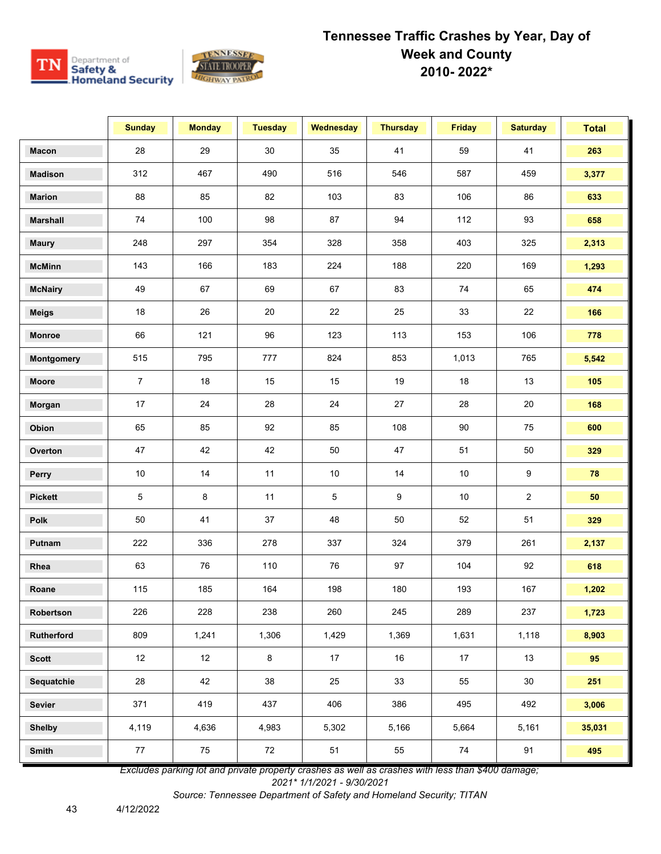

|                 | <b>Sunday</b>  | <b>Monday</b> | <b>Tuesday</b> | <b>Wednesday</b> | <b>Thursday</b> | <b>Friday</b> | <b>Saturday</b> | <b>Total</b> |
|-----------------|----------------|---------------|----------------|------------------|-----------------|---------------|-----------------|--------------|
| <b>Macon</b>    | 28             | 29            | 30             | 35               | 41              | 59            | 41              | 263          |
| <b>Madison</b>  | 312            | 467           | 490            | 516              | 546             | 587           | 459             | 3,377        |
| <b>Marion</b>   | 88             | 85            | 82             | 103              | 83              | 106           | 86              | 633          |
| <b>Marshall</b> | 74             | 100           | 98             | 87               | 94              | 112           | 93              | 658          |
| <b>Maury</b>    | 248            | 297           | 354            | 328              | 358             | 403           | 325             | 2,313        |
| <b>McMinn</b>   | 143            | 166           | 183            | 224              | 188             | 220           | 169             | 1,293        |
| <b>McNairy</b>  | 49             | 67            | 69             | 67               | 83              | 74            | 65              | 474          |
| <b>Meigs</b>    | 18             | 26            | 20             | 22               | 25              | 33            | 22              | 166          |
| <b>Monroe</b>   | 66             | 121           | 96             | 123              | 113             | 153           | 106             | 778          |
| Montgomery      | 515            | 795           | 777            | 824              | 853             | 1,013         | 765             | 5,542        |
| Moore           | $\overline{7}$ | 18            | 15             | 15               | 19              | 18            | 13              | 105          |
| Morgan          | 17             | 24            | 28             | 24               | 27              | 28            | 20              | 168          |
| Obion           | 65             | 85            | 92             | 85               | 108             | 90            | 75              | 600          |
| Overton         | 47             | 42            | 42             | 50               | 47              | 51            | 50              | 329          |
| Perry           | 10             | 14            | 11             | $10$             | 14              | $10$          | 9               | 78           |
| <b>Pickett</b>  | 5              | 8             | 11             | 5                | 9               | $10$          | $\overline{a}$  | 50           |
| <b>Polk</b>     | 50             | 41            | 37             | 48               | 50              | 52            | 51              | 329          |
| Putnam          | 222            | 336           | 278            | 337              | 324             | 379           | 261             | 2,137        |
| Rhea            | 63             | 76            | 110            | 76               | 97              | 104           | 92              | 618          |
| Roane           | 115            | 185           | 164            | 198              | 180             | 193           | 167             | 1,202        |
| Robertson       | 226            | 228           | 238            | 260              | 245             | 289           | 237             | 1,723        |
| Rutherford      | 809            | 1,241         | 1,306          | 1,429            | 1,369           | 1,631         | 1,118           | 8,903        |
| <b>Scott</b>    | 12             | 12            | $\bf 8$        | 17               | 16              | 17            | 13              | 95           |
| Sequatchie      | 28             | 42            | 38             | 25               | 33              | 55            | 30              | 251          |
| Sevier          | 371            | 419           | 437            | 406              | 386             | 495           | 492             | 3,006        |
| <b>Shelby</b>   | 4,119          | 4,636         | 4,983          | 5,302            | 5,166           | 5,664         | 5,161           | 35,031       |
| Smith           | 77             | 75            | 72             | 51               | 55              | 74            | 91              | 495          |

*Excludes parking lot and private property crashes as well as crashes with less than \$400 damage;* 

*2021\* 1/1/2021 - 9/30/2021*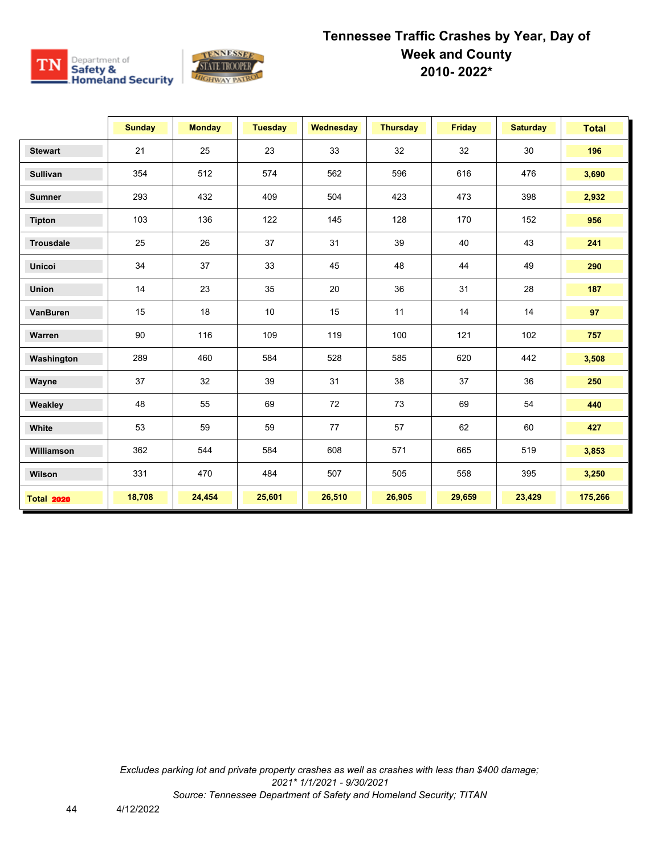

|                   | <b>Sunday</b> | <b>Monday</b> | <b>Tuesday</b> | <b>Wednesday</b> | <b>Thursday</b> | <b>Friday</b> | <b>Saturday</b> | <b>Total</b> |
|-------------------|---------------|---------------|----------------|------------------|-----------------|---------------|-----------------|--------------|
| <b>Stewart</b>    | 21            | 25            | 23             | 33               | 32              | 32            | 30              | 196          |
| <b>Sullivan</b>   | 354           | 512           | 574            | 562              | 596             | 616           | 476             | 3,690        |
| <b>Sumner</b>     | 293           | 432           | 409            | 504              | 423             | 473           | 398             | 2,932        |
| <b>Tipton</b>     | 103           | 136           | 122            | 145              | 128             | 170           | 152             | 956          |
| <b>Trousdale</b>  | 25            | 26            | 37             | 31               | 39              | 40            | 43              | 241          |
| <b>Unicoi</b>     | 34            | 37            | 33             | 45               | 48              | 44            | 49              | 290          |
| Union             | 14            | 23            | 35             | 20               | 36              | 31            | 28              | 187          |
| VanBuren          | 15            | 18            | 10             | 15               | 11              | 14            | 14              | 97           |
| Warren            | 90            | 116           | 109            | 119              | 100             | 121           | 102             | 757          |
| Washington        | 289           | 460           | 584            | 528              | 585             | 620           | 442             | 3,508        |
| Wayne             | 37            | 32            | 39             | 31               | 38              | 37            | 36              | 250          |
| Weakley           | 48            | 55            | 69             | 72               | 73              | 69            | 54              | 440          |
| White             | 53            | 59            | 59             | 77               | 57              | 62            | 60              | 427          |
| Williamson        | 362           | 544           | 584            | 608              | 571             | 665           | 519             | 3,853        |
| Wilson            | 331           | 470           | 484            | 507              | 505             | 558           | 395             | 3,250        |
| <b>Total 2020</b> | 18,708        | 24,454        | 25,601         | 26,510           | 26,905          | 29,659        | 23,429          | 175,266      |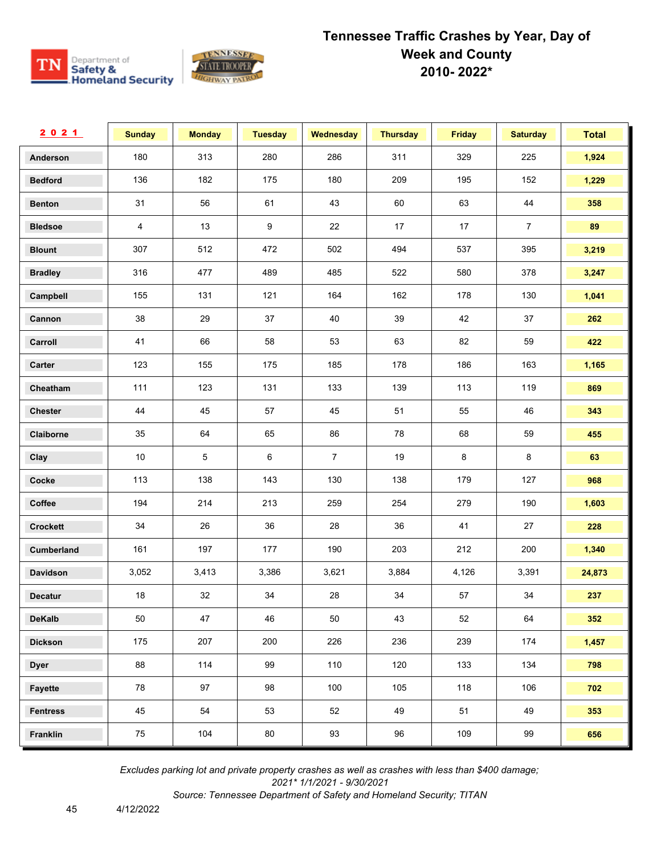

| 2021            | <b>Sunday</b> | <b>Monday</b> | <b>Tuesday</b> | Wednesday      | <b>Thursday</b> | <b>Friday</b> | <b>Saturday</b> | <b>Total</b> |
|-----------------|---------------|---------------|----------------|----------------|-----------------|---------------|-----------------|--------------|
| Anderson        | 180           | 313           | 280            | 286            | 311             | 329           | 225             | 1,924        |
| <b>Bedford</b>  | 136           | 182           | 175            | 180            | 209             | 195           | 152             | 1,229        |
| <b>Benton</b>   | 31            | 56            | 61             | 43             | 60              | 63            | 44              | 358          |
| <b>Bledsoe</b>  | 4             | 13            | 9              | 22             | 17              | 17            | $\overline{7}$  | 89           |
| <b>Blount</b>   | 307           | 512           | 472            | 502            | 494             | 537           | 395             | 3,219        |
| <b>Bradley</b>  | 316           | 477           | 489            | 485            | 522             | 580           | 378             | 3,247        |
| Campbell        | 155           | 131           | 121            | 164            | 162             | 178           | 130             | 1,041        |
| Cannon          | 38            | 29            | 37             | 40             | 39              | 42            | 37              | 262          |
| Carroll         | 41            | 66            | 58             | 53             | 63              | 82            | 59              | 422          |
| Carter          | 123           | 155           | 175            | 185            | 178             | 186           | 163             | 1,165        |
| Cheatham        | 111           | 123           | 131            | 133            | 139             | 113           | 119             | 869          |
| Chester         | 44            | 45            | 57             | 45             | 51              | 55            | 46              | 343          |
| Claiborne       | 35            | 64            | 65             | 86             | 78              | 68            | 59              | 455          |
| Clay            | $10$          | 5             | 6              | $\overline{7}$ | 19              | 8             | 8               | 63           |
| Cocke           | 113           | 138           | 143            | 130            | 138             | 179           | 127             | 968          |
| Coffee          | 194           | 214           | 213            | 259            | 254             | 279           | 190             | 1,603        |
| Crockett        | 34            | 26            | 36             | 28             | 36              | 41            | 27              | 228          |
| Cumberland      | 161           | 197           | 177            | 190            | 203             | 212           | 200             | 1,340        |
| <b>Davidson</b> | 3,052         | 3,413         | 3,386          | 3,621          | 3,884           | 4,126         | 3,391           | 24,873       |
| <b>Decatur</b>  | 18            | 32            | 34             | 28             | 34              | 57            | 34              | 237          |
| <b>DeKalb</b>   | 50            | 47            | 46             | 50             | 43              | 52            | 64              | 352          |
| <b>Dickson</b>  | 175           | 207           | 200            | 226            | 236             | 239           | 174             | 1,457        |
| <b>Dyer</b>     | 88            | 114           | 99             | 110            | 120             | 133           | 134             | 798          |
| Fayette         | 78            | 97            | 98             | 100            | 105             | 118           | 106             | 702          |
| <b>Fentress</b> | 45            | 54            | 53             | 52             | 49              | 51            | 49              | 353          |
| Franklin        | 75            | 104           | 80             | 93             | 96              | 109           | 99              | 656          |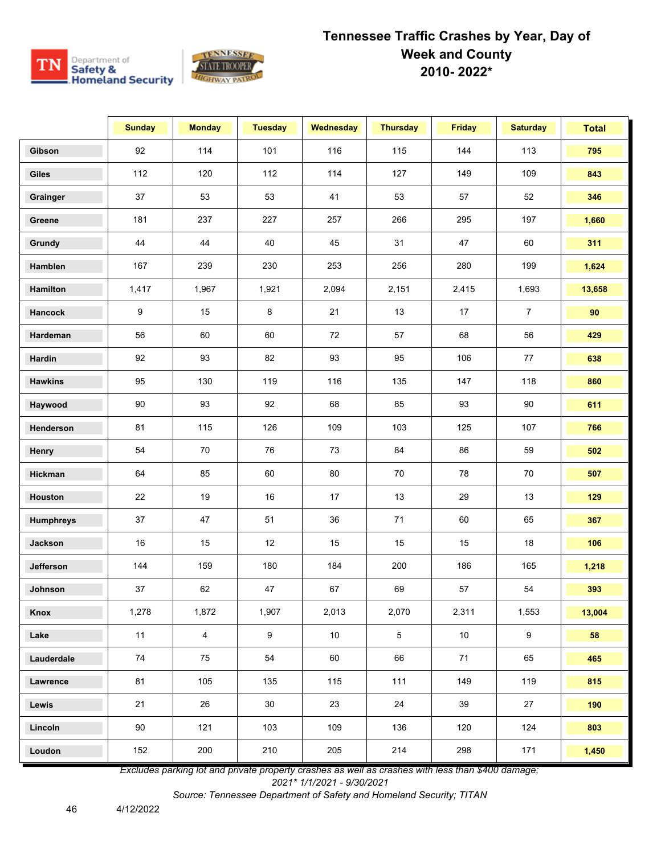

|                  | <b>Sunday</b> | <b>Monday</b>  | <b>Tuesday</b> | <b>Wednesday</b> | <b>Thursday</b> | <b>Friday</b> | <b>Saturday</b>  | <b>Total</b> |
|------------------|---------------|----------------|----------------|------------------|-----------------|---------------|------------------|--------------|
| Gibson           | 92            | 114            | 101            | 116              | 115             | 144           | 113              | 795          |
| <b>Giles</b>     | 112           | 120            | 112            | 114              | 127             | 149           | 109              | 843          |
| Grainger         | 37            | 53             | 53             | 41               | 53              | 57            | 52               | 346          |
| Greene           | 181           | 237            | 227            | 257              | 266             | 295           | 197              | 1,660        |
| Grundy           | 44            | 44             | 40             | 45               | 31              | 47            | 60               | 311          |
| Hamblen          | 167           | 239            | 230            | 253              | 256             | 280           | 199              | 1,624        |
| Hamilton         | 1,417         | 1,967          | 1,921          | 2,094            | 2,151           | 2,415         | 1,693            | 13,658       |
| Hancock          | 9             | 15             | 8              | 21               | 13              | 17            | $\boldsymbol{7}$ | 90           |
| Hardeman         | 56            | 60             | 60             | 72               | 57              | 68            | 56               | 429          |
| Hardin           | 92            | 93             | 82             | 93               | 95              | 106           | 77               | 638          |
| <b>Hawkins</b>   | 95            | 130            | 119            | 116              | 135             | 147           | 118              | 860          |
| Haywood          | 90            | 93             | 92             | 68               | 85              | 93            | 90               | 611          |
| Henderson        | 81            | 115            | 126            | 109              | 103             | 125           | 107              | 766          |
| Henry            | 54            | 70             | 76             | 73               | 84              | 86            | 59               | 502          |
| Hickman          | 64            | 85             | 60             | 80               | $70\,$          | 78            | 70               | 507          |
| Houston          | 22            | 19             | 16             | 17               | 13              | 29            | 13               | 129          |
| <b>Humphreys</b> | 37            | 47             | 51             | 36               | 71              | 60            | 65               | 367          |
| Jackson          | 16            | 15             | 12             | 15               | 15              | 15            | 18               | 106          |
| Jefferson        | 144           | 159            | 180            | 184              | 200             | 186           | 165              | 1,218        |
| Johnson          | 37            | 62             | 47             | 67               | 69              | 57            | 54               | 393          |
| Knox             | 1,278         | 1,872          | 1,907          | 2,013            | 2,070           | 2,311         | 1,553            | 13,004       |
| Lake             | 11            | $\overline{4}$ | 9              | 10               | $5\phantom{.0}$ | 10            | $\boldsymbol{9}$ | 58           |
| Lauderdale       | 74            | 75             | 54             | 60               | 66              | 71            | 65               | 465          |
| Lawrence         | 81            | 105            | 135            | 115              | 111             | 149           | 119              | 815          |
| Lewis            | 21            | 26             | 30             | 23               | 24              | 39            | 27               | 190          |
| Lincoln          | 90            | 121            | 103            | 109              | 136             | 120           | 124              | 803          |
| Loudon           | 152           | 200            | 210            | 205              | 214             | 298           | 171              | 1,450        |

*Excludes parking lot and private property crashes as well as crashes with less than \$400 damage;* 

*2021\* 1/1/2021 - 9/30/2021*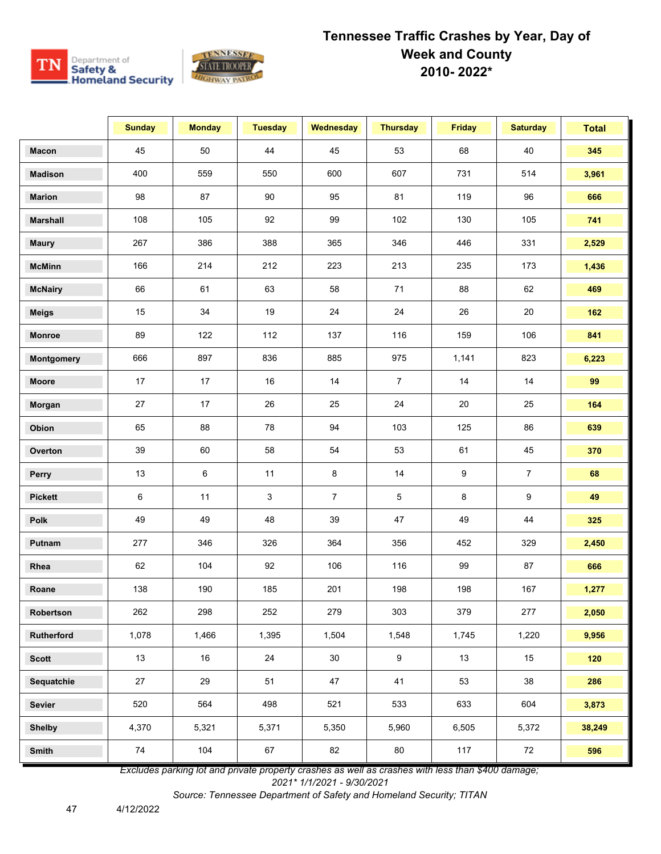

|                 | <b>Sunday</b> | <b>Monday</b> | <b>Tuesday</b> | <b>Wednesday</b> | <b>Thursday</b> | <b>Friday</b> | <b>Saturday</b> | <b>Total</b> |
|-----------------|---------------|---------------|----------------|------------------|-----------------|---------------|-----------------|--------------|
| <b>Macon</b>    | 45            | 50            | 44             | 45               | 53              | 68            | 40              | 345          |
| <b>Madison</b>  | 400           | 559           | 550            | 600              | 607             | 731           | 514             | 3,961        |
| <b>Marion</b>   | 98            | 87            | 90             | 95               | 81              | 119           | 96              | 666          |
| <b>Marshall</b> | 108           | 105           | 92             | 99               | 102             | 130           | 105             | 741          |
| <b>Maury</b>    | 267           | 386           | 388            | 365              | 346             | 446           | 331             | 2,529        |
| <b>McMinn</b>   | 166           | 214           | 212            | 223              | 213             | 235           | 173             | 1,436        |
| <b>McNairy</b>  | 66            | 61            | 63             | 58               | 71              | 88            | 62              | 469          |
| <b>Meigs</b>    | 15            | 34            | 19             | 24               | 24              | 26            | 20              | 162          |
| <b>Monroe</b>   | 89            | 122           | 112            | 137              | 116             | 159           | 106             | 841          |
| Montgomery      | 666           | 897           | 836            | 885              | 975             | 1,141         | 823             | 6,223        |
| Moore           | 17            | 17            | 16             | 14               | $\overline{7}$  | 14            | 14              | 99           |
| Morgan          | 27            | 17            | 26             | 25               | 24              | 20            | 25              | 164          |
| Obion           | 65            | 88            | 78             | 94               | 103             | 125           | 86              | 639          |
| Overton         | 39            | 60            | 58             | 54               | 53              | 61            | 45              | 370          |
| Perry           | 13            | 6             | 11             | 8                | 14              | 9             | $\overline{7}$  | 68           |
| <b>Pickett</b>  | 6             | 11            | 3              | $\overline{7}$   | 5               | 8             | 9               | 49           |
| Polk            | 49            | 49            | 48             | 39               | 47              | 49            | 44              | 325          |
| Putnam          | 277           | 346           | 326            | 364              | 356             | 452           | 329             | 2,450        |
| Rhea            | 62            | 104           | 92             | 106              | 116             | 99            | 87              | 666          |
| Roane           | 138           | 190           | 185            | 201              | 198             | 198           | 167             | 1,277        |
| Robertson       | 262           | 298           | 252            | 279              | 303             | 379           | 277             | 2,050        |
| Rutherford      | 1,078         | 1,466         | 1,395          | 1,504            | 1,548           | 1,745         | 1,220           | 9,956        |
| <b>Scott</b>    | 13            | 16            | 24             | 30               | 9               | 13            | 15              | 120          |
| Sequatchie      | 27            | 29            | 51             | 47               | 41              | 53            | 38              | 286          |
| Sevier          | 520           | 564           | 498            | 521              | 533             | 633           | 604             | 3,873        |
| <b>Shelby</b>   | 4,370         | 5,321         | 5,371          | 5,350            | 5,960           | 6,505         | 5,372           | 38,249       |
| Smith           | 74            | 104           | 67             | 82               | $80\,$          | 117           | 72              | 596          |

*Excludes parking lot and private property crashes as well as crashes with less than \$400 damage; 2021\* 1/1/2021 - 9/30/2021*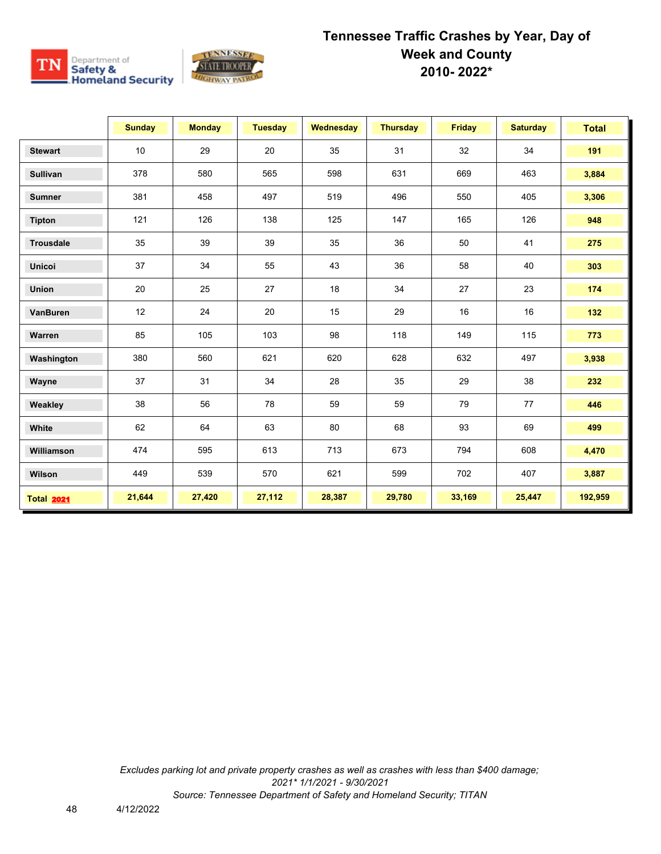

|                   | <b>Sunday</b> | <b>Monday</b> | <b>Tuesday</b> | Wednesday | <b>Thursday</b> | <b>Friday</b> | <b>Saturday</b> | <b>Total</b> |
|-------------------|---------------|---------------|----------------|-----------|-----------------|---------------|-----------------|--------------|
| <b>Stewart</b>    | 10            | 29            | 20             | 35        | 31              | 32            | 34              | 191          |
| Sullivan          | 378           | 580           | 565            | 598       | 631             | 669           | 463             | 3,884        |
| <b>Sumner</b>     | 381           | 458           | 497            | 519       | 496             | 550           | 405             | 3,306        |
| <b>Tipton</b>     | 121           | 126           | 138            | 125       | 147             | 165           | 126             | 948          |
| <b>Trousdale</b>  | 35            | 39            | 39             | 35        | 36              | 50            | 41              | 275          |
| <b>Unicoi</b>     | 37            | 34            | 55             | 43        | 36              | 58            | 40              | 303          |
| <b>Union</b>      | 20            | 25            | 27             | 18        | 34              | 27            | 23              | 174          |
| <b>VanBuren</b>   | 12            | 24            | 20             | 15        | 29              | 16            | 16              | 132          |
| Warren            | 85            | 105           | 103            | 98        | 118             | 149           | 115             | 773          |
| Washington        | 380           | 560           | 621            | 620       | 628             | 632           | 497             | 3,938        |
| Wayne             | 37            | 31            | 34             | 28        | 35              | 29            | 38              | 232          |
| Weakley           | 38            | 56            | 78             | 59        | 59              | 79            | 77              | 446          |
| White             | 62            | 64            | 63             | 80        | 68              | 93            | 69              | 499          |
| Williamson        | 474           | 595           | 613            | 713       | 673             | 794           | 608             | 4,470        |
| Wilson            | 449           | 539           | 570            | 621       | 599             | 702           | 407             | 3,887        |
| <b>Total 2021</b> | 21,644        | 27,420        | 27,112         | 28,387    | 29,780          | 33,169        | 25,447          | 192,959      |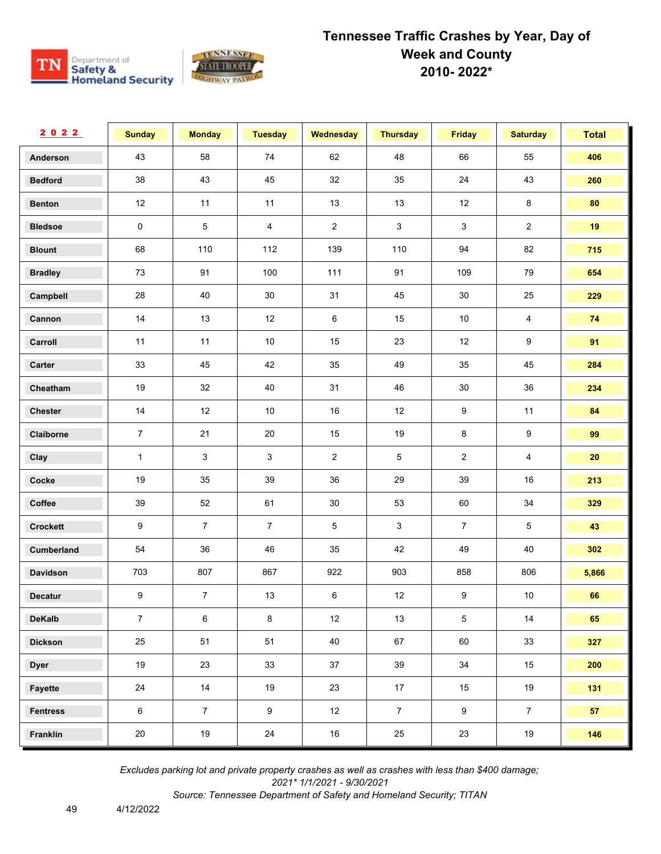

| 2022            | <b>Sunday</b>  | <b>Monday</b>  | <b>Tuesday</b> | <b>Wednesday</b> | <b>Thursday</b> | <b>Friday</b>           | <b>Saturday</b>         | <b>Total</b> |
|-----------------|----------------|----------------|----------------|------------------|-----------------|-------------------------|-------------------------|--------------|
| Anderson        | 43             | 58             | 74             | 62               | 48              | 66                      | 55                      | 406          |
| <b>Bedford</b>  | 38             | 43             | 45             | 32               | 35              | 24                      | 43                      | 260          |
| <b>Benton</b>   | 12             | 11             | 11             | 13               | 13              | 12                      | 8                       | 80           |
| <b>Bledsoe</b>  | 0              | 5              | 4              | $\mathbf{2}$     | 3               | $\mathbf{3}$            | $\mathbf{2}$            | 19           |
| <b>Blount</b>   | 68             | 110            | 112            | 139              | 110             | 94                      | 82                      | 715          |
| <b>Bradley</b>  | 73             | 91             | 100            | 111              | 91              | 109                     | 79                      | 654          |
| Campbell        | 28             | 40             | $30\,$         | 31               | 45              | $30\,$                  | 25                      | 229          |
| Cannon          | 14             | 13             | 12             | $\,6\,$          | 15              | 10                      | 4                       | 74           |
| Carroll         | 11             | 11             | $10$           | 15               | 23              | 12                      | 9                       | 91           |
| Carter          | 33             | 45             | 42             | 35               | 49              | 35                      | 45                      | 284          |
| Cheatham        | 19             | 32             | 40             | 31               | 46              | $30\,$                  | 36                      | 234          |
| <b>Chester</b>  | 14             | 12             | 10             | 16               | 12              | 9                       | 11                      | 84           |
| Claiborne       | $\overline{7}$ | 21             | 20             | 15               | 19              | 8                       | 9                       | 99           |
| Clay            | $\mathbf{1}$   | $\mathbf{3}$   | 3              | $\mathbf{2}$     | 5               | $\overline{\mathbf{c}}$ | $\overline{\mathbf{4}}$ | ${\bf 20}$   |
| Cocke           | 19             | 35             | 39             | 36               | 29              | 39                      | 16                      | 213          |
| Coffee          | 39             | 52             | 61             | $30\,$           | 53              | 60                      | 34                      | 329          |
| Crockett        | 9              | $\overline{7}$ | $\overline{7}$ | 5                | 3               | $\overline{7}$          | 5                       | 43           |
| Cumberland      | 54             | 36             | 46             | 35               | 42              | 49                      | 40                      | 302          |
| <b>Davidson</b> | 703            | 807            | 867            | 922              | 903             | 858                     | 806                     | 5,866        |
| <b>Decatur</b>  | 9              | $\overline{7}$ | 13             | 6                | 12              | 9                       | $10\,$                  | 66           |
| <b>DeKalb</b>   | $\overline{7}$ | 6              | 8              | $12$             | $13$            | 5                       | 14                      | 65           |
| <b>Dickson</b>  | 25             | 51             | 51             | 40               | 67              | 60                      | $33\,$                  | 327          |
| <b>Dyer</b>     | 19             | 23             | 33             | 37               | 39              | 34                      | 15                      | 200          |
| Fayette         | 24             | 14             | 19             | 23               | 17              | 15                      | 19                      | 131          |
| <b>Fentress</b> | 6              | $\overline{7}$ | 9              | 12               | $\overline{7}$  | $\boldsymbol{9}$        | $\overline{7}$          | 57           |
| Franklin        | $20\,$         | 19             | 24             | $16\,$           | 25              | 23                      | 19                      | 146          |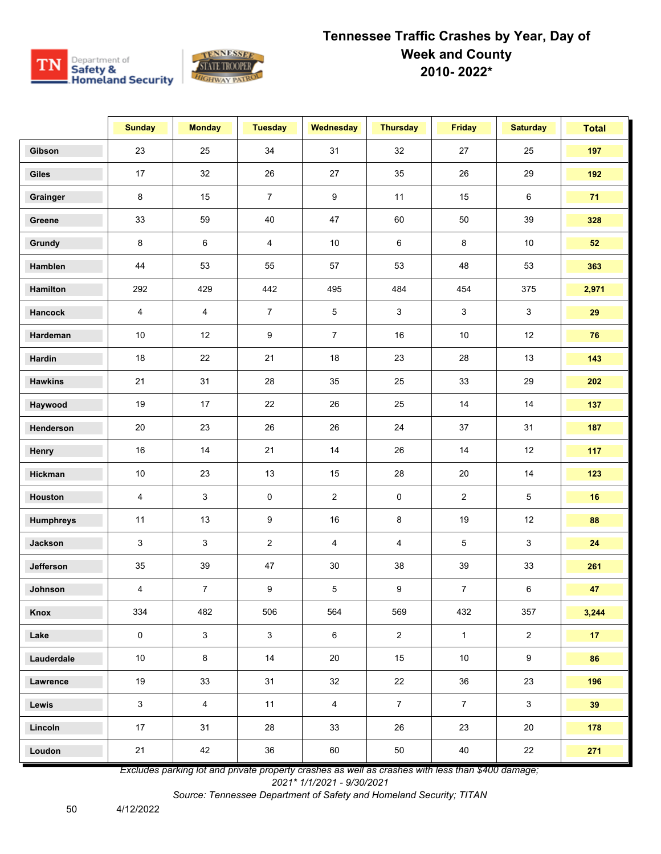

|                  | <b>Sunday</b> | <b>Monday</b>  | <b>Tuesday</b> | Wednesday      | <b>Thursday</b> | <b>Friday</b>  | <b>Saturday</b> | <b>Total</b>    |
|------------------|---------------|----------------|----------------|----------------|-----------------|----------------|-----------------|-----------------|
| Gibson           | 23            | 25             | 34             | 31             | 32              | 27             | 25              | 197             |
| <b>Giles</b>     | 17            | 32             | 26             | 27             | 35              | 26             | 29              | 192             |
| Grainger         | 8             | 15             | $\overline{7}$ | 9              | 11              | 15             | 6               | 71              |
| Greene           | 33            | 59             | 40             | 47             | 60              | 50             | 39              | 328             |
| Grundy           | 8             | 6              | $\overline{4}$ | $10$           | 6               | 8              | $10$            | 52              |
| Hamblen          | 44            | 53             | 55             | 57             | 53              | 48             | 53              | 363             |
| Hamilton         | 292           | 429            | 442            | 495            | 484             | 454            | 375             | 2,971           |
| Hancock          | 4             | 4              | $\overline{7}$ | $\sqrt{5}$     | 3               | $\mathbf{3}$   | 3               | 29              |
| Hardeman         | $10\,$        | 12             | 9              | $\overline{7}$ | 16              | $10$           | 12              | 76              |
| Hardin           | 18            | 22             | 21             | 18             | 23              | 28             | 13              | 143             |
| <b>Hawkins</b>   | 21            | 31             | 28             | 35             | 25              | 33             | 29              | 202             |
| Haywood          | 19            | 17             | 22             | 26             | 25              | 14             | 14              | 137             |
| Henderson        | 20            | 23             | 26             | 26             | 24              | 37             | 31              | 187             |
| Henry            | 16            | 14             | 21             | 14             | 26              | 14             | 12              | 117             |
| Hickman          | 10            | 23             | $13$           | 15             | 28              | 20             | 14              | 123             |
| Houston          | 4             | 3              | $\pmb{0}$      | $\overline{2}$ | $\pmb{0}$       | $\overline{2}$ | 5               | 16              |
| <b>Humphreys</b> | 11            | 13             | 9              | 16             | 8               | 19             | 12              | 88              |
| Jackson          | 3             | $\mathbf 3$    | $\overline{c}$ | $\overline{4}$ | 4               | $\,$ 5 $\,$    | $\mathbf 3$     | 24              |
| Jefferson        | 35            | 39             | 47             | 30             | 38              | 39             | 33              | 261             |
| Johnson          | 4             | $\overline{7}$ | 9              | 5              | 9               | $\overline{7}$ | 6               | 47              |
| Knox             | 334           | 482            | 506            | 564            | 569             | 432            | 357             | 3,244           |
| Lake             | $\pmb{0}$     | $\mathfrak{S}$ | $\mathbf{3}$   | $6\phantom{.}$ | $\overline{2}$  | $\mathbf{1}$   | $\overline{2}$  | 17 <sub>2</sub> |
| Lauderdale       | $10\,$        | 8              | 14             | $20\,$         | 15              | 10             | 9               | 86              |
| Lawrence         | 19            | 33             | 31             | 32             | 22              | $36\,$         | 23              | 196             |
| Lewis            | 3             | $\overline{4}$ | 11             | $\overline{4}$ | $\overline{7}$  | $\overline{7}$ | 3               | 39              |
| Lincoln          | 17            | 31             | 28             | 33             | 26              | 23             | 20              | 178             |
| Loudon           | 21            | 42             | 36             | 60             | 50              | 40             | 22              | 271             |

*Excludes parking lot and private property crashes as well as crashes with less than \$400 damage;* 

*2021\* 1/1/2021 - 9/30/2021*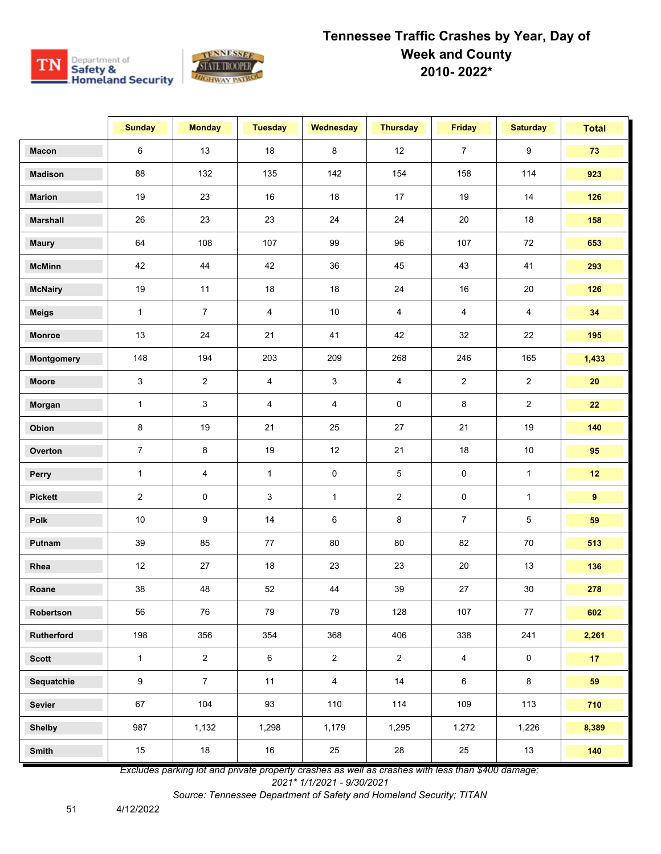

|                 | <b>Sunday</b>    | <b>Monday</b>  | <b>Tuesday</b> | Wednesday      | <b>Thursday</b> | <b>Friday</b>       | <b>Saturday</b> | <b>Total</b>    |
|-----------------|------------------|----------------|----------------|----------------|-----------------|---------------------|-----------------|-----------------|
| <b>Macon</b>    | 6                | 13             | 18             | 8              | 12              | $\overline{7}$      | 9               | 73              |
| <b>Madison</b>  | 88               | 132            | 135            | 142            | 154             | 158                 | 114             | 923             |
| <b>Marion</b>   | 19               | 23             | 16             | 18             | 17              | 19                  | 14              | 126             |
| <b>Marshall</b> | 26               | 23             | 23             | 24             | 24              | 20                  | 18              | 158             |
| <b>Maury</b>    | 64               | 108            | 107            | 99             | 96              | 107                 | 72              | 653             |
| <b>McMinn</b>   | 42               | 44             | 42             | 36             | 45              | 43                  | 41              | 293             |
| <b>McNairy</b>  | 19               | 11             | 18             | 18             | 24              | 16                  | 20              | 126             |
| <b>Meigs</b>    | $\mathbf{1}$     | $\overline{7}$ | 4              | $10$           | 4               | $\overline{4}$      | 4               | 34              |
| <b>Monroe</b>   | 13               | 24             | 21             | 41             | 42              | 32                  | 22              | 195             |
| Montgomery      | 148              | 194            | 203            | 209            | 268             | 246                 | 165             | 1,433           |
| Moore           | 3                | $\overline{c}$ | $\overline{4}$ | $\mathbf{3}$   | $\overline{4}$  | $\overline{2}$      | $\overline{c}$  | 20              |
| Morgan          | $\mathbf{1}$     | 3              | 4              | $\overline{4}$ | 0               | 8                   | $\overline{c}$  | 22              |
| Obion           | 8                | 19             | 21             | 25             | 27              | 21                  | 19              | 140             |
| Overton         | $\overline{7}$   | 8              | 19             | $12$           | 21              | 18                  | $10\,$          | 95              |
| Perry           | $\mathbf{1}$     | $\overline{4}$ | $\mathbf{1}$   | $\mathbf 0$    | 5               | $\mathsf{O}\xspace$ | $\mathbf{1}$    | 12              |
| <b>Pickett</b>  | $\overline{a}$   | 0              | 3              | $\mathbf{1}$   | $\overline{2}$  | 0                   | $\mathbf{1}$    | 9               |
| Polk            | $10\,$           | 9              | 14             | 6              | 8               | $\overline{7}$      | 5               | 59              |
| Putnam          | 39               | 85             | 77             | 80             | 80              | 82                  | $70\,$          | 513             |
| Rhea            | 12               | 27             | $18\,$         | 23             | 23              | 20                  | 13              | 136             |
| Roane           | 38               | 48             | 52             | 44             | 39              | 27                  | $30\,$          | 278             |
| Robertson       | 56               | 76             | $\bf 79$       | $\bf 79$       | 128             | 107                 | $77\,$          | 602             |
| Rutherford      | 198              | 356            | 354            | 368            | 406             | 338                 | 241             | 2,261           |
| <b>Scott</b>    | $\mathbf{1}$     | $\overline{2}$ | 6              | $\overline{2}$ | $\overline{2}$  | $\overline{4}$      | 0               | 17 <sub>2</sub> |
| Sequatchie      | $\boldsymbol{9}$ | $\overline{7}$ | 11             | $\overline{4}$ | 14              | 6                   | 8               | 59              |
| Sevier          | 67               | 104            | 93             | 110            | 114             | 109                 | 113             | 710             |
| <b>Shelby</b>   | 987              | 1,132          | 1,298          | 1,179          | 1,295           | 1,272               | 1,226           | 8,389           |
| Smith           | $15\,$           | $18\,$         | 16             | 25             | 28              | 25                  | 13              | $140$           |

*Excludes parking lot and private property crashes as well as crashes with less than \$400 damage; 2021\* 1/1/2021 - 9/30/2021*